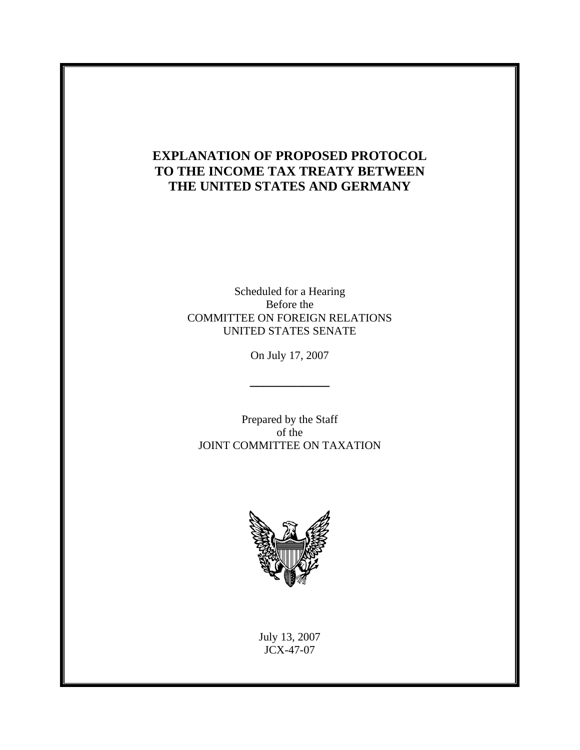# **EXPLANATION OF PROPOSED PROTOCOL TO THE INCOME TAX TREATY BETWEEN THE UNITED STATES AND GERMANY**

Scheduled for a Hearing Before the COMMITTEE ON FOREIGN RELATIONS UNITED STATES SENATE

On July 17, 2007

**\_\_\_\_\_\_\_\_\_\_\_\_** 

Prepared by the Staff of the JOINT COMMITTEE ON TAXATION



July 13, 2007 JCX-47-07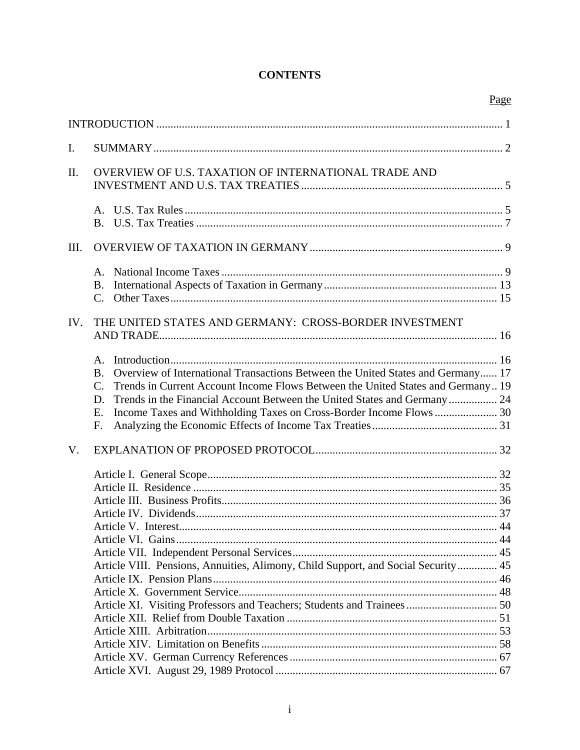# **CONTENTS**

|      |                                                                                                                                                                                                                                                                                                                                                                                         | Page |
|------|-----------------------------------------------------------------------------------------------------------------------------------------------------------------------------------------------------------------------------------------------------------------------------------------------------------------------------------------------------------------------------------------|------|
|      |                                                                                                                                                                                                                                                                                                                                                                                         |      |
| I.   |                                                                                                                                                                                                                                                                                                                                                                                         |      |
| II.  | OVERVIEW OF U.S. TAXATION OF INTERNATIONAL TRADE AND                                                                                                                                                                                                                                                                                                                                    |      |
|      |                                                                                                                                                                                                                                                                                                                                                                                         |      |
| III. |                                                                                                                                                                                                                                                                                                                                                                                         |      |
| IV.  | <b>B.</b><br>$C_{\cdot}$<br>THE UNITED STATES AND GERMANY: CROSS-BORDER INVESTMENT                                                                                                                                                                                                                                                                                                      |      |
|      | $A_{-}$<br>Overview of International Transactions Between the United States and Germany 17<br><b>B.</b><br>$C_{\cdot}$<br>Trends in Current Account Income Flows Between the United States and Germany 19<br>Trends in the Financial Account Between the United States and Germany 24<br>D.<br>Income Taxes and Withholding Taxes on Cross-Border Income Flows  30<br>E.<br>$F_{\cdot}$ |      |
| V.   | Article VIII. Pensions, Annuities, Alimony, Child Support, and Social Security 45<br>Article XI. Visiting Professors and Teachers; Students and Trainees 50                                                                                                                                                                                                                             |      |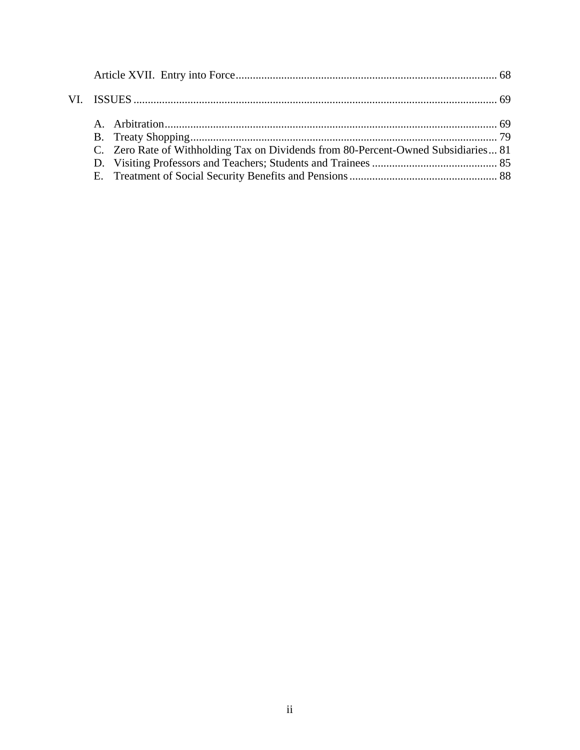|  | C. Zero Rate of Withholding Tax on Dividends from 80-Percent-Owned Subsidiaries 81 |  |
|--|------------------------------------------------------------------------------------|--|
|  |                                                                                    |  |
|  |                                                                                    |  |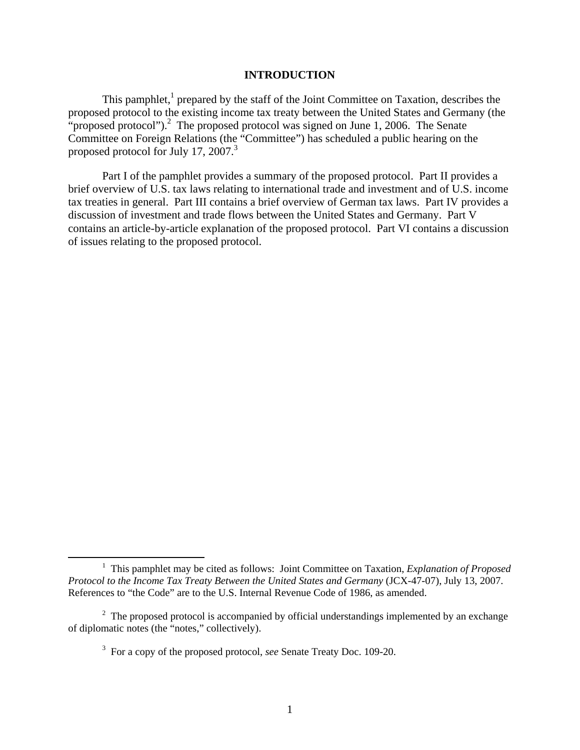### **INTRODUCTION**

This pamphlet, $<sup>1</sup>$  prepared by the staff of the Joint Committee on Taxation, describes the</sup> proposed protocol to the existing income tax treaty between the United States and Germany (the "proposed protocol").<sup>2</sup> The proposed protocol was signed on June 1, 2006. The Senate Committee on Foreign Relations (the "Committee") has scheduled a public hearing on the proposed protocol for July 17, 2007.<sup>3</sup>

Part I of the pamphlet provides a summary of the proposed protocol. Part II provides a brief overview of U.S. tax laws relating to international trade and investment and of U.S. income tax treaties in general. Part III contains a brief overview of German tax laws. Part IV provides a discussion of investment and trade flows between the United States and Germany. Part V contains an article-by-article explanation of the proposed protocol. Part VI contains a discussion of issues relating to the proposed protocol.

 $\begin{array}{c|c}\n\hline\n\text{1}\n\end{array}$ <sup>1</sup> This pamphlet may be cited as follows: Joint Committee on Taxation, *Explanation of Proposed Protocol to the Income Tax Treaty Between the United States and Germany* (JCX-47-07), July 13, 2007. References to "the Code" are to the U.S. Internal Revenue Code of 1986, as amended.

 $2$  The proposed protocol is accompanied by official understandings implemented by an exchange of diplomatic notes (the "notes," collectively).

<sup>3</sup> For a copy of the proposed protocol, *see* Senate Treaty Doc. 109-20.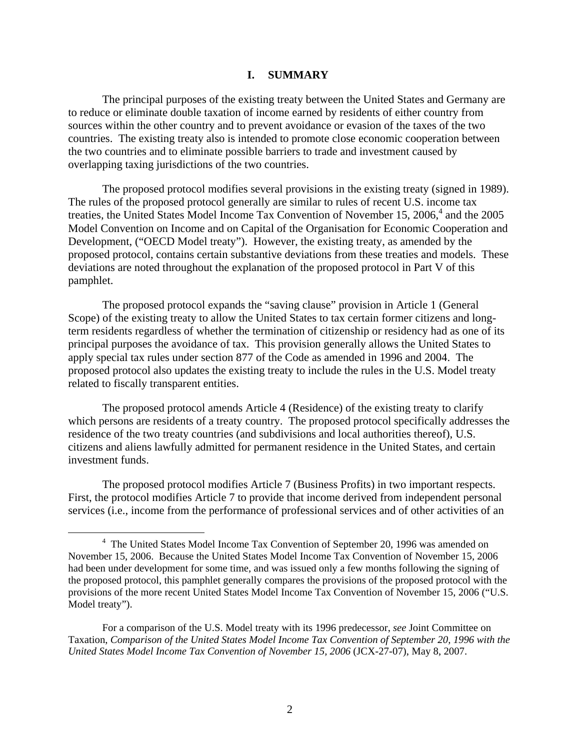#### **I. SUMMARY**

The principal purposes of the existing treaty between the United States and Germany are to reduce or eliminate double taxation of income earned by residents of either country from sources within the other country and to prevent avoidance or evasion of the taxes of the two countries. The existing treaty also is intended to promote close economic cooperation between the two countries and to eliminate possible barriers to trade and investment caused by overlapping taxing jurisdictions of the two countries.

The proposed protocol modifies several provisions in the existing treaty (signed in 1989). The rules of the proposed protocol generally are similar to rules of recent U.S. income tax treaties, the United States Model Income Tax Convention of November 15, 2006, $4$  and the 2005 Model Convention on Income and on Capital of the Organisation for Economic Cooperation and Development, ("OECD Model treaty"). However, the existing treaty, as amended by the proposed protocol, contains certain substantive deviations from these treaties and models. These deviations are noted throughout the explanation of the proposed protocol in Part V of this pamphlet.

The proposed protocol expands the "saving clause" provision in Article 1 (General Scope) of the existing treaty to allow the United States to tax certain former citizens and longterm residents regardless of whether the termination of citizenship or residency had as one of its principal purposes the avoidance of tax. This provision generally allows the United States to apply special tax rules under section 877 of the Code as amended in 1996 and 2004. The proposed protocol also updates the existing treaty to include the rules in the U.S. Model treaty related to fiscally transparent entities.

The proposed protocol amends Article 4 (Residence) of the existing treaty to clarify which persons are residents of a treaty country. The proposed protocol specifically addresses the residence of the two treaty countries (and subdivisions and local authorities thereof), U.S. citizens and aliens lawfully admitted for permanent residence in the United States, and certain investment funds.

The proposed protocol modifies Article 7 (Business Profits) in two important respects. First, the protocol modifies Article 7 to provide that income derived from independent personal services (i.e., income from the performance of professional services and of other activities of an

 $\overline{4}$ <sup>4</sup> The United States Model Income Tax Convention of September 20, 1996 was amended on November 15, 2006. Because the United States Model Income Tax Convention of November 15, 2006 had been under development for some time, and was issued only a few months following the signing of the proposed protocol, this pamphlet generally compares the provisions of the proposed protocol with the provisions of the more recent United States Model Income Tax Convention of November 15, 2006 ("U.S. Model treaty").

For a comparison of the U.S. Model treaty with its 1996 predecessor, *see* Joint Committee on Taxation, *Comparison of the United States Model Income Tax Convention of September 20, 1996 with the United States Model Income Tax Convention of November 15, 2006* (JCX-27-07), May 8, 2007.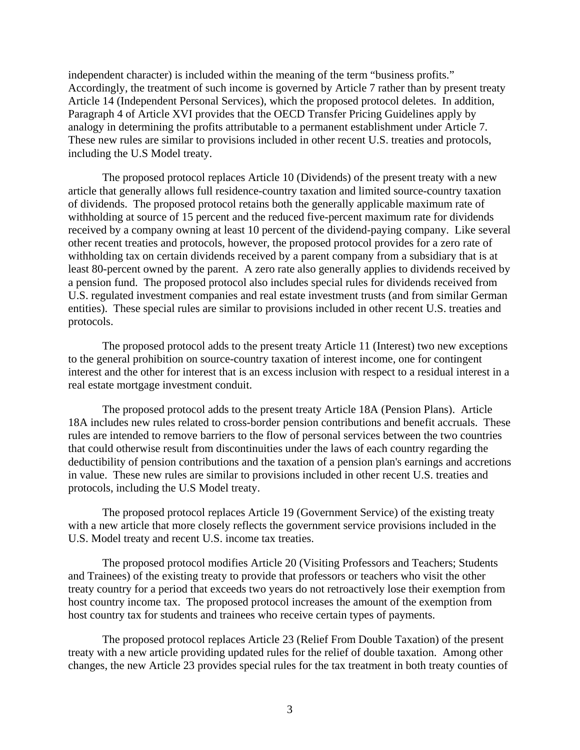independent character) is included within the meaning of the term "business profits." Accordingly, the treatment of such income is governed by Article 7 rather than by present treaty Article 14 (Independent Personal Services), which the proposed protocol deletes. In addition, Paragraph 4 of Article XVI provides that the OECD Transfer Pricing Guidelines apply by analogy in determining the profits attributable to a permanent establishment under Article 7. These new rules are similar to provisions included in other recent U.S. treaties and protocols, including the U.S Model treaty.

The proposed protocol replaces Article 10 (Dividends) of the present treaty with a new article that generally allows full residence-country taxation and limited source-country taxation of dividends. The proposed protocol retains both the generally applicable maximum rate of withholding at source of 15 percent and the reduced five-percent maximum rate for dividends received by a company owning at least 10 percent of the dividend-paying company. Like several other recent treaties and protocols, however, the proposed protocol provides for a zero rate of withholding tax on certain dividends received by a parent company from a subsidiary that is at least 80-percent owned by the parent. A zero rate also generally applies to dividends received by a pension fund. The proposed protocol also includes special rules for dividends received from U.S. regulated investment companies and real estate investment trusts (and from similar German entities). These special rules are similar to provisions included in other recent U.S. treaties and protocols.

The proposed protocol adds to the present treaty Article 11 (Interest) two new exceptions to the general prohibition on source-country taxation of interest income, one for contingent interest and the other for interest that is an excess inclusion with respect to a residual interest in a real estate mortgage investment conduit.

The proposed protocol adds to the present treaty Article 18A (Pension Plans). Article 18A includes new rules related to cross-border pension contributions and benefit accruals. These rules are intended to remove barriers to the flow of personal services between the two countries that could otherwise result from discontinuities under the laws of each country regarding the deductibility of pension contributions and the taxation of a pension plan's earnings and accretions in value. These new rules are similar to provisions included in other recent U.S. treaties and protocols, including the U.S Model treaty.

The proposed protocol replaces Article 19 (Government Service) of the existing treaty with a new article that more closely reflects the government service provisions included in the U.S. Model treaty and recent U.S. income tax treaties.

The proposed protocol modifies Article 20 (Visiting Professors and Teachers; Students and Trainees) of the existing treaty to provide that professors or teachers who visit the other treaty country for a period that exceeds two years do not retroactively lose their exemption from host country income tax. The proposed protocol increases the amount of the exemption from host country tax for students and trainees who receive certain types of payments.

The proposed protocol replaces Article 23 (Relief From Double Taxation) of the present treaty with a new article providing updated rules for the relief of double taxation. Among other changes, the new Article 23 provides special rules for the tax treatment in both treaty counties of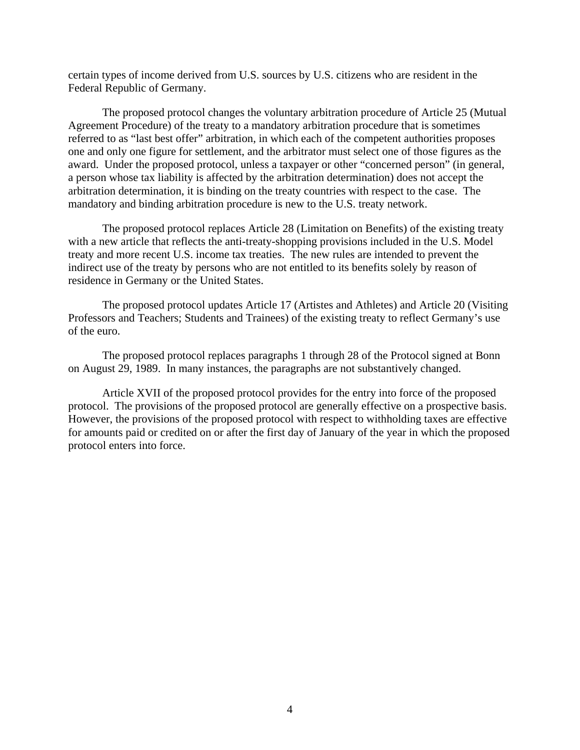certain types of income derived from U.S. sources by U.S. citizens who are resident in the Federal Republic of Germany.

The proposed protocol changes the voluntary arbitration procedure of Article 25 (Mutual Agreement Procedure) of the treaty to a mandatory arbitration procedure that is sometimes referred to as "last best offer" arbitration, in which each of the competent authorities proposes one and only one figure for settlement, and the arbitrator must select one of those figures as the award. Under the proposed protocol, unless a taxpayer or other "concerned person" (in general, a person whose tax liability is affected by the arbitration determination) does not accept the arbitration determination, it is binding on the treaty countries with respect to the case. The mandatory and binding arbitration procedure is new to the U.S. treaty network.

The proposed protocol replaces Article 28 (Limitation on Benefits) of the existing treaty with a new article that reflects the anti-treaty-shopping provisions included in the U.S. Model treaty and more recent U.S. income tax treaties. The new rules are intended to prevent the indirect use of the treaty by persons who are not entitled to its benefits solely by reason of residence in Germany or the United States.

The proposed protocol updates Article 17 (Artistes and Athletes) and Article 20 (Visiting Professors and Teachers; Students and Trainees) of the existing treaty to reflect Germany's use of the euro.

The proposed protocol replaces paragraphs 1 through 28 of the Protocol signed at Bonn on August 29, 1989. In many instances, the paragraphs are not substantively changed.

Article XVII of the proposed protocol provides for the entry into force of the proposed protocol. The provisions of the proposed protocol are generally effective on a prospective basis. However, the provisions of the proposed protocol with respect to withholding taxes are effective for amounts paid or credited on or after the first day of January of the year in which the proposed protocol enters into force.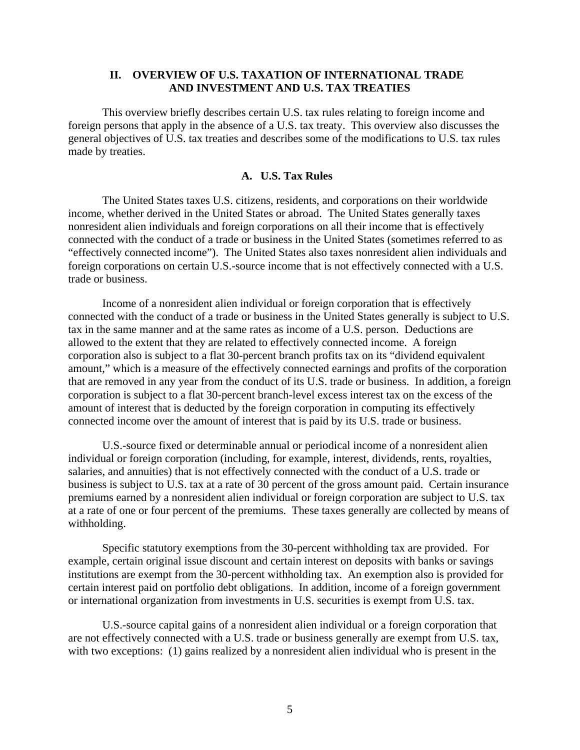# **II. OVERVIEW OF U.S. TAXATION OF INTERNATIONAL TRADE AND INVESTMENT AND U.S. TAX TREATIES**

This overview briefly describes certain U.S. tax rules relating to foreign income and foreign persons that apply in the absence of a U.S. tax treaty. This overview also discusses the general objectives of U.S. tax treaties and describes some of the modifications to U.S. tax rules made by treaties.

### **A. U.S. Tax Rules**

The United States taxes U.S. citizens, residents, and corporations on their worldwide income, whether derived in the United States or abroad. The United States generally taxes nonresident alien individuals and foreign corporations on all their income that is effectively connected with the conduct of a trade or business in the United States (sometimes referred to as "effectively connected income"). The United States also taxes nonresident alien individuals and foreign corporations on certain U.S.-source income that is not effectively connected with a U.S. trade or business.

Income of a nonresident alien individual or foreign corporation that is effectively connected with the conduct of a trade or business in the United States generally is subject to U.S. tax in the same manner and at the same rates as income of a U.S. person. Deductions are allowed to the extent that they are related to effectively connected income. A foreign corporation also is subject to a flat 30-percent branch profits tax on its "dividend equivalent amount," which is a measure of the effectively connected earnings and profits of the corporation that are removed in any year from the conduct of its U.S. trade or business. In addition, a foreign corporation is subject to a flat 30-percent branch-level excess interest tax on the excess of the amount of interest that is deducted by the foreign corporation in computing its effectively connected income over the amount of interest that is paid by its U.S. trade or business.

U.S.-source fixed or determinable annual or periodical income of a nonresident alien individual or foreign corporation (including, for example, interest, dividends, rents, royalties, salaries, and annuities) that is not effectively connected with the conduct of a U.S. trade or business is subject to U.S. tax at a rate of 30 percent of the gross amount paid. Certain insurance premiums earned by a nonresident alien individual or foreign corporation are subject to U.S. tax at a rate of one or four percent of the premiums. These taxes generally are collected by means of withholding.

Specific statutory exemptions from the 30-percent withholding tax are provided. For example, certain original issue discount and certain interest on deposits with banks or savings institutions are exempt from the 30-percent withholding tax. An exemption also is provided for certain interest paid on portfolio debt obligations. In addition, income of a foreign government or international organization from investments in U.S. securities is exempt from U.S. tax.

U.S.-source capital gains of a nonresident alien individual or a foreign corporation that are not effectively connected with a U.S. trade or business generally are exempt from U.S. tax, with two exceptions: (1) gains realized by a nonresident alien individual who is present in the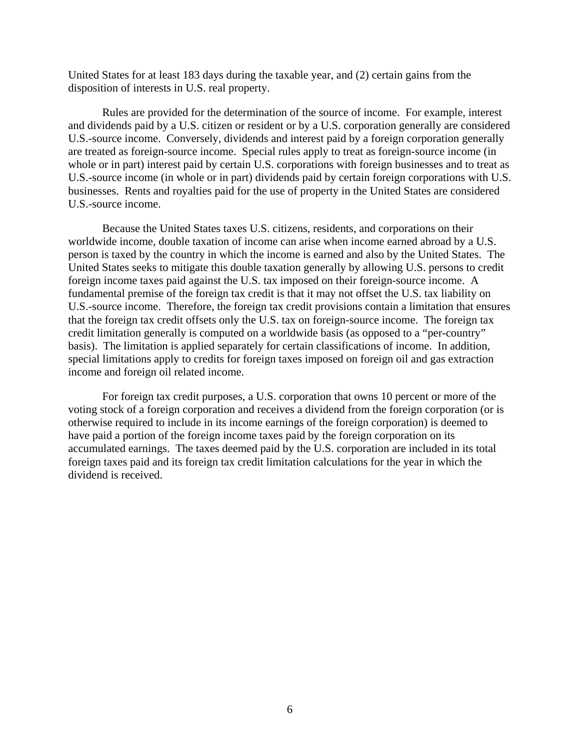United States for at least 183 days during the taxable year, and (2) certain gains from the disposition of interests in U.S. real property.

Rules are provided for the determination of the source of income. For example, interest and dividends paid by a U.S. citizen or resident or by a U.S. corporation generally are considered U.S.-source income. Conversely, dividends and interest paid by a foreign corporation generally are treated as foreign-source income. Special rules apply to treat as foreign-source income (in whole or in part) interest paid by certain U.S. corporations with foreign businesses and to treat as U.S.-source income (in whole or in part) dividends paid by certain foreign corporations with U.S. businesses. Rents and royalties paid for the use of property in the United States are considered U.S.-source income.

Because the United States taxes U.S. citizens, residents, and corporations on their worldwide income, double taxation of income can arise when income earned abroad by a U.S. person is taxed by the country in which the income is earned and also by the United States. The United States seeks to mitigate this double taxation generally by allowing U.S. persons to credit foreign income taxes paid against the U.S. tax imposed on their foreign-source income. A fundamental premise of the foreign tax credit is that it may not offset the U.S. tax liability on U.S.-source income. Therefore, the foreign tax credit provisions contain a limitation that ensures that the foreign tax credit offsets only the U.S. tax on foreign-source income. The foreign tax credit limitation generally is computed on a worldwide basis (as opposed to a "per-country" basis). The limitation is applied separately for certain classifications of income. In addition, special limitations apply to credits for foreign taxes imposed on foreign oil and gas extraction income and foreign oil related income.

For foreign tax credit purposes, a U.S. corporation that owns 10 percent or more of the voting stock of a foreign corporation and receives a dividend from the foreign corporation (or is otherwise required to include in its income earnings of the foreign corporation) is deemed to have paid a portion of the foreign income taxes paid by the foreign corporation on its accumulated earnings. The taxes deemed paid by the U.S. corporation are included in its total foreign taxes paid and its foreign tax credit limitation calculations for the year in which the dividend is received.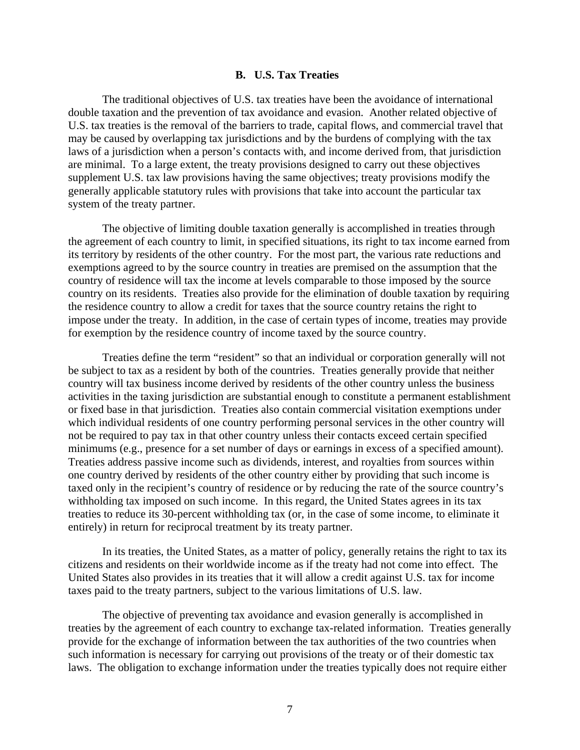#### **B. U.S. Tax Treaties**

The traditional objectives of U.S. tax treaties have been the avoidance of international double taxation and the prevention of tax avoidance and evasion. Another related objective of U.S. tax treaties is the removal of the barriers to trade, capital flows, and commercial travel that may be caused by overlapping tax jurisdictions and by the burdens of complying with the tax laws of a jurisdiction when a person's contacts with, and income derived from, that jurisdiction are minimal. To a large extent, the treaty provisions designed to carry out these objectives supplement U.S. tax law provisions having the same objectives; treaty provisions modify the generally applicable statutory rules with provisions that take into account the particular tax system of the treaty partner.

The objective of limiting double taxation generally is accomplished in treaties through the agreement of each country to limit, in specified situations, its right to tax income earned from its territory by residents of the other country. For the most part, the various rate reductions and exemptions agreed to by the source country in treaties are premised on the assumption that the country of residence will tax the income at levels comparable to those imposed by the source country on its residents. Treaties also provide for the elimination of double taxation by requiring the residence country to allow a credit for taxes that the source country retains the right to impose under the treaty. In addition, in the case of certain types of income, treaties may provide for exemption by the residence country of income taxed by the source country.

Treaties define the term "resident" so that an individual or corporation generally will not be subject to tax as a resident by both of the countries. Treaties generally provide that neither country will tax business income derived by residents of the other country unless the business activities in the taxing jurisdiction are substantial enough to constitute a permanent establishment or fixed base in that jurisdiction. Treaties also contain commercial visitation exemptions under which individual residents of one country performing personal services in the other country will not be required to pay tax in that other country unless their contacts exceed certain specified minimums (e.g., presence for a set number of days or earnings in excess of a specified amount). Treaties address passive income such as dividends, interest, and royalties from sources within one country derived by residents of the other country either by providing that such income is taxed only in the recipient's country of residence or by reducing the rate of the source country's withholding tax imposed on such income. In this regard, the United States agrees in its tax treaties to reduce its 30-percent withholding tax (or, in the case of some income, to eliminate it entirely) in return for reciprocal treatment by its treaty partner.

In its treaties, the United States, as a matter of policy, generally retains the right to tax its citizens and residents on their worldwide income as if the treaty had not come into effect. The United States also provides in its treaties that it will allow a credit against U.S. tax for income taxes paid to the treaty partners, subject to the various limitations of U.S. law.

The objective of preventing tax avoidance and evasion generally is accomplished in treaties by the agreement of each country to exchange tax-related information. Treaties generally provide for the exchange of information between the tax authorities of the two countries when such information is necessary for carrying out provisions of the treaty or of their domestic tax laws. The obligation to exchange information under the treaties typically does not require either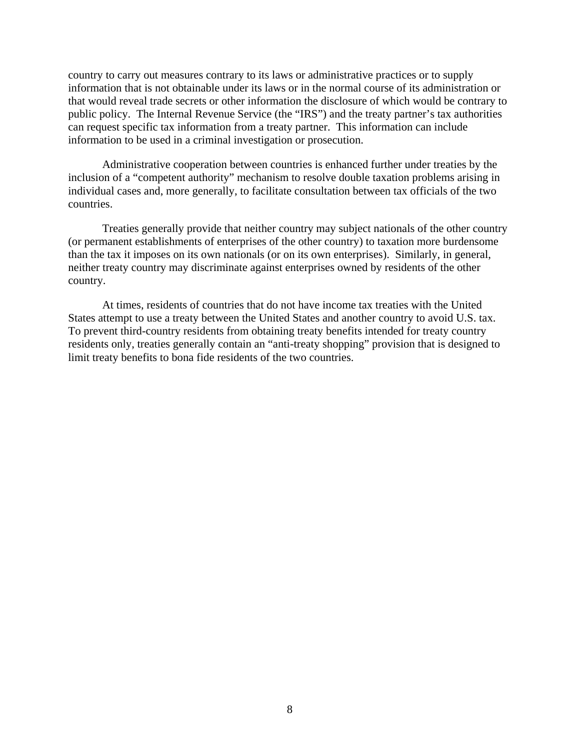country to carry out measures contrary to its laws or administrative practices or to supply information that is not obtainable under its laws or in the normal course of its administration or that would reveal trade secrets or other information the disclosure of which would be contrary to public policy. The Internal Revenue Service (the "IRS") and the treaty partner's tax authorities can request specific tax information from a treaty partner. This information can include information to be used in a criminal investigation or prosecution.

Administrative cooperation between countries is enhanced further under treaties by the inclusion of a "competent authority" mechanism to resolve double taxation problems arising in individual cases and, more generally, to facilitate consultation between tax officials of the two countries.

Treaties generally provide that neither country may subject nationals of the other country (or permanent establishments of enterprises of the other country) to taxation more burdensome than the tax it imposes on its own nationals (or on its own enterprises). Similarly, in general, neither treaty country may discriminate against enterprises owned by residents of the other country.

At times, residents of countries that do not have income tax treaties with the United States attempt to use a treaty between the United States and another country to avoid U.S. tax. To prevent third-country residents from obtaining treaty benefits intended for treaty country residents only, treaties generally contain an "anti-treaty shopping" provision that is designed to limit treaty benefits to bona fide residents of the two countries.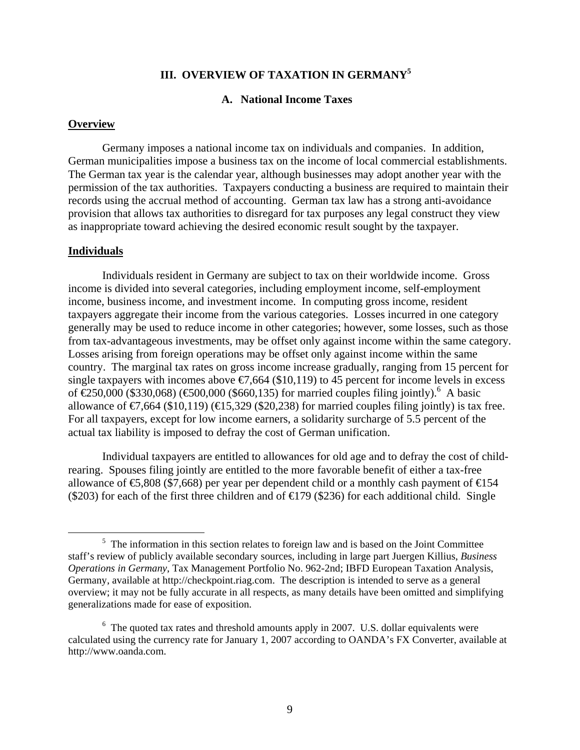# **III. OVERVIEW OF TAXATION IN GERMANY5**

## **A. National Income Taxes**

### **Overview**

Germany imposes a national income tax on individuals and companies. In addition, German municipalities impose a business tax on the income of local commercial establishments. The German tax year is the calendar year, although businesses may adopt another year with the permission of the tax authorities. Taxpayers conducting a business are required to maintain their records using the accrual method of accounting. German tax law has a strong anti-avoidance provision that allows tax authorities to disregard for tax purposes any legal construct they view as inappropriate toward achieving the desired economic result sought by the taxpayer.

## **Individuals**

Individuals resident in Germany are subject to tax on their worldwide income. Gross income is divided into several categories, including employment income, self-employment income, business income, and investment income. In computing gross income, resident taxpayers aggregate their income from the various categories. Losses incurred in one category generally may be used to reduce income in other categories; however, some losses, such as those from tax-advantageous investments, may be offset only against income within the same category. Losses arising from foreign operations may be offset only against income within the same country. The marginal tax rates on gross income increase gradually, ranging from 15 percent for single taxpayers with incomes above  $\epsilon$ 7,664 (\$10,119) to 45 percent for income levels in excess of  $€250,000$  (\$330,068) (€500,000 (\$660,135) for married couples filing jointly).<sup>6</sup> A basic allowance of  $\epsilon$ 7,664 (\$10,119) ( $\epsilon$ 15,329 (\$20,238) for married couples filing jointly) is tax free. For all taxpayers, except for low income earners, a solidarity surcharge of 5.5 percent of the actual tax liability is imposed to defray the cost of German unification.

Individual taxpayers are entitled to allowances for old age and to defray the cost of childrearing. Spouses filing jointly are entitled to the more favorable benefit of either a tax-free allowance of  $\epsilon$ ,808 (\$7,668) per year per dependent child or a monthly cash payment of  $\epsilon$  54 (\$203) for each of the first three children and of  $\bigoplus$  (\$236) for each additional child. Single

 $rac{1}{5}$  $5\text{ }$  The information in this section relates to foreign law and is based on the Joint Committee staff's review of publicly available secondary sources, including in large part Juergen Killius, *Business Operations in Germany*, Tax Management Portfolio No. 962-2nd; IBFD European Taxation Analysis, Germany, available at http://checkpoint.riag.com. The description is intended to serve as a general overview; it may not be fully accurate in all respects, as many details have been omitted and simplifying generalizations made for ease of exposition.

 $6$  The quoted tax rates and threshold amounts apply in 2007. U.S. dollar equivalents were calculated using the currency rate for January 1, 2007 according to OANDA's FX Converter, available at http://www.oanda.com.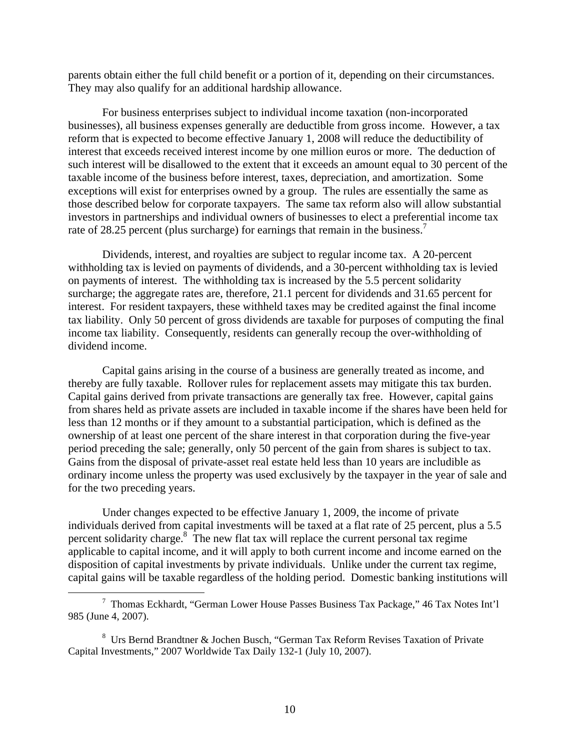parents obtain either the full child benefit or a portion of it, depending on their circumstances. They may also qualify for an additional hardship allowance.

For business enterprises subject to individual income taxation (non-incorporated businesses), all business expenses generally are deductible from gross income. However, a tax reform that is expected to become effective January 1, 2008 will reduce the deductibility of interest that exceeds received interest income by one million euros or more. The deduction of such interest will be disallowed to the extent that it exceeds an amount equal to 30 percent of the taxable income of the business before interest, taxes, depreciation, and amortization. Some exceptions will exist for enterprises owned by a group. The rules are essentially the same as those described below for corporate taxpayers. The same tax reform also will allow substantial investors in partnerships and individual owners of businesses to elect a preferential income tax rate of 28.25 percent (plus surcharge) for earnings that remain in the business.<sup>7</sup>

Dividends, interest, and royalties are subject to regular income tax. A 20-percent withholding tax is levied on payments of dividends, and a 30-percent withholding tax is levied on payments of interest. The withholding tax is increased by the 5.5 percent solidarity surcharge; the aggregate rates are, therefore, 21.1 percent for dividends and 31.65 percent for interest. For resident taxpayers, these withheld taxes may be credited against the final income tax liability. Only 50 percent of gross dividends are taxable for purposes of computing the final income tax liability. Consequently, residents can generally recoup the over-withholding of dividend income.

Capital gains arising in the course of a business are generally treated as income, and thereby are fully taxable. Rollover rules for replacement assets may mitigate this tax burden. Capital gains derived from private transactions are generally tax free. However, capital gains from shares held as private assets are included in taxable income if the shares have been held for less than 12 months or if they amount to a substantial participation, which is defined as the ownership of at least one percent of the share interest in that corporation during the five-year period preceding the sale; generally, only 50 percent of the gain from shares is subject to tax. Gains from the disposal of private-asset real estate held less than 10 years are includible as ordinary income unless the property was used exclusively by the taxpayer in the year of sale and for the two preceding years.

Under changes expected to be effective January 1, 2009, the income of private individuals derived from capital investments will be taxed at a flat rate of 25 percent, plus a 5.5 percent solidarity charge.<sup>8</sup> The new flat tax will replace the current personal tax regime applicable to capital income, and it will apply to both current income and income earned on the disposition of capital investments by private individuals. Unlike under the current tax regime, capital gains will be taxable regardless of the holding period. Domestic banking institutions will

 <sup>7</sup> <sup>7</sup> Thomas Eckhardt, "German Lower House Passes Business Tax Package," 46 Tax Notes Int'l 985 (June 4, 2007).

<sup>&</sup>lt;sup>8</sup> Urs Bernd Brandtner & Jochen Busch, "German Tax Reform Revises Taxation of Private Capital Investments," 2007 Worldwide Tax Daily 132-1 (July 10, 2007).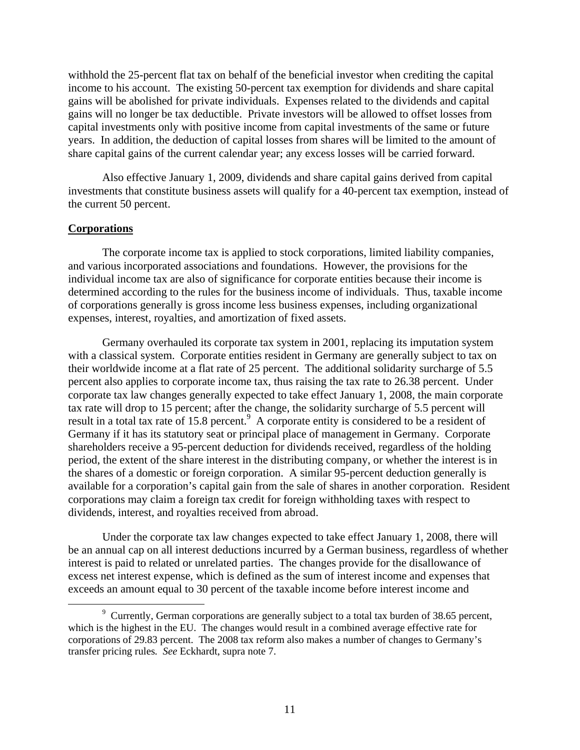withhold the 25-percent flat tax on behalf of the beneficial investor when crediting the capital income to his account. The existing 50-percent tax exemption for dividends and share capital gains will be abolished for private individuals. Expenses related to the dividends and capital gains will no longer be tax deductible. Private investors will be allowed to offset losses from capital investments only with positive income from capital investments of the same or future years. In addition, the deduction of capital losses from shares will be limited to the amount of share capital gains of the current calendar year; any excess losses will be carried forward.

Also effective January 1, 2009, dividends and share capital gains derived from capital investments that constitute business assets will qualify for a 40-percent tax exemption, instead of the current 50 percent.

### **Corporations**

The corporate income tax is applied to stock corporations, limited liability companies, and various incorporated associations and foundations. However, the provisions for the individual income tax are also of significance for corporate entities because their income is determined according to the rules for the business income of individuals. Thus, taxable income of corporations generally is gross income less business expenses, including organizational expenses, interest, royalties, and amortization of fixed assets.

Germany overhauled its corporate tax system in 2001, replacing its imputation system with a classical system. Corporate entities resident in Germany are generally subject to tax on their worldwide income at a flat rate of 25 percent. The additional solidarity surcharge of 5.5 percent also applies to corporate income tax, thus raising the tax rate to 26.38 percent. Under corporate tax law changes generally expected to take effect January 1, 2008, the main corporate tax rate will drop to 15 percent; after the change, the solidarity surcharge of 5.5 percent will result in a total tax rate of 15.8 percent.<sup>9</sup> A corporate entity is considered to be a resident of Germany if it has its statutory seat or principal place of management in Germany. Corporate shareholders receive a 95-percent deduction for dividends received, regardless of the holding period, the extent of the share interest in the distributing company, or whether the interest is in the shares of a domestic or foreign corporation. A similar 95-percent deduction generally is available for a corporation's capital gain from the sale of shares in another corporation. Resident corporations may claim a foreign tax credit for foreign withholding taxes with respect to dividends, interest, and royalties received from abroad.

Under the corporate tax law changes expected to take effect January 1, 2008, there will be an annual cap on all interest deductions incurred by a German business, regardless of whether interest is paid to related or unrelated parties. The changes provide for the disallowance of excess net interest expense, which is defined as the sum of interest income and expenses that exceeds an amount equal to 30 percent of the taxable income before interest income and

 <sup>9</sup> <sup>9</sup> Currently, German corporations are generally subject to a total tax burden of 38.65 percent, which is the highest in the EU. The changes would result in a combined average effective rate for corporations of 29.83 percent. The 2008 tax reform also makes a number of changes to Germany's transfer pricing rules*. See* Eckhardt, supra note 7.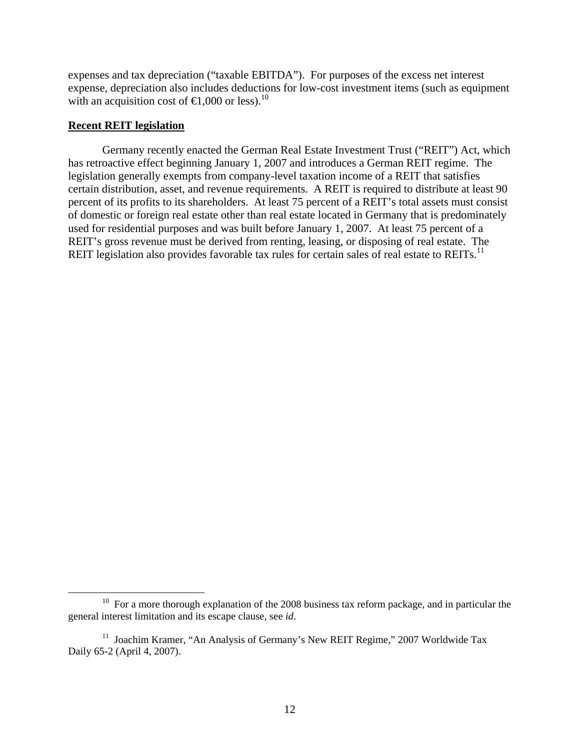expenses and tax depreciation ("taxable EBITDA"). For purposes of the excess net interest expense, depreciation also includes deductions for low-cost investment items (such as equipment with an acquisition cost of  $\in$ 1,000 or less).<sup>10</sup>

## **Recent REIT legislation**

Germany recently enacted the German Real Estate Investment Trust ("REIT") Act, which has retroactive effect beginning January 1, 2007 and introduces a German REIT regime. The legislation generally exempts from company-level taxation income of a REIT that satisfies certain distribution, asset, and revenue requirements. A REIT is required to distribute at least 90 percent of its profits to its shareholders. At least 75 percent of a REIT's total assets must consist of domestic or foreign real estate other than real estate located in Germany that is predominately used for residential purposes and was built before January 1, 2007. At least 75 percent of a REIT's gross revenue must be derived from renting, leasing, or disposing of real estate. The REIT legislation also provides favorable tax rules for certain sales of real estate to REITs.<sup>11</sup>

<sup>&</sup>lt;sup>10</sup> For a more thorough explanation of the 2008 business tax reform package, and in particular the general interest limitation and its escape clause, see *id*.

<sup>&</sup>lt;sup>11</sup> Joachim Kramer, "An Analysis of Germany's New REIT Regime," 2007 Worldwide Tax Daily 65-2 (April 4, 2007).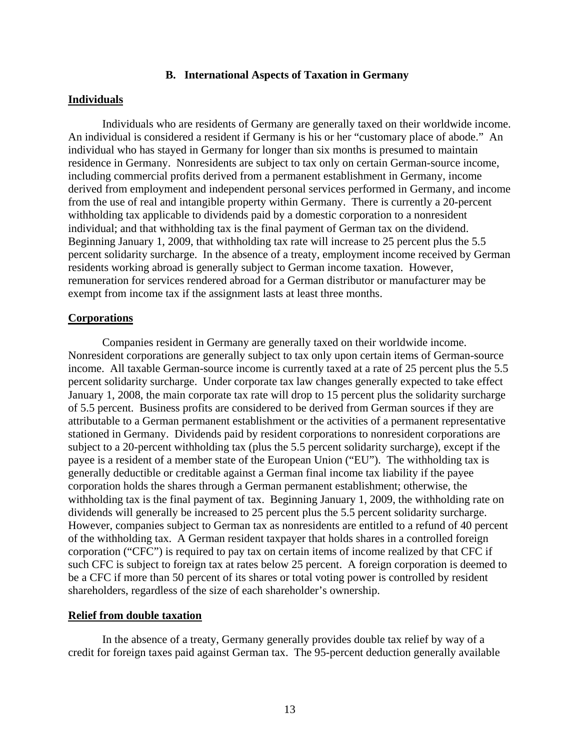### **B. International Aspects of Taxation in Germany**

#### **Individuals**

Individuals who are residents of Germany are generally taxed on their worldwide income. An individual is considered a resident if Germany is his or her "customary place of abode." An individual who has stayed in Germany for longer than six months is presumed to maintain residence in Germany. Nonresidents are subject to tax only on certain German-source income, including commercial profits derived from a permanent establishment in Germany, income derived from employment and independent personal services performed in Germany, and income from the use of real and intangible property within Germany. There is currently a 20-percent withholding tax applicable to dividends paid by a domestic corporation to a nonresident individual; and that withholding tax is the final payment of German tax on the dividend. Beginning January 1, 2009, that withholding tax rate will increase to 25 percent plus the 5.5 percent solidarity surcharge. In the absence of a treaty, employment income received by German residents working abroad is generally subject to German income taxation. However, remuneration for services rendered abroad for a German distributor or manufacturer may be exempt from income tax if the assignment lasts at least three months.

### **Corporations**

Companies resident in Germany are generally taxed on their worldwide income. Nonresident corporations are generally subject to tax only upon certain items of German-source income. All taxable German-source income is currently taxed at a rate of 25 percent plus the 5.5 percent solidarity surcharge. Under corporate tax law changes generally expected to take effect January 1, 2008, the main corporate tax rate will drop to 15 percent plus the solidarity surcharge of 5.5 percent. Business profits are considered to be derived from German sources if they are attributable to a German permanent establishment or the activities of a permanent representative stationed in Germany. Dividends paid by resident corporations to nonresident corporations are subject to a 20-percent withholding tax (plus the 5.5 percent solidarity surcharge), except if the payee is a resident of a member state of the European Union ("EU"). The withholding tax is generally deductible or creditable against a German final income tax liability if the payee corporation holds the shares through a German permanent establishment; otherwise, the withholding tax is the final payment of tax. Beginning January 1, 2009, the withholding rate on dividends will generally be increased to 25 percent plus the 5.5 percent solidarity surcharge. However, companies subject to German tax as nonresidents are entitled to a refund of 40 percent of the withholding tax. A German resident taxpayer that holds shares in a controlled foreign corporation ("CFC") is required to pay tax on certain items of income realized by that CFC if such CFC is subject to foreign tax at rates below 25 percent. A foreign corporation is deemed to be a CFC if more than 50 percent of its shares or total voting power is controlled by resident shareholders, regardless of the size of each shareholder's ownership.

### **Relief from double taxation**

In the absence of a treaty, Germany generally provides double tax relief by way of a credit for foreign taxes paid against German tax. The 95-percent deduction generally available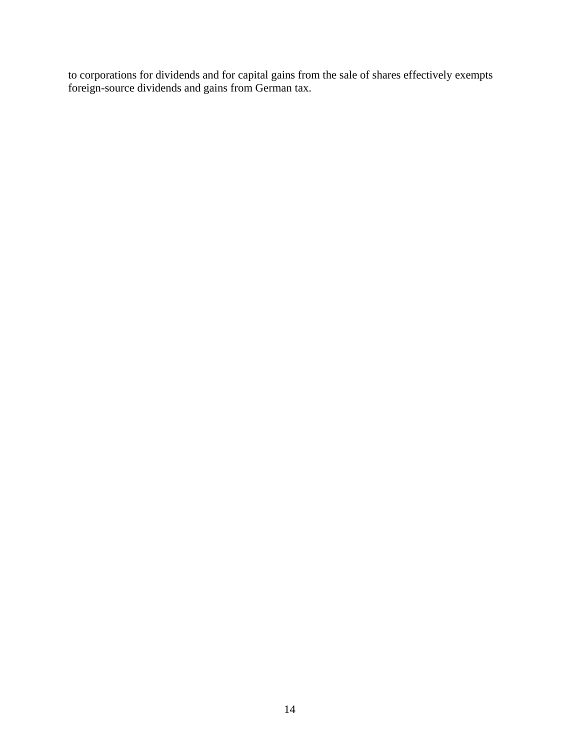to corporations for dividends and for capital gains from the sale of shares effectively exempts foreign-source dividends and gains from German tax.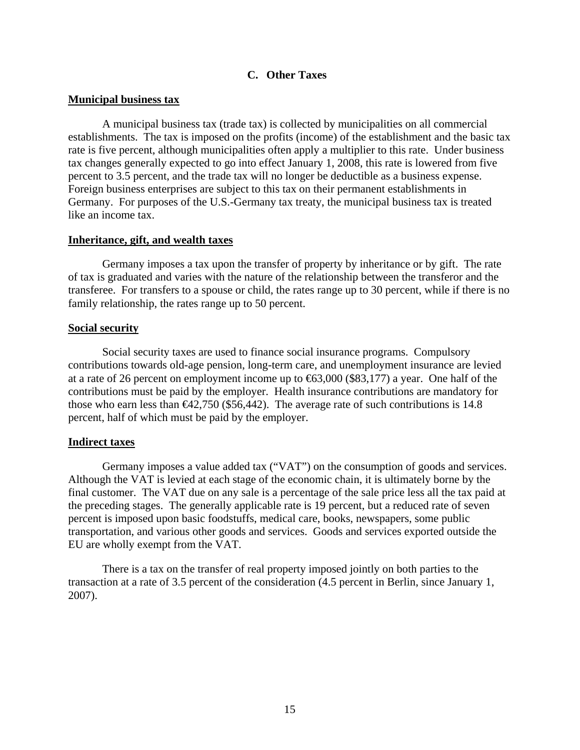# **C. Other Taxes**

#### **Municipal business tax**

A municipal business tax (trade tax) is collected by municipalities on all commercial establishments. The tax is imposed on the profits (income) of the establishment and the basic tax rate is five percent, although municipalities often apply a multiplier to this rate. Under business tax changes generally expected to go into effect January 1, 2008, this rate is lowered from five percent to 3.5 percent, and the trade tax will no longer be deductible as a business expense. Foreign business enterprises are subject to this tax on their permanent establishments in Germany. For purposes of the U.S.-Germany tax treaty, the municipal business tax is treated like an income tax.

#### **Inheritance, gift, and wealth taxes**

Germany imposes a tax upon the transfer of property by inheritance or by gift. The rate of tax is graduated and varies with the nature of the relationship between the transferor and the transferee. For transfers to a spouse or child, the rates range up to 30 percent, while if there is no family relationship, the rates range up to 50 percent.

#### **Social security**

Social security taxes are used to finance social insurance programs. Compulsory contributions towards old-age pension, long-term care, and unemployment insurance are levied at a rate of 26 percent on employment income up to  $63,000$  (\$83,177) a year. One half of the contributions must be paid by the employer. Health insurance contributions are mandatory for those who earn less than  $\epsilon 42,750$  (\$56,442). The average rate of such contributions is 14.8 percent, half of which must be paid by the employer.

### **Indirect taxes**

Germany imposes a value added tax ("VAT") on the consumption of goods and services. Although the VAT is levied at each stage of the economic chain, it is ultimately borne by the final customer. The VAT due on any sale is a percentage of the sale price less all the tax paid at the preceding stages. The generally applicable rate is 19 percent, but a reduced rate of seven percent is imposed upon basic foodstuffs, medical care, books, newspapers, some public transportation, and various other goods and services. Goods and services exported outside the EU are wholly exempt from the VAT.

There is a tax on the transfer of real property imposed jointly on both parties to the transaction at a rate of 3.5 percent of the consideration (4.5 percent in Berlin, since January 1, 2007).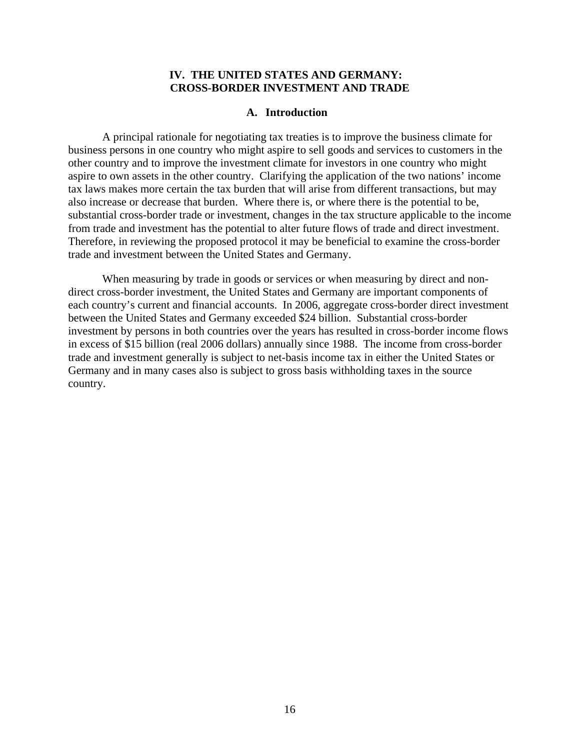## **IV. THE UNITED STATES AND GERMANY: CROSS-BORDER INVESTMENT AND TRADE**

#### **A. Introduction**

A principal rationale for negotiating tax treaties is to improve the business climate for business persons in one country who might aspire to sell goods and services to customers in the other country and to improve the investment climate for investors in one country who might aspire to own assets in the other country. Clarifying the application of the two nations' income tax laws makes more certain the tax burden that will arise from different transactions, but may also increase or decrease that burden. Where there is, or where there is the potential to be, substantial cross-border trade or investment, changes in the tax structure applicable to the income from trade and investment has the potential to alter future flows of trade and direct investment. Therefore, in reviewing the proposed protocol it may be beneficial to examine the cross-border trade and investment between the United States and Germany.

When measuring by trade in goods or services or when measuring by direct and nondirect cross-border investment, the United States and Germany are important components of each country's current and financial accounts. In 2006, aggregate cross-border direct investment between the United States and Germany exceeded \$24 billion. Substantial cross-border investment by persons in both countries over the years has resulted in cross-border income flows in excess of \$15 billion (real 2006 dollars) annually since 1988. The income from cross-border trade and investment generally is subject to net-basis income tax in either the United States or Germany and in many cases also is subject to gross basis withholding taxes in the source country.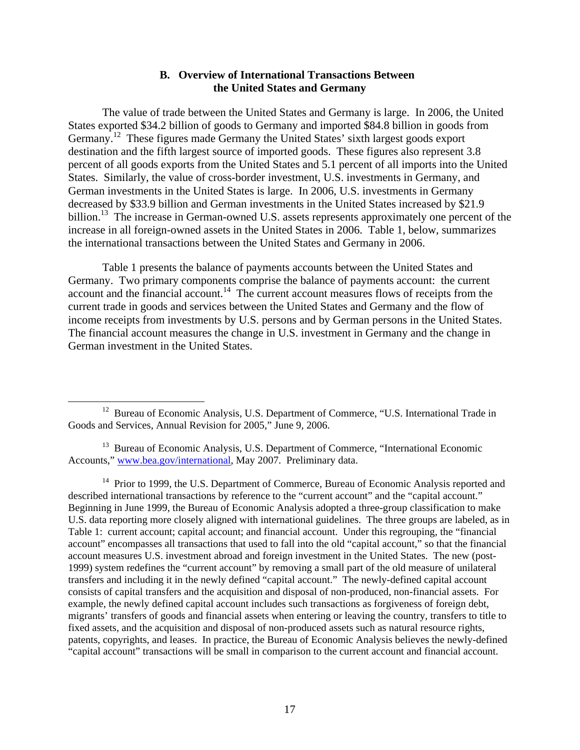## **B. Overview of International Transactions Between the United States and Germany**

The value of trade between the United States and Germany is large. In 2006, the United States exported \$34.2 billion of goods to Germany and imported \$84.8 billion in goods from Germany.12 These figures made Germany the United States' sixth largest goods export destination and the fifth largest source of imported goods. These figures also represent 3.8 percent of all goods exports from the United States and 5.1 percent of all imports into the United States. Similarly, the value of cross-border investment, U.S. investments in Germany, and German investments in the United States is large. In 2006, U.S. investments in Germany decreased by \$33.9 billion and German investments in the United States increased by \$21.9 billion.<sup>13</sup> The increase in German-owned U.S. assets represents approximately one percent of the increase in all foreign-owned assets in the United States in 2006. Table 1, below, summarizes the international transactions between the United States and Germany in 2006.

Table 1 presents the balance of payments accounts between the United States and Germany. Two primary components comprise the balance of payments account: the current  $\frac{1}{2}$  account and the financial account.<sup>14</sup> The current account measures flows of receipts from the current trade in goods and services between the United States and Germany and the flow of income receipts from investments by U.S. persons and by German persons in the United States. The financial account measures the change in U.S. investment in Germany and the change in German investment in the United States.

<sup>13</sup> Bureau of Economic Analysis, U.S. Department of Commerce, "International Economic Accounts," www.bea.gov/international, May 2007. Preliminary data.

<sup>14</sup> Prior to 1999, the U.S. Department of Commerce, Bureau of Economic Analysis reported and described international transactions by reference to the "current account" and the "capital account." Beginning in June 1999, the Bureau of Economic Analysis adopted a three-group classification to make U.S. data reporting more closely aligned with international guidelines. The three groups are labeled, as in Table 1: current account; capital account; and financial account. Under this regrouping, the "financial account" encompasses all transactions that used to fall into the old "capital account," so that the financial account measures U.S. investment abroad and foreign investment in the United States. The new (post-1999) system redefines the "current account" by removing a small part of the old measure of unilateral transfers and including it in the newly defined "capital account." The newly-defined capital account consists of capital transfers and the acquisition and disposal of non-produced, non-financial assets. For example, the newly defined capital account includes such transactions as forgiveness of foreign debt, migrants' transfers of goods and financial assets when entering or leaving the country, transfers to title to fixed assets, and the acquisition and disposal of non-produced assets such as natural resource rights, patents, copyrights, and leases. In practice, the Bureau of Economic Analysis believes the newly-defined "capital account" transactions will be small in comparison to the current account and financial account.

<sup>&</sup>lt;sup>12</sup> Bureau of Economic Analysis, U.S. Department of Commerce, "U.S. International Trade in Goods and Services, Annual Revision for 2005," June 9, 2006.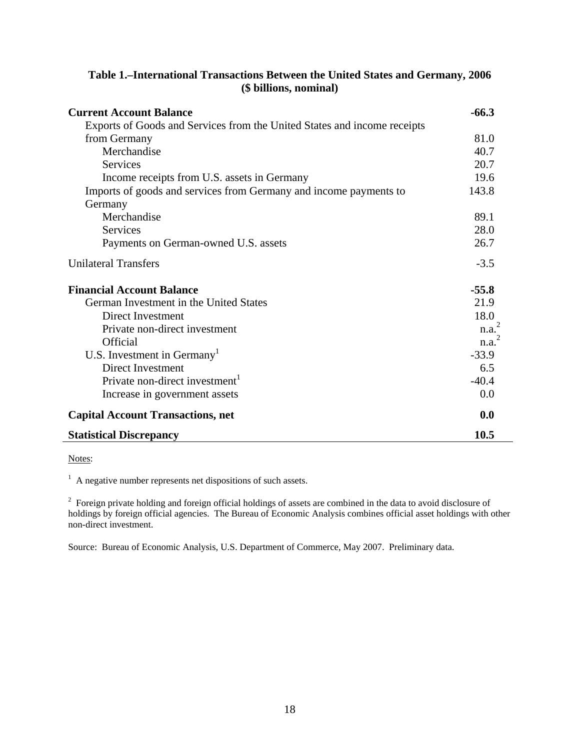| Table 1.–International Transactions Between the United States and Germany, 2006 |
|---------------------------------------------------------------------------------|
| (\$ billions, nominal)                                                          |

| <b>Current Account Balance</b>                                           |                   |  |
|--------------------------------------------------------------------------|-------------------|--|
| Exports of Goods and Services from the United States and income receipts |                   |  |
| from Germany                                                             | 81.0              |  |
| Merchandise                                                              | 40.7              |  |
| Services                                                                 | 20.7              |  |
| Income receipts from U.S. assets in Germany                              | 19.6              |  |
| Imports of goods and services from Germany and income payments to        | 143.8             |  |
| Germany                                                                  |                   |  |
| Merchandise                                                              | 89.1              |  |
| <b>Services</b>                                                          | 28.0              |  |
| Payments on German-owned U.S. assets                                     | 26.7              |  |
| <b>Unilateral Transfers</b>                                              |                   |  |
| <b>Financial Account Balance</b>                                         |                   |  |
| German Investment in the United States                                   | 21.9              |  |
| Direct Investment                                                        | 18.0              |  |
| Private non-direct investment                                            | n.a. <sup>2</sup> |  |
| Official                                                                 | n.a. <sup>2</sup> |  |
| U.S. Investment in Germany <sup>1</sup>                                  | $-33.9$           |  |
| <b>Direct Investment</b>                                                 | 6.5               |  |
| Private non-direct investment <sup>1</sup>                               | $-40.4$           |  |
| Increase in government assets                                            | 0.0               |  |
| <b>Capital Account Transactions, net</b>                                 |                   |  |
| <b>Statistical Discrepancy</b>                                           |                   |  |

# Notes:

 $\overline{a}$ 

<sup>1</sup> A negative number represents net dispositions of such assets.

 $2^2$  Foreign private holding and foreign official holdings of assets are combined in the data to avoid disclosure of holdings by foreign official agencies. The Bureau of Economic Analysis combines official asset holdings with other non-direct investment.

Source: Bureau of Economic Analysis, U.S. Department of Commerce, May 2007. Preliminary data.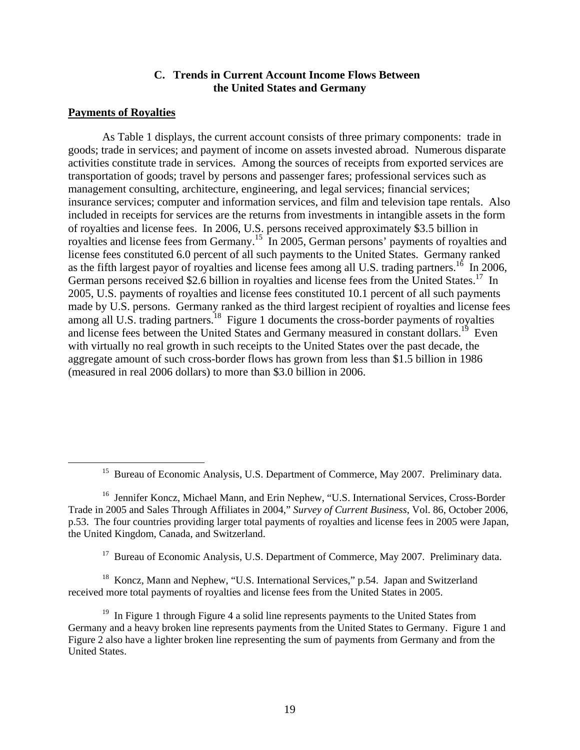## **C. Trends in Current Account Income Flows Between the United States and Germany**

## **Payments of Royalties**

As Table 1 displays, the current account consists of three primary components: trade in goods; trade in services; and payment of income on assets invested abroad. Numerous disparate activities constitute trade in services. Among the sources of receipts from exported services are transportation of goods; travel by persons and passenger fares; professional services such as management consulting, architecture, engineering, and legal services; financial services; insurance services; computer and information services, and film and television tape rentals. Also included in receipts for services are the returns from investments in intangible assets in the form of royalties and license fees. In 2006, U.S. persons received approximately \$3.5 billion in royalties and license fees from Germany.15 In 2005, German persons' payments of royalties and license fees constituted 6.0 percent of all such payments to the United States. Germany ranked as the fifth largest payor of royalties and license fees among all U.S. trading partners.<sup>16</sup> In 2006, German persons received \$2.6 billion in royalties and license fees from the United States.<sup>17</sup> In 2005, U.S. payments of royalties and license fees constituted 10.1 percent of all such payments made by U.S. persons. Germany ranked as the third largest recipient of royalties and license fees among all U.S. trading partners.18 Figure 1 documents the cross-border payments of royalties and license fees between the United States and Germany measured in constant dollars.<sup>19</sup> Even with virtually no real growth in such receipts to the United States over the past decade, the aggregate amount of such cross-border flows has grown from less than \$1.5 billion in 1986 (measured in real 2006 dollars) to more than \$3.0 billion in 2006.

<sup>17</sup> Bureau of Economic Analysis, U.S. Department of Commerce, May 2007. Preliminary data.

<sup>18</sup> Koncz, Mann and Nephew, "U.S. International Services," p.54. Japan and Switzerland received more total payments of royalties and license fees from the United States in 2005.

<sup>&</sup>lt;sup>15</sup> Bureau of Economic Analysis, U.S. Department of Commerce, May 2007. Preliminary data.

<sup>&</sup>lt;sup>16</sup> Jennifer Koncz, Michael Mann, and Erin Nephew, "U.S. International Services, Cross-Border Trade in 2005 and Sales Through Affiliates in 2004," *Survey of Current Business*, Vol. 86, October 2006, p.53. The four countries providing larger total payments of royalties and license fees in 2005 were Japan, the United Kingdom, Canada, and Switzerland.

<sup>&</sup>lt;sup>19</sup> In Figure 1 through Figure 4 a solid line represents payments to the United States from Germany and a heavy broken line represents payments from the United States to Germany. Figure 1 and Figure 2 also have a lighter broken line representing the sum of payments from Germany and from the United States.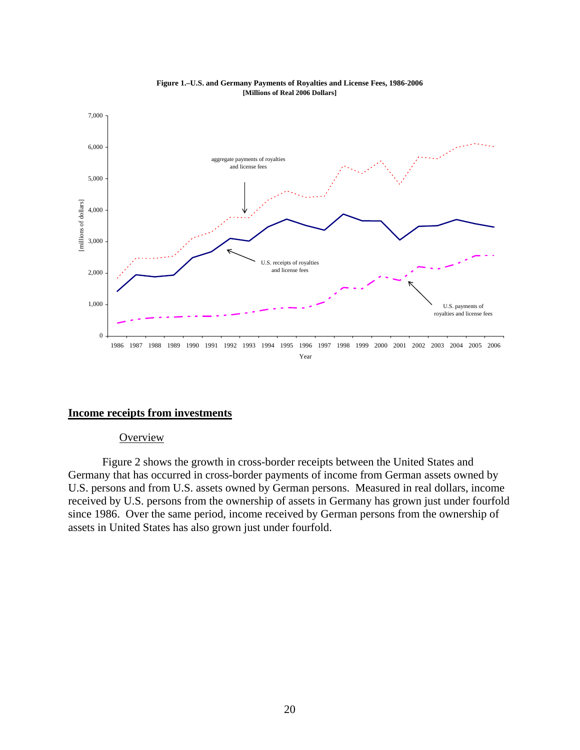

**Figure 1.–U.S. and Germany Payments of Royalties and License Fees, 1986-2006 [Millions of Real 2006 Dollars]**

### **Income receipts from investments**

# **Overview**

Figure 2 shows the growth in cross-border receipts between the United States and Germany that has occurred in cross-border payments of income from German assets owned by U.S. persons and from U.S. assets owned by German persons. Measured in real dollars, income received by U.S. persons from the ownership of assets in Germany has grown just under fourfold since 1986. Over the same period, income received by German persons from the ownership of assets in United States has also grown just under fourfold.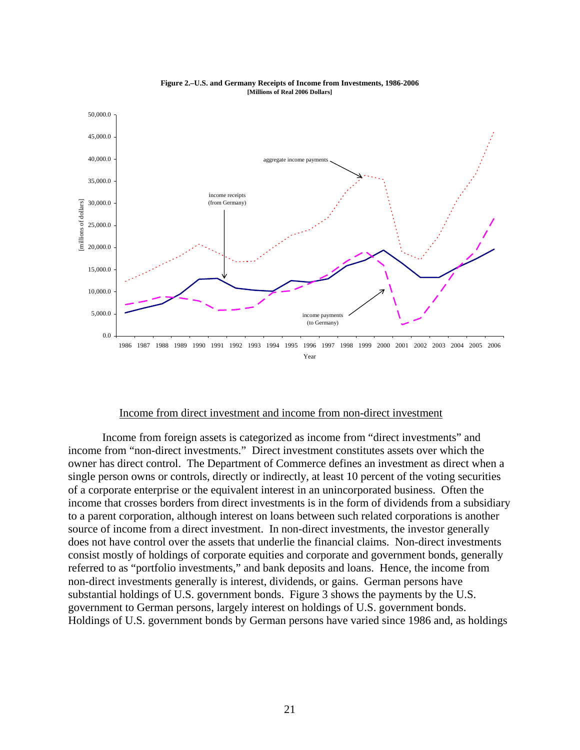

**Figure 2.–U.S. and Germany Receipts of Income from Investments, 1986-2006 [Millions of Real 2006 Dollars]**

#### Income from direct investment and income from non-direct investment

Income from foreign assets is categorized as income from "direct investments" and income from "non-direct investments." Direct investment constitutes assets over which the owner has direct control. The Department of Commerce defines an investment as direct when a single person owns or controls, directly or indirectly, at least 10 percent of the voting securities of a corporate enterprise or the equivalent interest in an unincorporated business. Often the income that crosses borders from direct investments is in the form of dividends from a subsidiary to a parent corporation, although interest on loans between such related corporations is another source of income from a direct investment. In non-direct investments, the investor generally does not have control over the assets that underlie the financial claims. Non-direct investments consist mostly of holdings of corporate equities and corporate and government bonds, generally referred to as "portfolio investments," and bank deposits and loans. Hence, the income from non-direct investments generally is interest, dividends, or gains. German persons have substantial holdings of U.S. government bonds. Figure 3 shows the payments by the U.S. government to German persons, largely interest on holdings of U.S. government bonds. Holdings of U.S. government bonds by German persons have varied since 1986 and, as holdings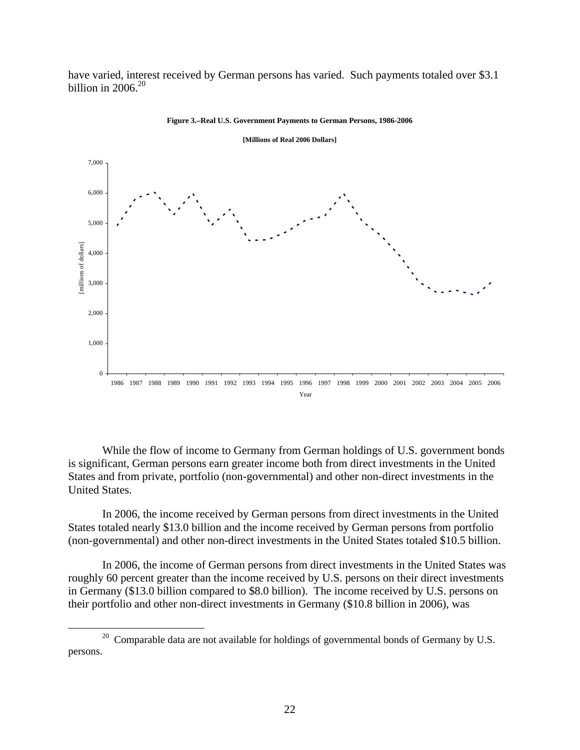have varied, interest received by German persons has varied. Such payments totaled over \$3.1 billion in  $2006.<sup>20</sup>$ 



**Figure 3.–Real U.S. Government Payments to German Persons, 1986-2006**

**[Millions of Real 2006 Dollars]**

While the flow of income to Germany from German holdings of U.S. government bonds is significant, German persons earn greater income both from direct investments in the United States and from private, portfolio (non-governmental) and other non-direct investments in the United States.

In 2006, the income received by German persons from direct investments in the United States totaled nearly \$13.0 billion and the income received by German persons from portfolio (non-governmental) and other non-direct investments in the United States totaled \$10.5 billion.

In 2006, the income of German persons from direct investments in the United States was roughly 60 percent greater than the income received by U.S. persons on their direct investments in Germany (\$13.0 billion compared to \$8.0 billion). The income received by U.S. persons on their portfolio and other non-direct investments in Germany (\$10.8 billion in 2006), was

 $20$  Comparable data are not available for holdings of governmental bonds of Germany by U.S. persons.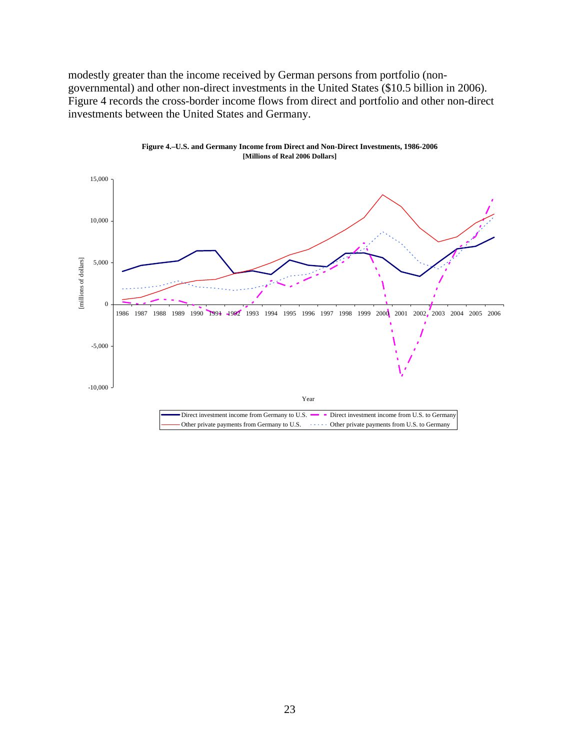modestly greater than the income received by German persons from portfolio (nongovernmental) and other non-direct investments in the United States (\$10.5 billion in 2006). Figure 4 records the cross-border income flows from direct and portfolio and other non-direct investments between the United States and Germany.



**Figure 4.–U.S. and Germany Income from Direct and Non-Direct Investments, 1986-2006 [Millions of Real 2006 Dollars]**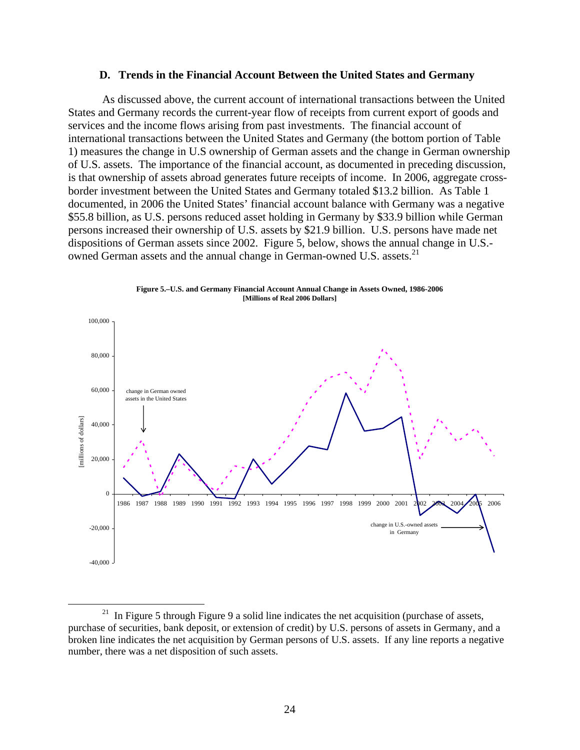#### **D. Trends in the Financial Account Between the United States and Germany**

As discussed above, the current account of international transactions between the United States and Germany records the current-year flow of receipts from current export of goods and services and the income flows arising from past investments. The financial account of international transactions between the United States and Germany (the bottom portion of Table 1) measures the change in U.S ownership of German assets and the change in German ownership of U.S. assets. The importance of the financial account, as documented in preceding discussion, is that ownership of assets abroad generates future receipts of income. In 2006, aggregate crossborder investment between the United States and Germany totaled \$13.2 billion. As Table 1 documented, in 2006 the United States' financial account balance with Germany was a negative \$55.8 billion, as U.S. persons reduced asset holding in Germany by \$33.9 billion while German persons increased their ownership of U.S. assets by \$21.9 billion. U.S. persons have made net dispositions of German assets since 2002. Figure 5, below, shows the annual change in U.S. owned German assets and the annual change in German-owned U.S. assets.<sup>21</sup>





<sup>&</sup>lt;sup>21</sup> In Figure 5 through Figure 9 a solid line indicates the net acquisition (purchase of assets, purchase of securities, bank deposit, or extension of credit) by U.S. persons of assets in Germany, and a broken line indicates the net acquisition by German persons of U.S. assets. If any line reports a negative number, there was a net disposition of such assets.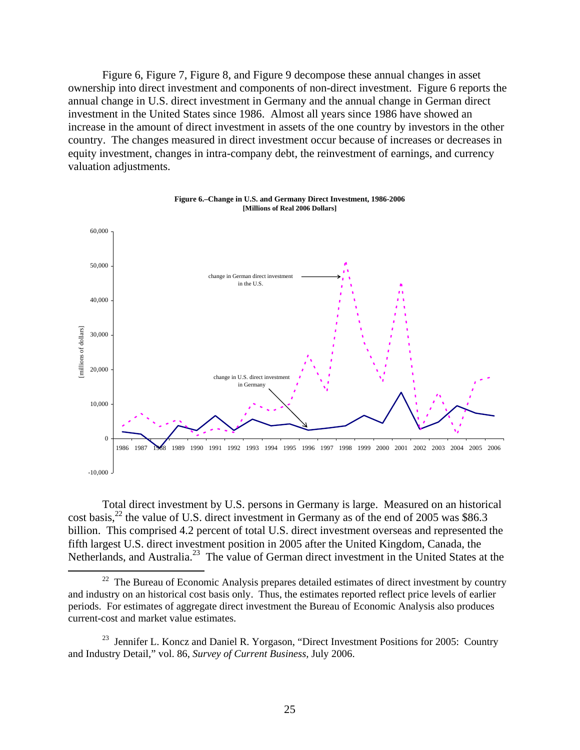Figure 6, Figure 7, Figure 8, and Figure 9 decompose these annual changes in asset ownership into direct investment and components of non-direct investment. Figure 6 reports the annual change in U.S. direct investment in Germany and the annual change in German direct investment in the United States since 1986. Almost all years since 1986 have showed an increase in the amount of direct investment in assets of the one country by investors in the other country. The changes measured in direct investment occur because of increases or decreases in equity investment, changes in intra-company debt, the reinvestment of earnings, and currency valuation adjustments.



**Figure 6.–Change in U.S. and Germany Direct Investment, 1986-2006 [Millions of Real 2006 Dollars]**

Total direct investment by U.S. persons in Germany is large. Measured on an historical cost basis,  $^{22}$  the value of U.S. direct investment in Germany as of the end of 2005 was \$86.3 billion. This comprised 4.2 percent of total U.S. direct investment overseas and represented the fifth largest U.S. direct investment position in 2005 after the United Kingdom, Canada, the Netherlands, and Australia.<sup>23</sup> The value of German direct investment in the United States at the

 $22$  The Bureau of Economic Analysis prepares detailed estimates of direct investment by country and industry on an historical cost basis only. Thus, the estimates reported reflect price levels of earlier periods. For estimates of aggregate direct investment the Bureau of Economic Analysis also produces current-cost and market value estimates.

<sup>&</sup>lt;sup>23</sup> Jennifer L. Koncz and Daniel R. Yorgason, "Direct Investment Positions for 2005: Country and Industry Detail," vol. 86, *Survey of Current Business,* July 2006.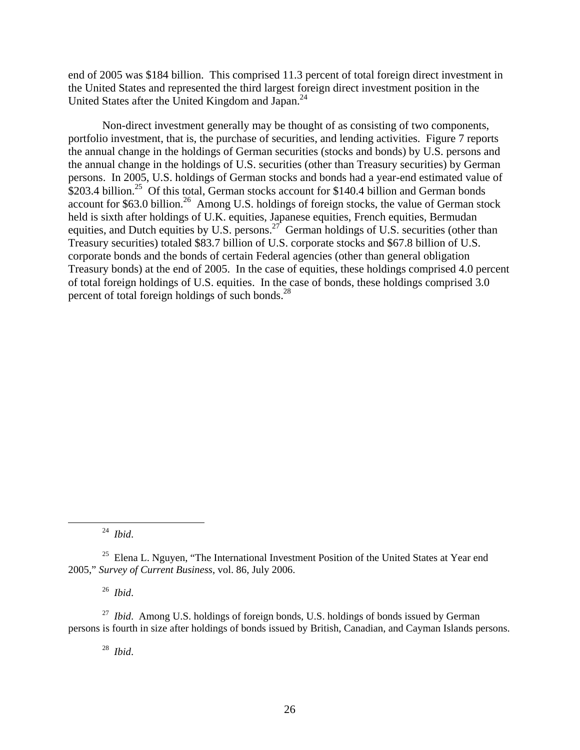end of 2005 was \$184 billion. This comprised 11.3 percent of total foreign direct investment in the United States and represented the third largest foreign direct investment position in the United States after the United Kingdom and Japan.<sup>24</sup>

Non-direct investment generally may be thought of as consisting of two components, portfolio investment, that is, the purchase of securities, and lending activities. Figure 7 reports the annual change in the holdings of German securities (stocks and bonds) by U.S. persons and the annual change in the holdings of U.S. securities (other than Treasury securities) by German persons. In 2005, U.S. holdings of German stocks and bonds had a year-end estimated value of \$203.4 billion.<sup>25</sup> Of this total, German stocks account for \$140.4 billion and German bonds account for \$63.0 billion.<sup>26</sup> Among U.S. holdings of foreign stocks, the value of German stock held is sixth after holdings of U.K. equities, Japanese equities, French equities, Bermudan equities, and Dutch equities by U.S. persons.<sup>27</sup> German holdings of U.S. securities (other than Treasury securities) totaled \$83.7 billion of U.S. corporate stocks and \$67.8 billion of U.S. corporate bonds and the bonds of certain Federal agencies (other than general obligation Treasury bonds) at the end of 2005. In the case of equities, these holdings comprised 4.0 percent of total foreign holdings of U.S. equities. In the case of bonds, these holdings comprised 3.0 percent of total foreign holdings of such bonds.<sup>28</sup>

24 *Ibid*.

26 *Ibid*.

<sup>27</sup> *Ibid.* Among U.S. holdings of foreign bonds, U.S. holdings of bonds issued by German persons is fourth in size after holdings of bonds issued by British, Canadian, and Cayman Islands persons.

28 *Ibid*.

 $25$  Elena L. Nguyen, "The International Investment Position of the United States at Year end 2005," *Survey of Current Business*, vol. 86, July 2006.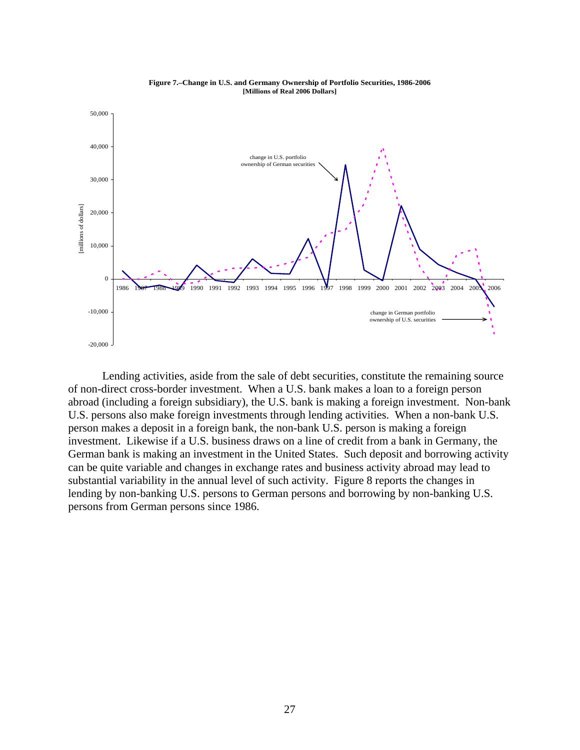

**Figure 7.–Change in U.S. and Germany Ownership of Portfolio Securities, 1986-2006 [Millions of Real 2006 Dollars]**

Lending activities, aside from the sale of debt securities, constitute the remaining source of non-direct cross-border investment. When a U.S. bank makes a loan to a foreign person abroad (including a foreign subsidiary), the U.S. bank is making a foreign investment. Non-bank U.S. persons also make foreign investments through lending activities. When a non-bank U.S. person makes a deposit in a foreign bank, the non-bank U.S. person is making a foreign investment. Likewise if a U.S. business draws on a line of credit from a bank in Germany, the German bank is making an investment in the United States. Such deposit and borrowing activity can be quite variable and changes in exchange rates and business activity abroad may lead to substantial variability in the annual level of such activity. Figure 8 reports the changes in lending by non-banking U.S. persons to German persons and borrowing by non-banking U.S. persons from German persons since 1986.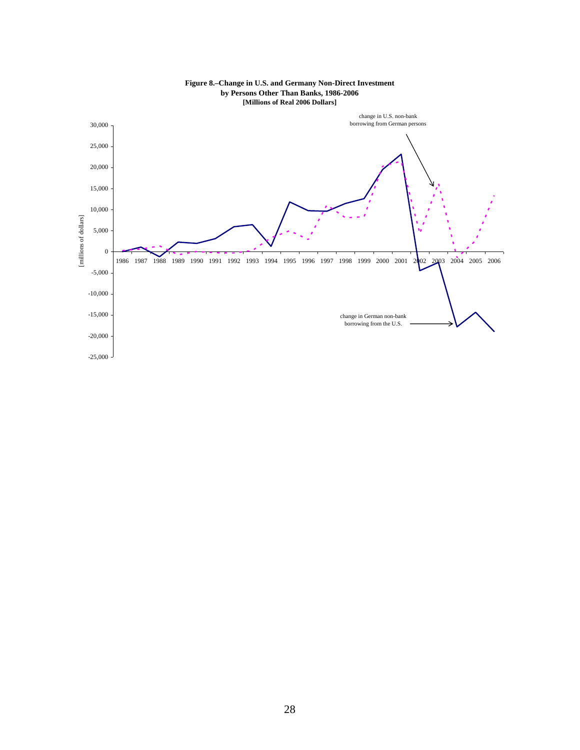

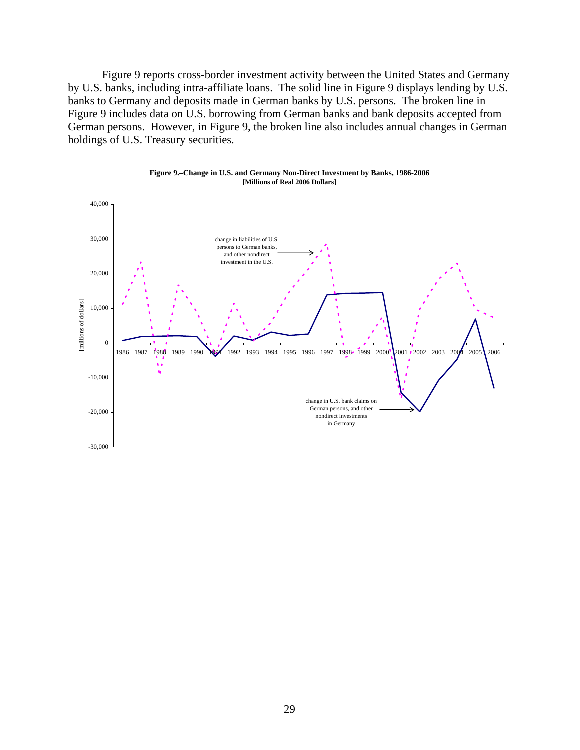Figure 9 reports cross-border investment activity between the United States and Germany by U.S. banks, including intra-affiliate loans. The solid line in Figure 9 displays lending by U.S. banks to Germany and deposits made in German banks by U.S. persons. The broken line in Figure 9 includes data on U.S. borrowing from German banks and bank deposits accepted from German persons. However, in Figure 9, the broken line also includes annual changes in German holdings of U.S. Treasury securities.



**Figure 9.–Change in U.S. and Germany Non-Direct Investment by Banks, 1986-2006 [Millions of Real 2006 Dollars]**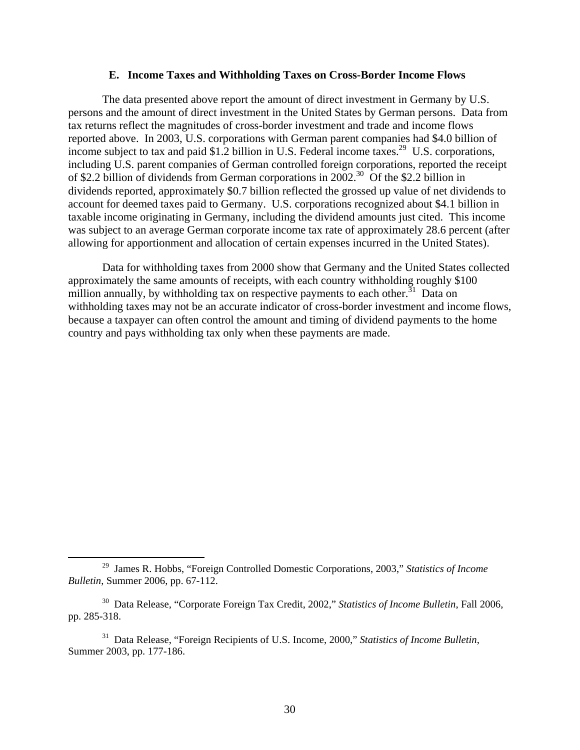#### **E. Income Taxes and Withholding Taxes on Cross-Border Income Flows**

The data presented above report the amount of direct investment in Germany by U.S. persons and the amount of direct investment in the United States by German persons. Data from tax returns reflect the magnitudes of cross-border investment and trade and income flows reported above. In 2003, U.S. corporations with German parent companies had \$4.0 billion of income subject to tax and paid \$1.2 billion in U.S. Federal income taxes.<sup>29</sup> U.S. corporations, including U.S. parent companies of German controlled foreign corporations, reported the receipt of \$2.2 billion of dividends from German corporations in 2002.30 Of the \$2.2 billion in dividends reported, approximately \$0.7 billion reflected the grossed up value of net dividends to account for deemed taxes paid to Germany. U.S. corporations recognized about \$4.1 billion in taxable income originating in Germany, including the dividend amounts just cited. This income was subject to an average German corporate income tax rate of approximately 28.6 percent (after allowing for apportionment and allocation of certain expenses incurred in the United States).

Data for withholding taxes from 2000 show that Germany and the United States collected approximately the same amounts of receipts, with each country withholding roughly \$100 million annually, by withholding tax on respective payments to each other.<sup>31</sup> Data on withholding taxes may not be an accurate indicator of cross-border investment and income flows, because a taxpayer can often control the amount and timing of dividend payments to the home country and pays withholding tax only when these payments are made.

 <sup>29</sup> James R. Hobbs, "Foreign Controlled Domestic Corporations, 2003," *Statistics of Income Bulletin*, Summer 2006, pp. 67-112.

<sup>30</sup> Data Release, "Corporate Foreign Tax Credit, 2002," *Statistics of Income Bulletin*, Fall 2006, pp. 285-318.

<sup>31</sup> Data Release, "Foreign Recipients of U.S. Income, 2000," *Statistics of Income Bulletin*, Summer 2003, pp. 177-186.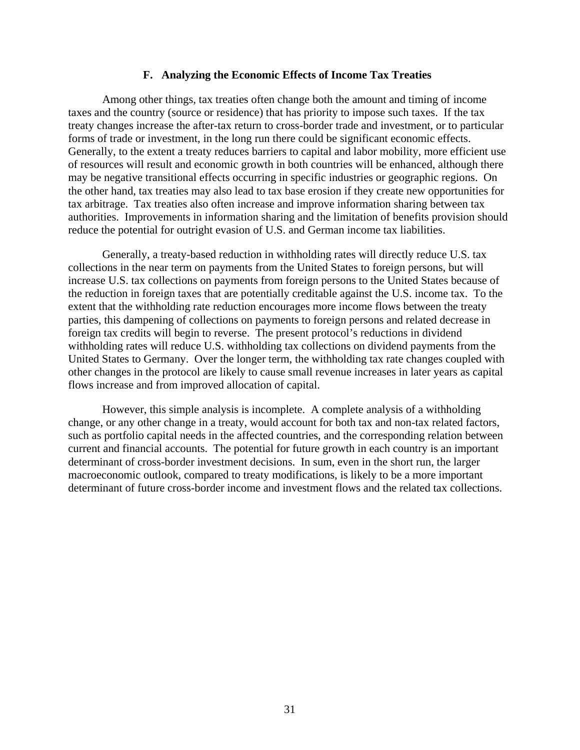#### **F. Analyzing the Economic Effects of Income Tax Treaties**

Among other things, tax treaties often change both the amount and timing of income taxes and the country (source or residence) that has priority to impose such taxes. If the tax treaty changes increase the after-tax return to cross-border trade and investment, or to particular forms of trade or investment, in the long run there could be significant economic effects. Generally, to the extent a treaty reduces barriers to capital and labor mobility, more efficient use of resources will result and economic growth in both countries will be enhanced, although there may be negative transitional effects occurring in specific industries or geographic regions. On the other hand, tax treaties may also lead to tax base erosion if they create new opportunities for tax arbitrage. Tax treaties also often increase and improve information sharing between tax authorities. Improvements in information sharing and the limitation of benefits provision should reduce the potential for outright evasion of U.S. and German income tax liabilities.

Generally, a treaty-based reduction in withholding rates will directly reduce U.S. tax collections in the near term on payments from the United States to foreign persons, but will increase U.S. tax collections on payments from foreign persons to the United States because of the reduction in foreign taxes that are potentially creditable against the U.S. income tax. To the extent that the withholding rate reduction encourages more income flows between the treaty parties, this dampening of collections on payments to foreign persons and related decrease in foreign tax credits will begin to reverse. The present protocol's reductions in dividend withholding rates will reduce U.S. withholding tax collections on dividend payments from the United States to Germany. Over the longer term, the withholding tax rate changes coupled with other changes in the protocol are likely to cause small revenue increases in later years as capital flows increase and from improved allocation of capital.

However, this simple analysis is incomplete. A complete analysis of a withholding change, or any other change in a treaty, would account for both tax and non-tax related factors, such as portfolio capital needs in the affected countries, and the corresponding relation between current and financial accounts. The potential for future growth in each country is an important determinant of cross-border investment decisions. In sum, even in the short run, the larger macroeconomic outlook, compared to treaty modifications, is likely to be a more important determinant of future cross-border income and investment flows and the related tax collections.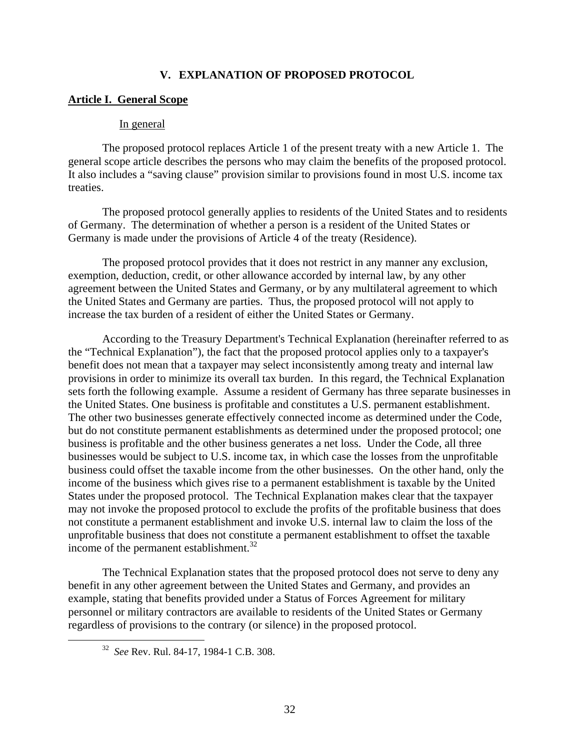## **V. EXPLANATION OF PROPOSED PROTOCOL**

## **Article I. General Scope**

#### In general

The proposed protocol replaces Article 1 of the present treaty with a new Article 1. The general scope article describes the persons who may claim the benefits of the proposed protocol. It also includes a "saving clause" provision similar to provisions found in most U.S. income tax treaties.

The proposed protocol generally applies to residents of the United States and to residents of Germany. The determination of whether a person is a resident of the United States or Germany is made under the provisions of Article 4 of the treaty (Residence).

The proposed protocol provides that it does not restrict in any manner any exclusion, exemption, deduction, credit, or other allowance accorded by internal law, by any other agreement between the United States and Germany, or by any multilateral agreement to which the United States and Germany are parties. Thus, the proposed protocol will not apply to increase the tax burden of a resident of either the United States or Germany.

According to the Treasury Department's Technical Explanation (hereinafter referred to as the "Technical Explanation"), the fact that the proposed protocol applies only to a taxpayer's benefit does not mean that a taxpayer may select inconsistently among treaty and internal law provisions in order to minimize its overall tax burden. In this regard, the Technical Explanation sets forth the following example. Assume a resident of Germany has three separate businesses in the United States. One business is profitable and constitutes a U.S. permanent establishment. The other two businesses generate effectively connected income as determined under the Code, but do not constitute permanent establishments as determined under the proposed protocol; one business is profitable and the other business generates a net loss. Under the Code, all three businesses would be subject to U.S. income tax, in which case the losses from the unprofitable business could offset the taxable income from the other businesses. On the other hand, only the income of the business which gives rise to a permanent establishment is taxable by the United States under the proposed protocol. The Technical Explanation makes clear that the taxpayer may not invoke the proposed protocol to exclude the profits of the profitable business that does not constitute a permanent establishment and invoke U.S. internal law to claim the loss of the unprofitable business that does not constitute a permanent establishment to offset the taxable income of the permanent establishment.<sup>32</sup>

The Technical Explanation states that the proposed protocol does not serve to deny any benefit in any other agreement between the United States and Germany, and provides an example, stating that benefits provided under a Status of Forces Agreement for military personnel or military contractors are available to residents of the United States or Germany regardless of provisions to the contrary (or silence) in the proposed protocol.

 <sup>32</sup> *See* Rev. Rul. 84-17, 1984-1 C.B. 308.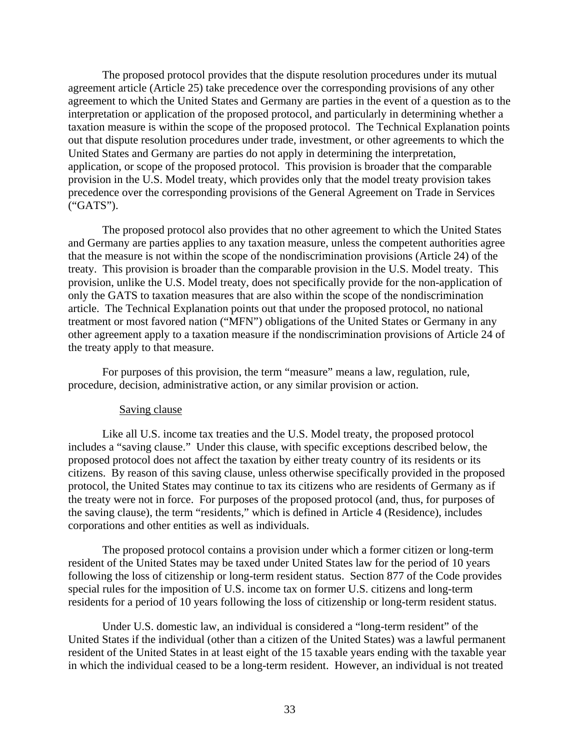The proposed protocol provides that the dispute resolution procedures under its mutual agreement article (Article 25) take precedence over the corresponding provisions of any other agreement to which the United States and Germany are parties in the event of a question as to the interpretation or application of the proposed protocol, and particularly in determining whether a taxation measure is within the scope of the proposed protocol. The Technical Explanation points out that dispute resolution procedures under trade, investment, or other agreements to which the United States and Germany are parties do not apply in determining the interpretation, application, or scope of the proposed protocol. This provision is broader that the comparable provision in the U.S. Model treaty, which provides only that the model treaty provision takes precedence over the corresponding provisions of the General Agreement on Trade in Services ("GATS").

The proposed protocol also provides that no other agreement to which the United States and Germany are parties applies to any taxation measure, unless the competent authorities agree that the measure is not within the scope of the nondiscrimination provisions (Article 24) of the treaty. This provision is broader than the comparable provision in the U.S. Model treaty. This provision, unlike the U.S. Model treaty, does not specifically provide for the non-application of only the GATS to taxation measures that are also within the scope of the nondiscrimination article. The Technical Explanation points out that under the proposed protocol, no national treatment or most favored nation ("MFN") obligations of the United States or Germany in any other agreement apply to a taxation measure if the nondiscrimination provisions of Article 24 of the treaty apply to that measure.

For purposes of this provision, the term "measure" means a law, regulation, rule, procedure, decision, administrative action, or any similar provision or action.

#### Saving clause

Like all U.S. income tax treaties and the U.S. Model treaty, the proposed protocol includes a "saving clause." Under this clause, with specific exceptions described below, the proposed protocol does not affect the taxation by either treaty country of its residents or its citizens. By reason of this saving clause, unless otherwise specifically provided in the proposed protocol, the United States may continue to tax its citizens who are residents of Germany as if the treaty were not in force. For purposes of the proposed protocol (and, thus, for purposes of the saving clause), the term "residents," which is defined in Article 4 (Residence), includes corporations and other entities as well as individuals.

The proposed protocol contains a provision under which a former citizen or long-term resident of the United States may be taxed under United States law for the period of 10 years following the loss of citizenship or long-term resident status. Section 877 of the Code provides special rules for the imposition of U.S. income tax on former U.S. citizens and long-term residents for a period of 10 years following the loss of citizenship or long-term resident status.

Under U.S. domestic law, an individual is considered a "long-term resident" of the United States if the individual (other than a citizen of the United States) was a lawful permanent resident of the United States in at least eight of the 15 taxable years ending with the taxable year in which the individual ceased to be a long-term resident. However, an individual is not treated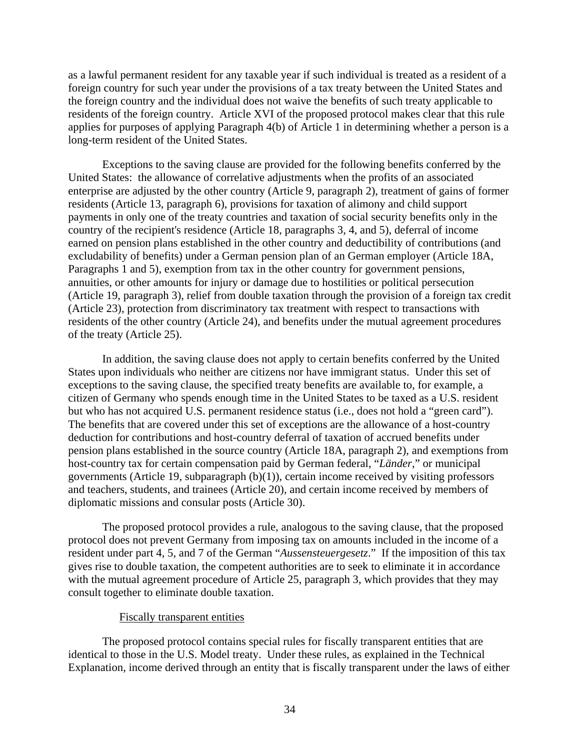as a lawful permanent resident for any taxable year if such individual is treated as a resident of a foreign country for such year under the provisions of a tax treaty between the United States and the foreign country and the individual does not waive the benefits of such treaty applicable to residents of the foreign country. Article XVI of the proposed protocol makes clear that this rule applies for purposes of applying Paragraph 4(b) of Article 1 in determining whether a person is a long-term resident of the United States.

Exceptions to the saving clause are provided for the following benefits conferred by the United States: the allowance of correlative adjustments when the profits of an associated enterprise are adjusted by the other country (Article 9, paragraph 2), treatment of gains of former residents (Article 13, paragraph 6), provisions for taxation of alimony and child support payments in only one of the treaty countries and taxation of social security benefits only in the country of the recipient's residence (Article 18, paragraphs 3, 4, and 5), deferral of income earned on pension plans established in the other country and deductibility of contributions (and excludability of benefits) under a German pension plan of an German employer (Article 18A, Paragraphs 1 and 5), exemption from tax in the other country for government pensions, annuities, or other amounts for injury or damage due to hostilities or political persecution (Article 19, paragraph 3), relief from double taxation through the provision of a foreign tax credit (Article 23), protection from discriminatory tax treatment with respect to transactions with residents of the other country (Article 24), and benefits under the mutual agreement procedures of the treaty (Article 25).

In addition, the saving clause does not apply to certain benefits conferred by the United States upon individuals who neither are citizens nor have immigrant status. Under this set of exceptions to the saving clause, the specified treaty benefits are available to, for example, a citizen of Germany who spends enough time in the United States to be taxed as a U.S. resident but who has not acquired U.S. permanent residence status (i.e., does not hold a "green card"). The benefits that are covered under this set of exceptions are the allowance of a host-country deduction for contributions and host-country deferral of taxation of accrued benefits under pension plans established in the source country (Article 18A, paragraph 2), and exemptions from host-country tax for certain compensation paid by German federal, "*Länder*," or municipal governments (Article 19, subparagraph  $(b)(1)$ ), certain income received by visiting professors and teachers, students, and trainees (Article 20), and certain income received by members of diplomatic missions and consular posts (Article 30).

The proposed protocol provides a rule, analogous to the saving clause, that the proposed protocol does not prevent Germany from imposing tax on amounts included in the income of a resident under part 4, 5, and 7 of the German "*Aussensteuergesetz*." If the imposition of this tax gives rise to double taxation, the competent authorities are to seek to eliminate it in accordance with the mutual agreement procedure of Article 25, paragraph 3, which provides that they may consult together to eliminate double taxation.

### Fiscally transparent entities

The proposed protocol contains special rules for fiscally transparent entities that are identical to those in the U.S. Model treaty. Under these rules, as explained in the Technical Explanation, income derived through an entity that is fiscally transparent under the laws of either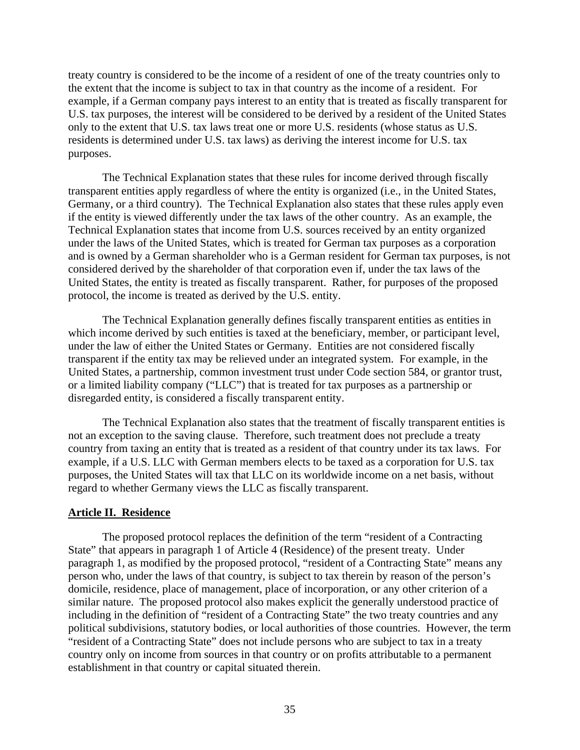treaty country is considered to be the income of a resident of one of the treaty countries only to the extent that the income is subject to tax in that country as the income of a resident. For example, if a German company pays interest to an entity that is treated as fiscally transparent for U.S. tax purposes, the interest will be considered to be derived by a resident of the United States only to the extent that U.S. tax laws treat one or more U.S. residents (whose status as U.S. residents is determined under U.S. tax laws) as deriving the interest income for U.S. tax purposes.

The Technical Explanation states that these rules for income derived through fiscally transparent entities apply regardless of where the entity is organized (i.e., in the United States, Germany, or a third country). The Technical Explanation also states that these rules apply even if the entity is viewed differently under the tax laws of the other country. As an example, the Technical Explanation states that income from U.S. sources received by an entity organized under the laws of the United States, which is treated for German tax purposes as a corporation and is owned by a German shareholder who is a German resident for German tax purposes, is not considered derived by the shareholder of that corporation even if, under the tax laws of the United States, the entity is treated as fiscally transparent. Rather, for purposes of the proposed protocol, the income is treated as derived by the U.S. entity.

The Technical Explanation generally defines fiscally transparent entities as entities in which income derived by such entities is taxed at the beneficiary, member, or participant level, under the law of either the United States or Germany. Entities are not considered fiscally transparent if the entity tax may be relieved under an integrated system. For example, in the United States, a partnership, common investment trust under Code section 584, or grantor trust, or a limited liability company ("LLC") that is treated for tax purposes as a partnership or disregarded entity, is considered a fiscally transparent entity.

The Technical Explanation also states that the treatment of fiscally transparent entities is not an exception to the saving clause. Therefore, such treatment does not preclude a treaty country from taxing an entity that is treated as a resident of that country under its tax laws. For example, if a U.S. LLC with German members elects to be taxed as a corporation for U.S. tax purposes, the United States will tax that LLC on its worldwide income on a net basis, without regard to whether Germany views the LLC as fiscally transparent.

## **Article II. Residence**

The proposed protocol replaces the definition of the term "resident of a Contracting State" that appears in paragraph 1 of Article 4 (Residence) of the present treaty. Under paragraph 1, as modified by the proposed protocol, "resident of a Contracting State" means any person who, under the laws of that country, is subject to tax therein by reason of the person's domicile, residence, place of management, place of incorporation, or any other criterion of a similar nature. The proposed protocol also makes explicit the generally understood practice of including in the definition of "resident of a Contracting State" the two treaty countries and any political subdivisions, statutory bodies, or local authorities of those countries. However, the term "resident of a Contracting State" does not include persons who are subject to tax in a treaty country only on income from sources in that country or on profits attributable to a permanent establishment in that country or capital situated therein.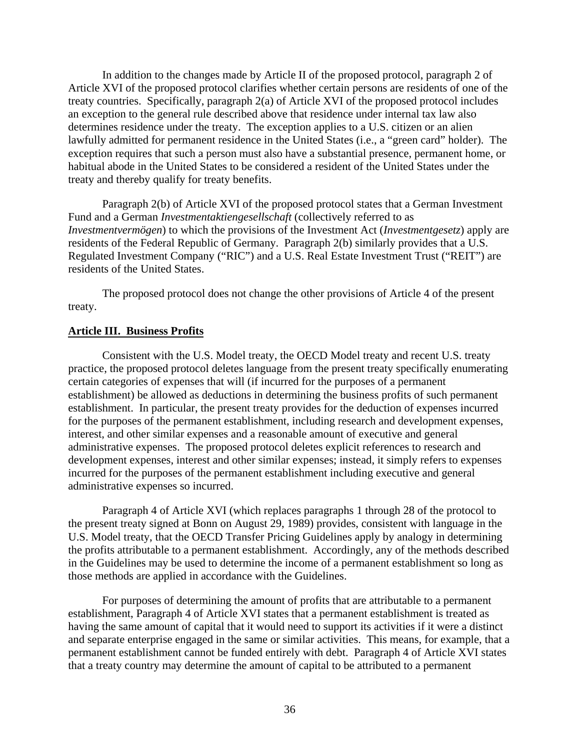In addition to the changes made by Article II of the proposed protocol, paragraph 2 of Article XVI of the proposed protocol clarifies whether certain persons are residents of one of the treaty countries. Specifically, paragraph 2(a) of Article XVI of the proposed protocol includes an exception to the general rule described above that residence under internal tax law also determines residence under the treaty. The exception applies to a U.S. citizen or an alien lawfully admitted for permanent residence in the United States (i.e., a "green card" holder). The exception requires that such a person must also have a substantial presence, permanent home, or habitual abode in the United States to be considered a resident of the United States under the treaty and thereby qualify for treaty benefits.

Paragraph 2(b) of Article XVI of the proposed protocol states that a German Investment Fund and a German *Investmentaktiengesellschaft* (collectively referred to as *Investmentvermögen*) to which the provisions of the Investment Act (*Investmentgesetz*) apply are residents of the Federal Republic of Germany. Paragraph 2(b) similarly provides that a U.S. Regulated Investment Company ("RIC") and a U.S. Real Estate Investment Trust ("REIT") are residents of the United States.

The proposed protocol does not change the other provisions of Article 4 of the present treaty.

# **Article III. Business Profits**

Consistent with the U.S. Model treaty, the OECD Model treaty and recent U.S. treaty practice, the proposed protocol deletes language from the present treaty specifically enumerating certain categories of expenses that will (if incurred for the purposes of a permanent establishment) be allowed as deductions in determining the business profits of such permanent establishment. In particular, the present treaty provides for the deduction of expenses incurred for the purposes of the permanent establishment, including research and development expenses, interest, and other similar expenses and a reasonable amount of executive and general administrative expenses. The proposed protocol deletes explicit references to research and development expenses, interest and other similar expenses; instead, it simply refers to expenses incurred for the purposes of the permanent establishment including executive and general administrative expenses so incurred.

Paragraph 4 of Article XVI (which replaces paragraphs 1 through 28 of the protocol to the present treaty signed at Bonn on August 29, 1989) provides, consistent with language in the U.S. Model treaty, that the OECD Transfer Pricing Guidelines apply by analogy in determining the profits attributable to a permanent establishment. Accordingly, any of the methods described in the Guidelines may be used to determine the income of a permanent establishment so long as those methods are applied in accordance with the Guidelines.

For purposes of determining the amount of profits that are attributable to a permanent establishment, Paragraph 4 of Article XVI states that a permanent establishment is treated as having the same amount of capital that it would need to support its activities if it were a distinct and separate enterprise engaged in the same or similar activities. This means, for example, that a permanent establishment cannot be funded entirely with debt. Paragraph 4 of Article XVI states that a treaty country may determine the amount of capital to be attributed to a permanent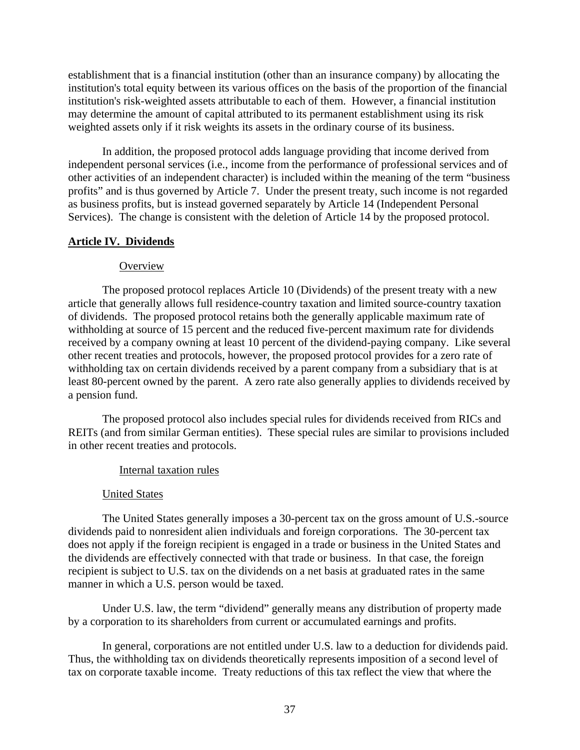establishment that is a financial institution (other than an insurance company) by allocating the institution's total equity between its various offices on the basis of the proportion of the financial institution's risk-weighted assets attributable to each of them. However, a financial institution may determine the amount of capital attributed to its permanent establishment using its risk weighted assets only if it risk weights its assets in the ordinary course of its business.

In addition, the proposed protocol adds language providing that income derived from independent personal services (i.e., income from the performance of professional services and of other activities of an independent character) is included within the meaning of the term "business profits" and is thus governed by Article 7. Under the present treaty, such income is not regarded as business profits, but is instead governed separately by Article 14 (Independent Personal Services). The change is consistent with the deletion of Article 14 by the proposed protocol.

### **Article IV. Dividends**

### **Overview**

The proposed protocol replaces Article 10 (Dividends) of the present treaty with a new article that generally allows full residence-country taxation and limited source-country taxation of dividends. The proposed protocol retains both the generally applicable maximum rate of withholding at source of 15 percent and the reduced five-percent maximum rate for dividends received by a company owning at least 10 percent of the dividend-paying company. Like several other recent treaties and protocols, however, the proposed protocol provides for a zero rate of withholding tax on certain dividends received by a parent company from a subsidiary that is at least 80-percent owned by the parent. A zero rate also generally applies to dividends received by a pension fund.

The proposed protocol also includes special rules for dividends received from RICs and REITs (and from similar German entities). These special rules are similar to provisions included in other recent treaties and protocols.

#### Internal taxation rules

#### United States

The United States generally imposes a 30-percent tax on the gross amount of U.S.-source dividends paid to nonresident alien individuals and foreign corporations. The 30-percent tax does not apply if the foreign recipient is engaged in a trade or business in the United States and the dividends are effectively connected with that trade or business. In that case, the foreign recipient is subject to U.S. tax on the dividends on a net basis at graduated rates in the same manner in which a U.S. person would be taxed.

Under U.S. law, the term "dividend" generally means any distribution of property made by a corporation to its shareholders from current or accumulated earnings and profits.

In general, corporations are not entitled under U.S. law to a deduction for dividends paid. Thus, the withholding tax on dividends theoretically represents imposition of a second level of tax on corporate taxable income. Treaty reductions of this tax reflect the view that where the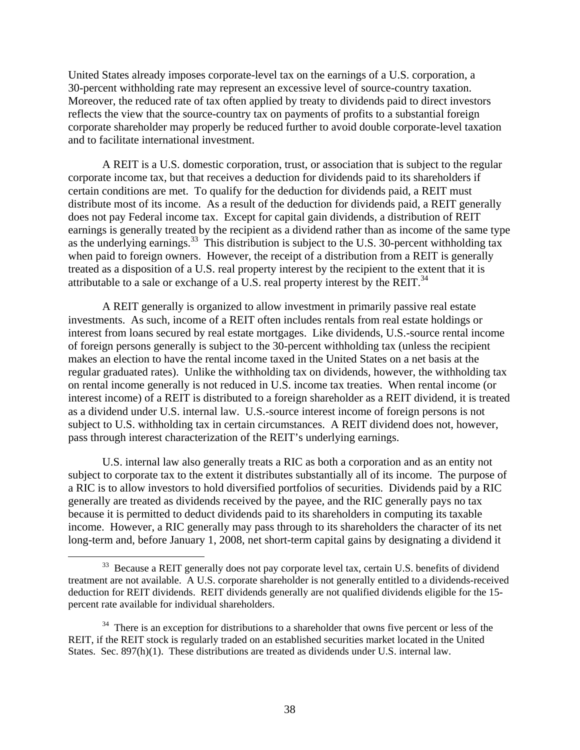United States already imposes corporate-level tax on the earnings of a U.S. corporation, a 30-percent withholding rate may represent an excessive level of source-country taxation. Moreover, the reduced rate of tax often applied by treaty to dividends paid to direct investors reflects the view that the source-country tax on payments of profits to a substantial foreign corporate shareholder may properly be reduced further to avoid double corporate-level taxation and to facilitate international investment.

A REIT is a U.S. domestic corporation, trust, or association that is subject to the regular corporate income tax, but that receives a deduction for dividends paid to its shareholders if certain conditions are met. To qualify for the deduction for dividends paid, a REIT must distribute most of its income. As a result of the deduction for dividends paid, a REIT generally does not pay Federal income tax. Except for capital gain dividends, a distribution of REIT earnings is generally treated by the recipient as a dividend rather than as income of the same type as the underlying earnings.<sup>33</sup> This distribution is subject to the U.S. 30-percent withholding tax when paid to foreign owners. However, the receipt of a distribution from a REIT is generally treated as a disposition of a U.S. real property interest by the recipient to the extent that it is attributable to a sale or exchange of a U.S. real property interest by the REIT.34

A REIT generally is organized to allow investment in primarily passive real estate investments. As such, income of a REIT often includes rentals from real estate holdings or interest from loans secured by real estate mortgages. Like dividends, U.S.-source rental income of foreign persons generally is subject to the 30-percent withholding tax (unless the recipient makes an election to have the rental income taxed in the United States on a net basis at the regular graduated rates). Unlike the withholding tax on dividends, however, the withholding tax on rental income generally is not reduced in U.S. income tax treaties. When rental income (or interest income) of a REIT is distributed to a foreign shareholder as a REIT dividend, it is treated as a dividend under U.S. internal law. U.S.-source interest income of foreign persons is not subject to U.S. withholding tax in certain circumstances. A REIT dividend does not, however, pass through interest characterization of the REIT's underlying earnings.

U.S. internal law also generally treats a RIC as both a corporation and as an entity not subject to corporate tax to the extent it distributes substantially all of its income. The purpose of a RIC is to allow investors to hold diversified portfolios of securities. Dividends paid by a RIC generally are treated as dividends received by the payee, and the RIC generally pays no tax because it is permitted to deduct dividends paid to its shareholders in computing its taxable income. However, a RIC generally may pass through to its shareholders the character of its net long-term and, before January 1, 2008, net short-term capital gains by designating a dividend it

<sup>&</sup>lt;sup>33</sup> Because a REIT generally does not pay corporate level tax, certain U.S. benefits of dividend treatment are not available. A U.S. corporate shareholder is not generally entitled to a dividends-received deduction for REIT dividends. REIT dividends generally are not qualified dividends eligible for the 15 percent rate available for individual shareholders.

<sup>&</sup>lt;sup>34</sup> There is an exception for distributions to a shareholder that owns five percent or less of the REIT, if the REIT stock is regularly traded on an established securities market located in the United States. Sec. 897(h)(1). These distributions are treated as dividends under U.S. internal law.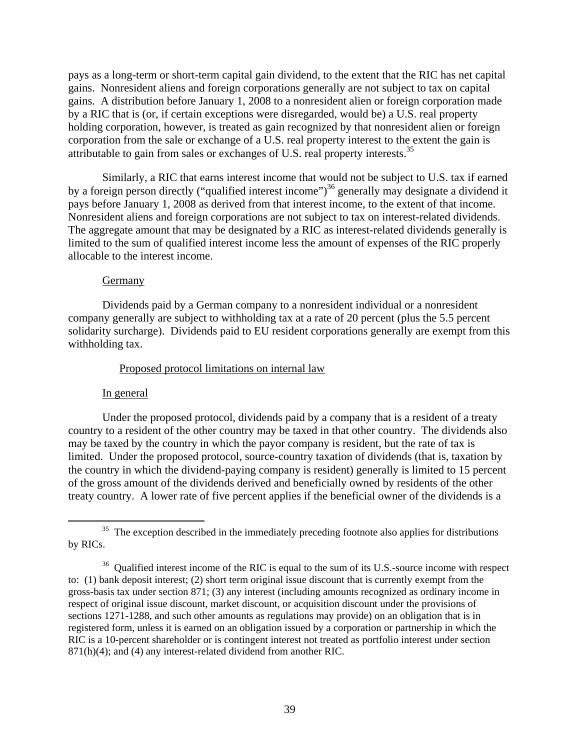pays as a long-term or short-term capital gain dividend, to the extent that the RIC has net capital gains. Nonresident aliens and foreign corporations generally are not subject to tax on capital gains. A distribution before January 1, 2008 to a nonresident alien or foreign corporation made by a RIC that is (or, if certain exceptions were disregarded, would be) a U.S. real property holding corporation, however, is treated as gain recognized by that nonresident alien or foreign corporation from the sale or exchange of a U.S. real property interest to the extent the gain is attributable to gain from sales or exchanges of U.S. real property interests.<sup>35</sup>

Similarly, a RIC that earns interest income that would not be subject to U.S. tax if earned by a foreign person directly ("qualified interest income")<sup>36</sup> generally may designate a dividend it pays before January 1, 2008 as derived from that interest income, to the extent of that income. Nonresident aliens and foreign corporations are not subject to tax on interest-related dividends. The aggregate amount that may be designated by a RIC as interest-related dividends generally is limited to the sum of qualified interest income less the amount of expenses of the RIC properly allocable to the interest income.

#### Germany

Dividends paid by a German company to a nonresident individual or a nonresident company generally are subject to withholding tax at a rate of 20 percent (plus the 5.5 percent solidarity surcharge). Dividends paid to EU resident corporations generally are exempt from this withholding tax.

#### Proposed protocol limitations on internal law

#### In general

Under the proposed protocol, dividends paid by a company that is a resident of a treaty country to a resident of the other country may be taxed in that other country. The dividends also may be taxed by the country in which the payor company is resident, but the rate of tax is limited. Under the proposed protocol, source-country taxation of dividends (that is, taxation by the country in which the dividend-paying company is resident) generally is limited to 15 percent of the gross amount of the dividends derived and beneficially owned by residents of the other treaty country. A lower rate of five percent applies if the beneficial owner of the dividends is a

 $35$  The exception described in the immediately preceding footnote also applies for distributions by RICs.

 $36$  Qualified interest income of the RIC is equal to the sum of its U.S.-source income with respect to: (1) bank deposit interest; (2) short term original issue discount that is currently exempt from the gross-basis tax under section 871; (3) any interest (including amounts recognized as ordinary income in respect of original issue discount, market discount, or acquisition discount under the provisions of sections 1271-1288, and such other amounts as regulations may provide) on an obligation that is in registered form, unless it is earned on an obligation issued by a corporation or partnership in which the RIC is a 10-percent shareholder or is contingent interest not treated as portfolio interest under section 871(h)(4); and (4) any interest-related dividend from another RIC.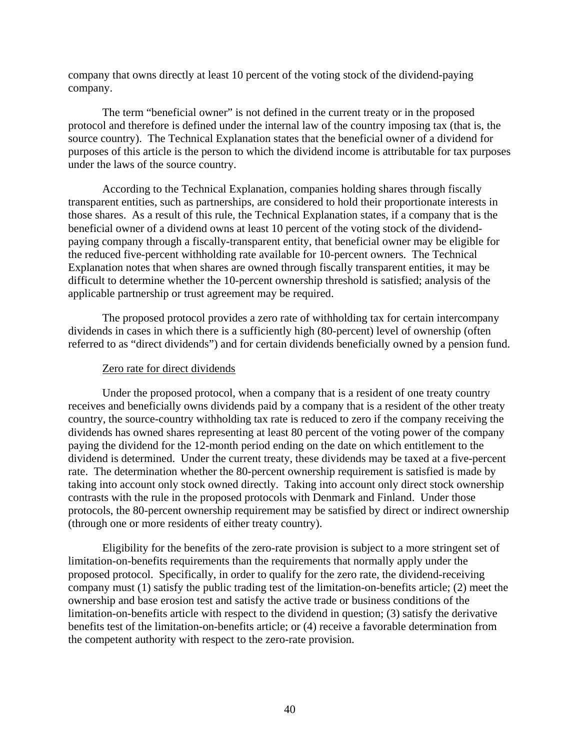company that owns directly at least 10 percent of the voting stock of the dividend-paying company.

The term "beneficial owner" is not defined in the current treaty or in the proposed protocol and therefore is defined under the internal law of the country imposing tax (that is, the source country). The Technical Explanation states that the beneficial owner of a dividend for purposes of this article is the person to which the dividend income is attributable for tax purposes under the laws of the source country.

According to the Technical Explanation, companies holding shares through fiscally transparent entities, such as partnerships, are considered to hold their proportionate interests in those shares. As a result of this rule, the Technical Explanation states, if a company that is the beneficial owner of a dividend owns at least 10 percent of the voting stock of the dividendpaying company through a fiscally-transparent entity, that beneficial owner may be eligible for the reduced five-percent withholding rate available for 10-percent owners. The Technical Explanation notes that when shares are owned through fiscally transparent entities, it may be difficult to determine whether the 10-percent ownership threshold is satisfied; analysis of the applicable partnership or trust agreement may be required.

The proposed protocol provides a zero rate of withholding tax for certain intercompany dividends in cases in which there is a sufficiently high (80-percent) level of ownership (often referred to as "direct dividends") and for certain dividends beneficially owned by a pension fund.

## Zero rate for direct dividends

Under the proposed protocol, when a company that is a resident of one treaty country receives and beneficially owns dividends paid by a company that is a resident of the other treaty country, the source-country withholding tax rate is reduced to zero if the company receiving the dividends has owned shares representing at least 80 percent of the voting power of the company paying the dividend for the 12-month period ending on the date on which entitlement to the dividend is determined. Under the current treaty, these dividends may be taxed at a five-percent rate. The determination whether the 80-percent ownership requirement is satisfied is made by taking into account only stock owned directly. Taking into account only direct stock ownership contrasts with the rule in the proposed protocols with Denmark and Finland. Under those protocols, the 80-percent ownership requirement may be satisfied by direct or indirect ownership (through one or more residents of either treaty country).

Eligibility for the benefits of the zero-rate provision is subject to a more stringent set of limitation-on-benefits requirements than the requirements that normally apply under the proposed protocol. Specifically, in order to qualify for the zero rate, the dividend-receiving company must (1) satisfy the public trading test of the limitation-on-benefits article; (2) meet the ownership and base erosion test and satisfy the active trade or business conditions of the limitation-on-benefits article with respect to the dividend in question; (3) satisfy the derivative benefits test of the limitation-on-benefits article; or (4) receive a favorable determination from the competent authority with respect to the zero-rate provision.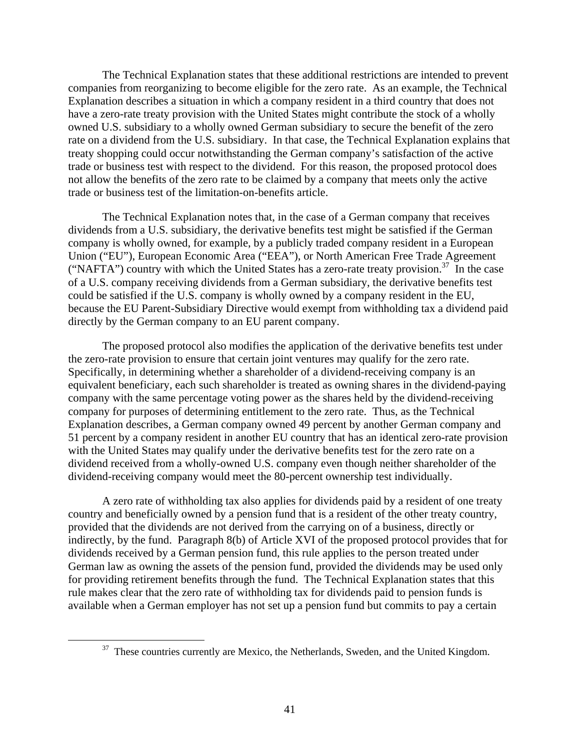The Technical Explanation states that these additional restrictions are intended to prevent companies from reorganizing to become eligible for the zero rate. As an example, the Technical Explanation describes a situation in which a company resident in a third country that does not have a zero-rate treaty provision with the United States might contribute the stock of a wholly owned U.S. subsidiary to a wholly owned German subsidiary to secure the benefit of the zero rate on a dividend from the U.S. subsidiary. In that case, the Technical Explanation explains that treaty shopping could occur notwithstanding the German company's satisfaction of the active trade or business test with respect to the dividend. For this reason, the proposed protocol does not allow the benefits of the zero rate to be claimed by a company that meets only the active trade or business test of the limitation-on-benefits article.

The Technical Explanation notes that, in the case of a German company that receives dividends from a U.S. subsidiary, the derivative benefits test might be satisfied if the German company is wholly owned, for example, by a publicly traded company resident in a European Union ("EU"), European Economic Area ("EEA"), or North American Free Trade Agreement ("NAFTA") country with which the United States has a zero-rate treaty provision.<sup>37</sup> In the case of a U.S. company receiving dividends from a German subsidiary, the derivative benefits test could be satisfied if the U.S. company is wholly owned by a company resident in the EU, because the EU Parent-Subsidiary Directive would exempt from withholding tax a dividend paid directly by the German company to an EU parent company.

The proposed protocol also modifies the application of the derivative benefits test under the zero-rate provision to ensure that certain joint ventures may qualify for the zero rate. Specifically, in determining whether a shareholder of a dividend-receiving company is an equivalent beneficiary, each such shareholder is treated as owning shares in the dividend-paying company with the same percentage voting power as the shares held by the dividend-receiving company for purposes of determining entitlement to the zero rate. Thus, as the Technical Explanation describes, a German company owned 49 percent by another German company and 51 percent by a company resident in another EU country that has an identical zero-rate provision with the United States may qualify under the derivative benefits test for the zero rate on a dividend received from a wholly-owned U.S. company even though neither shareholder of the dividend-receiving company would meet the 80-percent ownership test individually.

A zero rate of withholding tax also applies for dividends paid by a resident of one treaty country and beneficially owned by a pension fund that is a resident of the other treaty country, provided that the dividends are not derived from the carrying on of a business, directly or indirectly, by the fund. Paragraph 8(b) of Article XVI of the proposed protocol provides that for dividends received by a German pension fund, this rule applies to the person treated under German law as owning the assets of the pension fund, provided the dividends may be used only for providing retirement benefits through the fund. The Technical Explanation states that this rule makes clear that the zero rate of withholding tax for dividends paid to pension funds is available when a German employer has not set up a pension fund but commits to pay a certain

 $37$  These countries currently are Mexico, the Netherlands, Sweden, and the United Kingdom.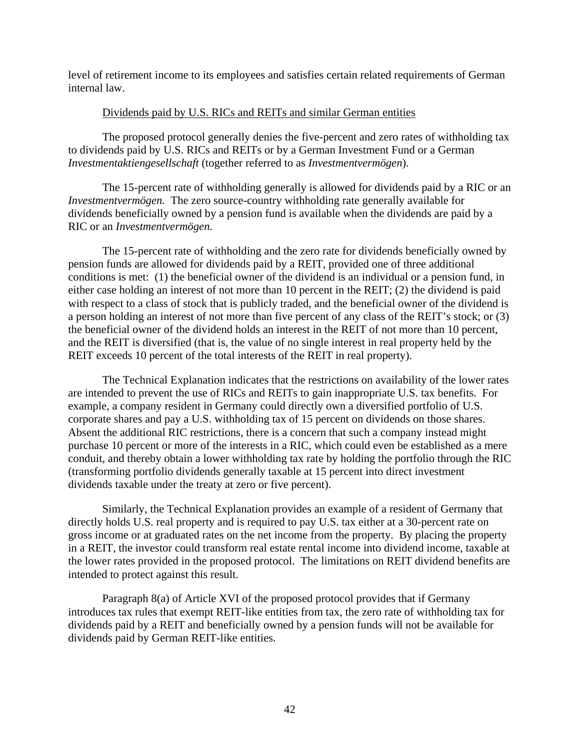level of retirement income to its employees and satisfies certain related requirements of German internal law.

# Dividends paid by U.S. RICs and REITs and similar German entities

The proposed protocol generally denies the five-percent and zero rates of withholding tax to dividends paid by U.S. RICs and REITs or by a German Investment Fund or a German *Investmentaktiengesellschaft* (together referred to as *Investmentvermögen*).

The 15-percent rate of withholding generally is allowed for dividends paid by a RIC or an *Investmentvermögen.* The zero source-country withholding rate generally available for dividends beneficially owned by a pension fund is available when the dividends are paid by a RIC or an *Investmentvermögen.*

The 15-percent rate of withholding and the zero rate for dividends beneficially owned by pension funds are allowed for dividends paid by a REIT, provided one of three additional conditions is met: (1) the beneficial owner of the dividend is an individual or a pension fund, in either case holding an interest of not more than 10 percent in the REIT; (2) the dividend is paid with respect to a class of stock that is publicly traded, and the beneficial owner of the dividend is a person holding an interest of not more than five percent of any class of the REIT's stock; or (3) the beneficial owner of the dividend holds an interest in the REIT of not more than 10 percent, and the REIT is diversified (that is, the value of no single interest in real property held by the REIT exceeds 10 percent of the total interests of the REIT in real property).

The Technical Explanation indicates that the restrictions on availability of the lower rates are intended to prevent the use of RICs and REITs to gain inappropriate U.S. tax benefits. For example, a company resident in Germany could directly own a diversified portfolio of U.S. corporate shares and pay a U.S. withholding tax of 15 percent on dividends on those shares. Absent the additional RIC restrictions, there is a concern that such a company instead might purchase 10 percent or more of the interests in a RIC, which could even be established as a mere conduit, and thereby obtain a lower withholding tax rate by holding the portfolio through the RIC (transforming portfolio dividends generally taxable at 15 percent into direct investment dividends taxable under the treaty at zero or five percent).

Similarly, the Technical Explanation provides an example of a resident of Germany that directly holds U.S. real property and is required to pay U.S. tax either at a 30-percent rate on gross income or at graduated rates on the net income from the property. By placing the property in a REIT, the investor could transform real estate rental income into dividend income, taxable at the lower rates provided in the proposed protocol. The limitations on REIT dividend benefits are intended to protect against this result.

Paragraph 8(a) of Article XVI of the proposed protocol provides that if Germany introduces tax rules that exempt REIT-like entities from tax, the zero rate of withholding tax for dividends paid by a REIT and beneficially owned by a pension funds will not be available for dividends paid by German REIT-like entities.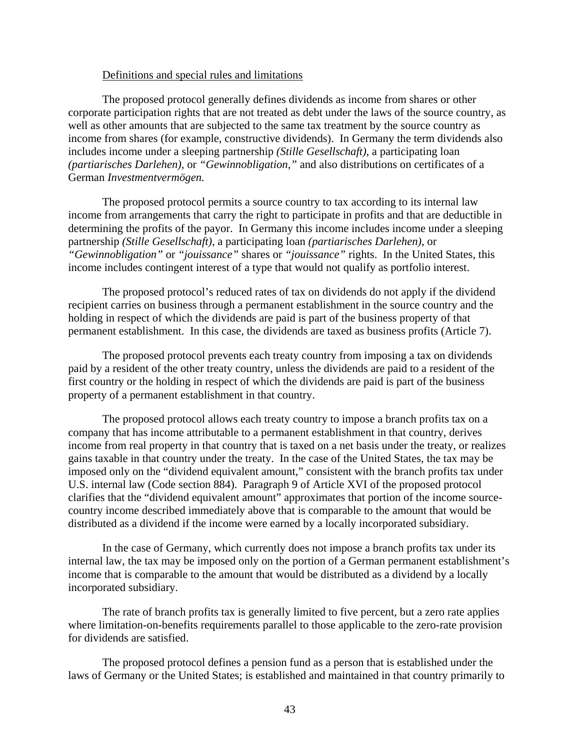### Definitions and special rules and limitations

The proposed protocol generally defines dividends as income from shares or other corporate participation rights that are not treated as debt under the laws of the source country, as well as other amounts that are subjected to the same tax treatment by the source country as income from shares (for example, constructive dividends). In Germany the term dividends also includes income under a sleeping partnership *(Stille Gesellschaft),* a participating loan *(partiarisches Darlehen),* or *"Gewinnobligation,"* and also distributions on certificates of a German *Investmentvermögen.*

The proposed protocol permits a source country to tax according to its internal law income from arrangements that carry the right to participate in profits and that are deductible in determining the profits of the payor. In Germany this income includes income under a sleeping partnership *(Stille Gesellschaft),* a participating loan *(partiarisches Darlehen)*, or *"Gewinnobligation"* or *"jouissance"* shares or *"jouissance"* rights. In the United States, this income includes contingent interest of a type that would not qualify as portfolio interest.

The proposed protocol's reduced rates of tax on dividends do not apply if the dividend recipient carries on business through a permanent establishment in the source country and the holding in respect of which the dividends are paid is part of the business property of that permanent establishment. In this case, the dividends are taxed as business profits (Article 7).

The proposed protocol prevents each treaty country from imposing a tax on dividends paid by a resident of the other treaty country, unless the dividends are paid to a resident of the first country or the holding in respect of which the dividends are paid is part of the business property of a permanent establishment in that country.

The proposed protocol allows each treaty country to impose a branch profits tax on a company that has income attributable to a permanent establishment in that country, derives income from real property in that country that is taxed on a net basis under the treaty, or realizes gains taxable in that country under the treaty. In the case of the United States, the tax may be imposed only on the "dividend equivalent amount," consistent with the branch profits tax under U.S. internal law (Code section 884). Paragraph 9 of Article XVI of the proposed protocol clarifies that the "dividend equivalent amount" approximates that portion of the income sourcecountry income described immediately above that is comparable to the amount that would be distributed as a dividend if the income were earned by a locally incorporated subsidiary.

In the case of Germany, which currently does not impose a branch profits tax under its internal law, the tax may be imposed only on the portion of a German permanent establishment's income that is comparable to the amount that would be distributed as a dividend by a locally incorporated subsidiary.

The rate of branch profits tax is generally limited to five percent, but a zero rate applies where limitation-on-benefits requirements parallel to those applicable to the zero-rate provision for dividends are satisfied.

The proposed protocol defines a pension fund as a person that is established under the laws of Germany or the United States; is established and maintained in that country primarily to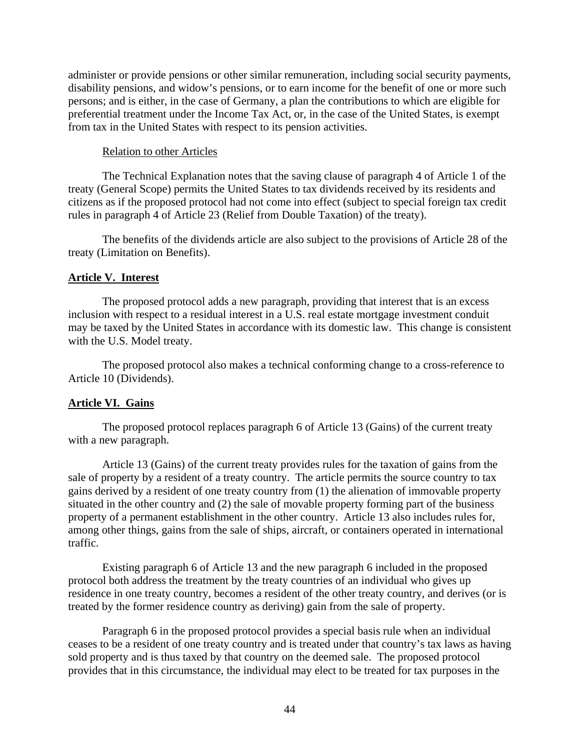administer or provide pensions or other similar remuneration, including social security payments, disability pensions, and widow's pensions, or to earn income for the benefit of one or more such persons; and is either, in the case of Germany, a plan the contributions to which are eligible for preferential treatment under the Income Tax Act, or, in the case of the United States, is exempt from tax in the United States with respect to its pension activities.

## Relation to other Articles

The Technical Explanation notes that the saving clause of paragraph 4 of Article 1 of the treaty (General Scope) permits the United States to tax dividends received by its residents and citizens as if the proposed protocol had not come into effect (subject to special foreign tax credit rules in paragraph 4 of Article 23 (Relief from Double Taxation) of the treaty).

The benefits of the dividends article are also subject to the provisions of Article 28 of the treaty (Limitation on Benefits).

## **Article V. Interest**

The proposed protocol adds a new paragraph, providing that interest that is an excess inclusion with respect to a residual interest in a U.S. real estate mortgage investment conduit may be taxed by the United States in accordance with its domestic law. This change is consistent with the U.S. Model treaty.

The proposed protocol also makes a technical conforming change to a cross-reference to Article 10 (Dividends).

# **Article VI. Gains**

The proposed protocol replaces paragraph 6 of Article 13 (Gains) of the current treaty with a new paragraph.

Article 13 (Gains) of the current treaty provides rules for the taxation of gains from the sale of property by a resident of a treaty country. The article permits the source country to tax gains derived by a resident of one treaty country from (1) the alienation of immovable property situated in the other country and (2) the sale of movable property forming part of the business property of a permanent establishment in the other country. Article 13 also includes rules for, among other things, gains from the sale of ships, aircraft, or containers operated in international traffic.

Existing paragraph 6 of Article 13 and the new paragraph 6 included in the proposed protocol both address the treatment by the treaty countries of an individual who gives up residence in one treaty country, becomes a resident of the other treaty country, and derives (or is treated by the former residence country as deriving) gain from the sale of property.

Paragraph 6 in the proposed protocol provides a special basis rule when an individual ceases to be a resident of one treaty country and is treated under that country's tax laws as having sold property and is thus taxed by that country on the deemed sale. The proposed protocol provides that in this circumstance, the individual may elect to be treated for tax purposes in the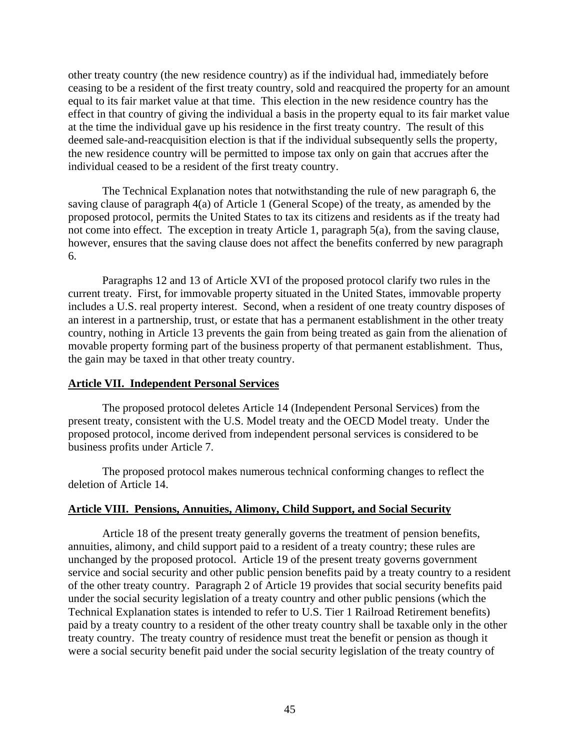other treaty country (the new residence country) as if the individual had, immediately before ceasing to be a resident of the first treaty country, sold and reacquired the property for an amount equal to its fair market value at that time. This election in the new residence country has the effect in that country of giving the individual a basis in the property equal to its fair market value at the time the individual gave up his residence in the first treaty country. The result of this deemed sale-and-reacquisition election is that if the individual subsequently sells the property, the new residence country will be permitted to impose tax only on gain that accrues after the individual ceased to be a resident of the first treaty country.

The Technical Explanation notes that notwithstanding the rule of new paragraph 6, the saving clause of paragraph 4(a) of Article 1 (General Scope) of the treaty, as amended by the proposed protocol, permits the United States to tax its citizens and residents as if the treaty had not come into effect. The exception in treaty Article 1, paragraph 5(a), from the saving clause, however, ensures that the saving clause does not affect the benefits conferred by new paragraph 6.

Paragraphs 12 and 13 of Article XVI of the proposed protocol clarify two rules in the current treaty. First, for immovable property situated in the United States, immovable property includes a U.S. real property interest. Second, when a resident of one treaty country disposes of an interest in a partnership, trust, or estate that has a permanent establishment in the other treaty country, nothing in Article 13 prevents the gain from being treated as gain from the alienation of movable property forming part of the business property of that permanent establishment. Thus, the gain may be taxed in that other treaty country.

## **Article VII. Independent Personal Services**

The proposed protocol deletes Article 14 (Independent Personal Services) from the present treaty, consistent with the U.S. Model treaty and the OECD Model treaty. Under the proposed protocol, income derived from independent personal services is considered to be business profits under Article 7.

The proposed protocol makes numerous technical conforming changes to reflect the deletion of Article 14.

## **Article VIII. Pensions, Annuities, Alimony, Child Support, and Social Security**

Article 18 of the present treaty generally governs the treatment of pension benefits, annuities, alimony, and child support paid to a resident of a treaty country; these rules are unchanged by the proposed protocol. Article 19 of the present treaty governs government service and social security and other public pension benefits paid by a treaty country to a resident of the other treaty country. Paragraph 2 of Article 19 provides that social security benefits paid under the social security legislation of a treaty country and other public pensions (which the Technical Explanation states is intended to refer to U.S. Tier 1 Railroad Retirement benefits) paid by a treaty country to a resident of the other treaty country shall be taxable only in the other treaty country. The treaty country of residence must treat the benefit or pension as though it were a social security benefit paid under the social security legislation of the treaty country of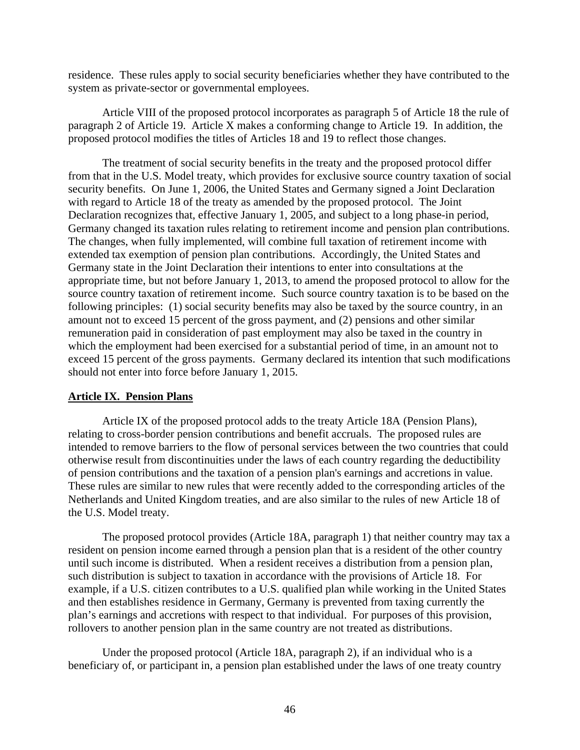residence. These rules apply to social security beneficiaries whether they have contributed to the system as private-sector or governmental employees.

Article VIII of the proposed protocol incorporates as paragraph 5 of Article 18 the rule of paragraph 2 of Article 19. Article X makes a conforming change to Article 19. In addition, the proposed protocol modifies the titles of Articles 18 and 19 to reflect those changes.

The treatment of social security benefits in the treaty and the proposed protocol differ from that in the U.S. Model treaty, which provides for exclusive source country taxation of social security benefits. On June 1, 2006, the United States and Germany signed a Joint Declaration with regard to Article 18 of the treaty as amended by the proposed protocol. The Joint Declaration recognizes that, effective January 1, 2005, and subject to a long phase-in period, Germany changed its taxation rules relating to retirement income and pension plan contributions. The changes, when fully implemented, will combine full taxation of retirement income with extended tax exemption of pension plan contributions. Accordingly, the United States and Germany state in the Joint Declaration their intentions to enter into consultations at the appropriate time, but not before January 1, 2013, to amend the proposed protocol to allow for the source country taxation of retirement income. Such source country taxation is to be based on the following principles: (1) social security benefits may also be taxed by the source country, in an amount not to exceed 15 percent of the gross payment, and (2) pensions and other similar remuneration paid in consideration of past employment may also be taxed in the country in which the employment had been exercised for a substantial period of time, in an amount not to exceed 15 percent of the gross payments. Germany declared its intention that such modifications should not enter into force before January 1, 2015.

### **Article IX. Pension Plans**

Article IX of the proposed protocol adds to the treaty Article 18A (Pension Plans), relating to cross-border pension contributions and benefit accruals. The proposed rules are intended to remove barriers to the flow of personal services between the two countries that could otherwise result from discontinuities under the laws of each country regarding the deductibility of pension contributions and the taxation of a pension plan's earnings and accretions in value. These rules are similar to new rules that were recently added to the corresponding articles of the Netherlands and United Kingdom treaties, and are also similar to the rules of new Article 18 of the U.S. Model treaty.

The proposed protocol provides (Article 18A, paragraph 1) that neither country may tax a resident on pension income earned through a pension plan that is a resident of the other country until such income is distributed. When a resident receives a distribution from a pension plan, such distribution is subject to taxation in accordance with the provisions of Article 18. For example, if a U.S. citizen contributes to a U.S. qualified plan while working in the United States and then establishes residence in Germany, Germany is prevented from taxing currently the plan's earnings and accretions with respect to that individual. For purposes of this provision, rollovers to another pension plan in the same country are not treated as distributions.

Under the proposed protocol (Article 18A, paragraph 2), if an individual who is a beneficiary of, or participant in, a pension plan established under the laws of one treaty country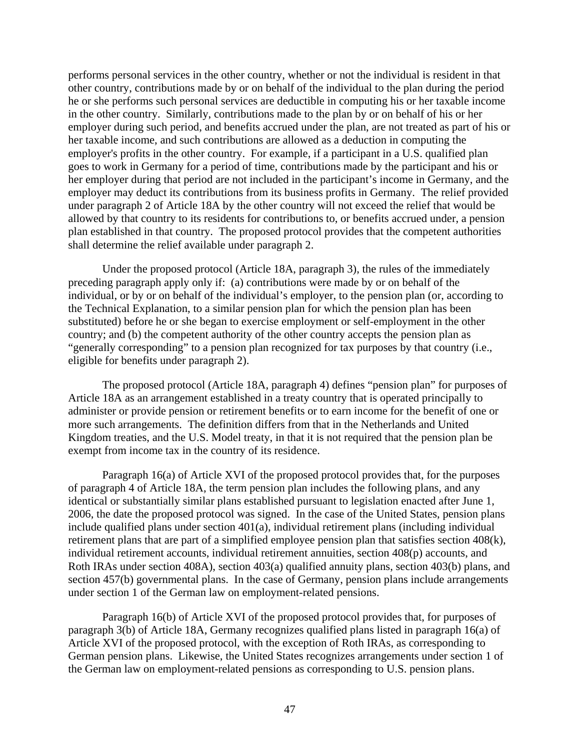performs personal services in the other country, whether or not the individual is resident in that other country, contributions made by or on behalf of the individual to the plan during the period he or she performs such personal services are deductible in computing his or her taxable income in the other country. Similarly, contributions made to the plan by or on behalf of his or her employer during such period, and benefits accrued under the plan, are not treated as part of his or her taxable income, and such contributions are allowed as a deduction in computing the employer's profits in the other country. For example, if a participant in a U.S. qualified plan goes to work in Germany for a period of time, contributions made by the participant and his or her employer during that period are not included in the participant's income in Germany, and the employer may deduct its contributions from its business profits in Germany. The relief provided under paragraph 2 of Article 18A by the other country will not exceed the relief that would be allowed by that country to its residents for contributions to, or benefits accrued under, a pension plan established in that country. The proposed protocol provides that the competent authorities shall determine the relief available under paragraph 2.

Under the proposed protocol (Article 18A, paragraph 3), the rules of the immediately preceding paragraph apply only if: (a) contributions were made by or on behalf of the individual, or by or on behalf of the individual's employer, to the pension plan (or, according to the Technical Explanation, to a similar pension plan for which the pension plan has been substituted) before he or she began to exercise employment or self-employment in the other country; and (b) the competent authority of the other country accepts the pension plan as "generally corresponding" to a pension plan recognized for tax purposes by that country (i.e., eligible for benefits under paragraph 2).

The proposed protocol (Article 18A, paragraph 4) defines "pension plan" for purposes of Article 18A as an arrangement established in a treaty country that is operated principally to administer or provide pension or retirement benefits or to earn income for the benefit of one or more such arrangements. The definition differs from that in the Netherlands and United Kingdom treaties, and the U.S. Model treaty, in that it is not required that the pension plan be exempt from income tax in the country of its residence.

Paragraph 16(a) of Article XVI of the proposed protocol provides that, for the purposes of paragraph 4 of Article 18A, the term pension plan includes the following plans, and any identical or substantially similar plans established pursuant to legislation enacted after June 1, 2006, the date the proposed protocol was signed. In the case of the United States, pension plans include qualified plans under section 401(a), individual retirement plans (including individual retirement plans that are part of a simplified employee pension plan that satisfies section 408(k), individual retirement accounts, individual retirement annuities, section 408(p) accounts, and Roth IRAs under section 408A), section 403(a) qualified annuity plans, section 403(b) plans, and section 457(b) governmental plans. In the case of Germany, pension plans include arrangements under section 1 of the German law on employment-related pensions.

Paragraph 16(b) of Article XVI of the proposed protocol provides that, for purposes of paragraph 3(b) of Article 18A, Germany recognizes qualified plans listed in paragraph 16(a) of Article XVI of the proposed protocol, with the exception of Roth IRAs, as corresponding to German pension plans. Likewise, the United States recognizes arrangements under section 1 of the German law on employment-related pensions as corresponding to U.S. pension plans.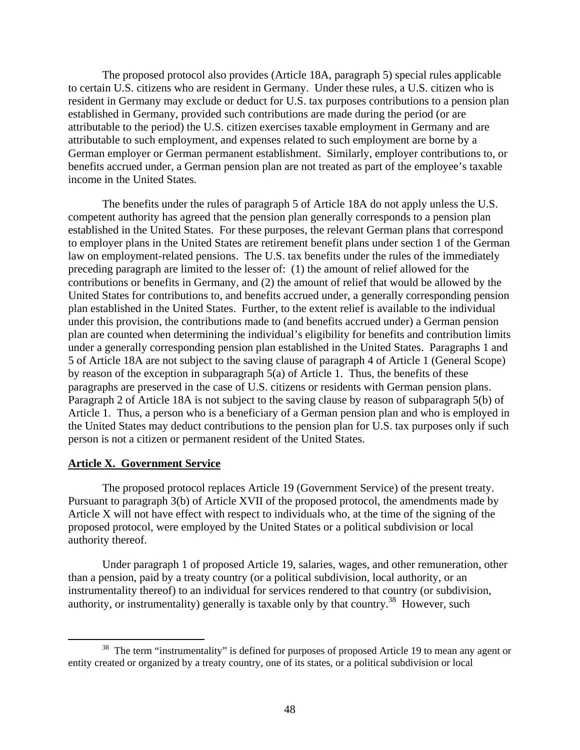The proposed protocol also provides (Article 18A, paragraph 5) special rules applicable to certain U.S. citizens who are resident in Germany. Under these rules, a U.S. citizen who is resident in Germany may exclude or deduct for U.S. tax purposes contributions to a pension plan established in Germany, provided such contributions are made during the period (or are attributable to the period) the U.S. citizen exercises taxable employment in Germany and are attributable to such employment, and expenses related to such employment are borne by a German employer or German permanent establishment. Similarly, employer contributions to, or benefits accrued under, a German pension plan are not treated as part of the employee's taxable income in the United States.

The benefits under the rules of paragraph 5 of Article 18A do not apply unless the U.S. competent authority has agreed that the pension plan generally corresponds to a pension plan established in the United States. For these purposes, the relevant German plans that correspond to employer plans in the United States are retirement benefit plans under section 1 of the German law on employment-related pensions. The U.S. tax benefits under the rules of the immediately preceding paragraph are limited to the lesser of: (1) the amount of relief allowed for the contributions or benefits in Germany, and (2) the amount of relief that would be allowed by the United States for contributions to, and benefits accrued under, a generally corresponding pension plan established in the United States. Further, to the extent relief is available to the individual under this provision, the contributions made to (and benefits accrued under) a German pension plan are counted when determining the individual's eligibility for benefits and contribution limits under a generally corresponding pension plan established in the United States. Paragraphs 1 and 5 of Article 18A are not subject to the saving clause of paragraph 4 of Article 1 (General Scope) by reason of the exception in subparagraph 5(a) of Article 1. Thus, the benefits of these paragraphs are preserved in the case of U.S. citizens or residents with German pension plans. Paragraph 2 of Article 18A is not subject to the saving clause by reason of subparagraph 5(b) of Article 1. Thus, a person who is a beneficiary of a German pension plan and who is employed in the United States may deduct contributions to the pension plan for U.S. tax purposes only if such person is not a citizen or permanent resident of the United States.

# **Article X. Government Service**

The proposed protocol replaces Article 19 (Government Service) of the present treaty. Pursuant to paragraph 3(b) of Article XVII of the proposed protocol, the amendments made by Article X will not have effect with respect to individuals who, at the time of the signing of the proposed protocol, were employed by the United States or a political subdivision or local authority thereof.

Under paragraph 1 of proposed Article 19, salaries, wages, and other remuneration, other than a pension, paid by a treaty country (or a political subdivision, local authority, or an instrumentality thereof) to an individual for services rendered to that country (or subdivision, authority, or instrumentality) generally is taxable only by that country.<sup>38</sup> However, such

<sup>&</sup>lt;sup>38</sup> The term "instrumentality" is defined for purposes of proposed Article 19 to mean any agent or entity created or organized by a treaty country, one of its states, or a political subdivision or local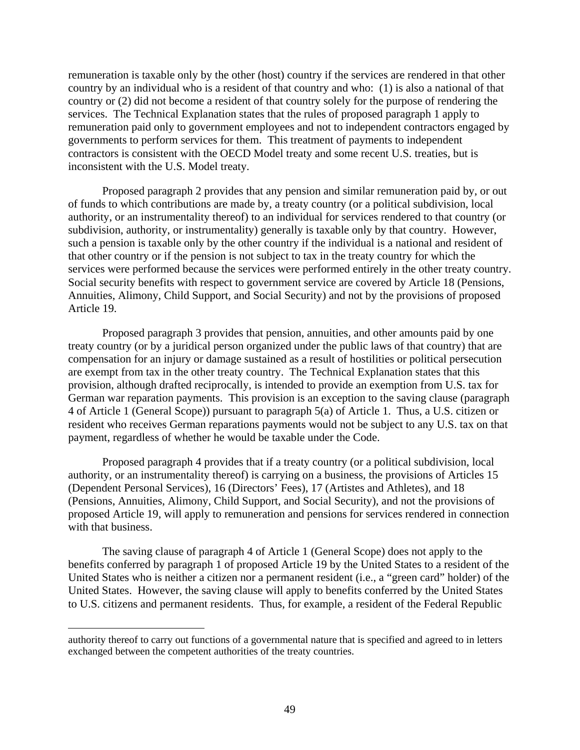remuneration is taxable only by the other (host) country if the services are rendered in that other country by an individual who is a resident of that country and who: (1) is also a national of that country or (2) did not become a resident of that country solely for the purpose of rendering the services. The Technical Explanation states that the rules of proposed paragraph 1 apply to remuneration paid only to government employees and not to independent contractors engaged by governments to perform services for them. This treatment of payments to independent contractors is consistent with the OECD Model treaty and some recent U.S. treaties, but is inconsistent with the U.S. Model treaty.

Proposed paragraph 2 provides that any pension and similar remuneration paid by, or out of funds to which contributions are made by, a treaty country (or a political subdivision, local authority, or an instrumentality thereof) to an individual for services rendered to that country (or subdivision, authority, or instrumentality) generally is taxable only by that country. However, such a pension is taxable only by the other country if the individual is a national and resident of that other country or if the pension is not subject to tax in the treaty country for which the services were performed because the services were performed entirely in the other treaty country. Social security benefits with respect to government service are covered by Article 18 (Pensions, Annuities, Alimony, Child Support, and Social Security) and not by the provisions of proposed Article 19.

Proposed paragraph 3 provides that pension, annuities, and other amounts paid by one treaty country (or by a juridical person organized under the public laws of that country) that are compensation for an injury or damage sustained as a result of hostilities or political persecution are exempt from tax in the other treaty country. The Technical Explanation states that this provision, although drafted reciprocally, is intended to provide an exemption from U.S. tax for German war reparation payments. This provision is an exception to the saving clause (paragraph 4 of Article 1 (General Scope)) pursuant to paragraph 5(a) of Article 1. Thus, a U.S. citizen or resident who receives German reparations payments would not be subject to any U.S. tax on that payment, regardless of whether he would be taxable under the Code.

Proposed paragraph 4 provides that if a treaty country (or a political subdivision, local authority, or an instrumentality thereof) is carrying on a business, the provisions of Articles 15 (Dependent Personal Services), 16 (Directors' Fees), 17 (Artistes and Athletes), and 18 (Pensions, Annuities, Alimony, Child Support, and Social Security), and not the provisions of proposed Article 19, will apply to remuneration and pensions for services rendered in connection with that business.

The saving clause of paragraph 4 of Article 1 (General Scope) does not apply to the benefits conferred by paragraph 1 of proposed Article 19 by the United States to a resident of the United States who is neither a citizen nor a permanent resident (i.e., a "green card" holder) of the United States. However, the saving clause will apply to benefits conferred by the United States to U.S. citizens and permanent residents. Thus, for example, a resident of the Federal Republic

1

authority thereof to carry out functions of a governmental nature that is specified and agreed to in letters exchanged between the competent authorities of the treaty countries.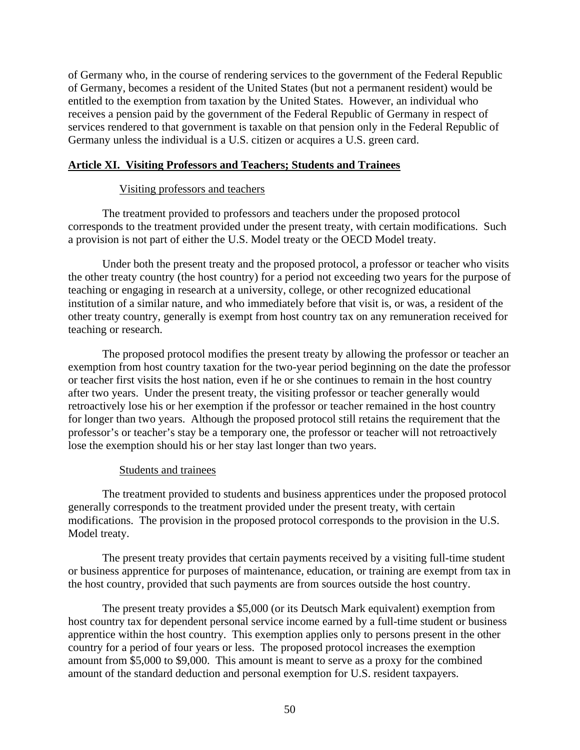of Germany who, in the course of rendering services to the government of the Federal Republic of Germany, becomes a resident of the United States (but not a permanent resident) would be entitled to the exemption from taxation by the United States. However, an individual who receives a pension paid by the government of the Federal Republic of Germany in respect of services rendered to that government is taxable on that pension only in the Federal Republic of Germany unless the individual is a U.S. citizen or acquires a U.S. green card.

## **Article XI. Visiting Professors and Teachers; Students and Trainees**

## Visiting professors and teachers

The treatment provided to professors and teachers under the proposed protocol corresponds to the treatment provided under the present treaty, with certain modifications. Such a provision is not part of either the U.S. Model treaty or the OECD Model treaty.

Under both the present treaty and the proposed protocol, a professor or teacher who visits the other treaty country (the host country) for a period not exceeding two years for the purpose of teaching or engaging in research at a university, college, or other recognized educational institution of a similar nature, and who immediately before that visit is, or was, a resident of the other treaty country, generally is exempt from host country tax on any remuneration received for teaching or research.

The proposed protocol modifies the present treaty by allowing the professor or teacher an exemption from host country taxation for the two-year period beginning on the date the professor or teacher first visits the host nation, even if he or she continues to remain in the host country after two years. Under the present treaty, the visiting professor or teacher generally would retroactively lose his or her exemption if the professor or teacher remained in the host country for longer than two years. Although the proposed protocol still retains the requirement that the professor's or teacher's stay be a temporary one, the professor or teacher will not retroactively lose the exemption should his or her stay last longer than two years.

## Students and trainees

The treatment provided to students and business apprentices under the proposed protocol generally corresponds to the treatment provided under the present treaty, with certain modifications. The provision in the proposed protocol corresponds to the provision in the U.S. Model treaty.

The present treaty provides that certain payments received by a visiting full-time student or business apprentice for purposes of maintenance, education, or training are exempt from tax in the host country, provided that such payments are from sources outside the host country.

The present treaty provides a \$5,000 (or its Deutsch Mark equivalent) exemption from host country tax for dependent personal service income earned by a full-time student or business apprentice within the host country. This exemption applies only to persons present in the other country for a period of four years or less. The proposed protocol increases the exemption amount from \$5,000 to \$9,000. This amount is meant to serve as a proxy for the combined amount of the standard deduction and personal exemption for U.S. resident taxpayers.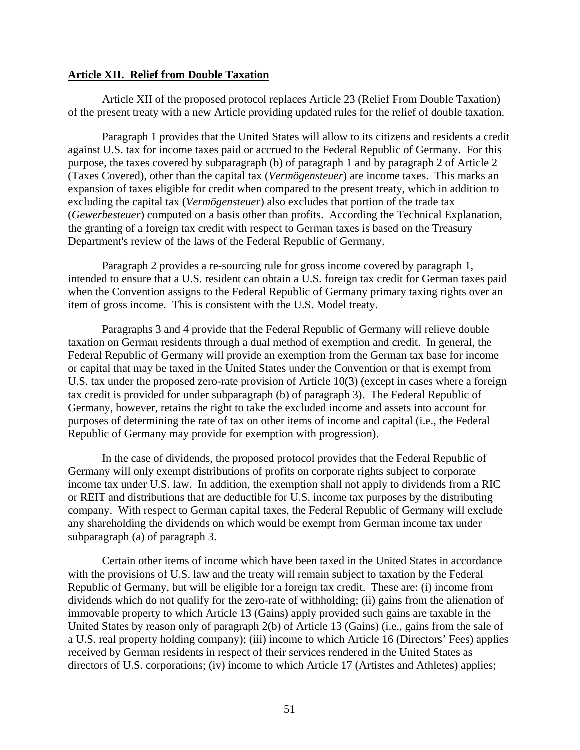### **Article XII. Relief from Double Taxation**

Article XII of the proposed protocol replaces Article 23 (Relief From Double Taxation) of the present treaty with a new Article providing updated rules for the relief of double taxation.

Paragraph 1 provides that the United States will allow to its citizens and residents a credit against U.S. tax for income taxes paid or accrued to the Federal Republic of Germany. For this purpose, the taxes covered by subparagraph (b) of paragraph 1 and by paragraph 2 of Article 2 (Taxes Covered), other than the capital tax (*Vermögensteuer*) are income taxes. This marks an expansion of taxes eligible for credit when compared to the present treaty, which in addition to excluding the capital tax (*Vermögensteuer*) also excludes that portion of the trade tax (*Gewerbesteuer*) computed on a basis other than profits. According the Technical Explanation, the granting of a foreign tax credit with respect to German taxes is based on the Treasury Department's review of the laws of the Federal Republic of Germany.

Paragraph 2 provides a re-sourcing rule for gross income covered by paragraph 1, intended to ensure that a U.S. resident can obtain a U.S. foreign tax credit for German taxes paid when the Convention assigns to the Federal Republic of Germany primary taxing rights over an item of gross income. This is consistent with the U.S. Model treaty.

Paragraphs 3 and 4 provide that the Federal Republic of Germany will relieve double taxation on German residents through a dual method of exemption and credit. In general, the Federal Republic of Germany will provide an exemption from the German tax base for income or capital that may be taxed in the United States under the Convention or that is exempt from U.S. tax under the proposed zero-rate provision of Article 10(3) (except in cases where a foreign tax credit is provided for under subparagraph (b) of paragraph 3). The Federal Republic of Germany, however, retains the right to take the excluded income and assets into account for purposes of determining the rate of tax on other items of income and capital (i.e., the Federal Republic of Germany may provide for exemption with progression).

In the case of dividends, the proposed protocol provides that the Federal Republic of Germany will only exempt distributions of profits on corporate rights subject to corporate income tax under U.S. law. In addition, the exemption shall not apply to dividends from a RIC or REIT and distributions that are deductible for U.S. income tax purposes by the distributing company. With respect to German capital taxes, the Federal Republic of Germany will exclude any shareholding the dividends on which would be exempt from German income tax under subparagraph (a) of paragraph 3.

Certain other items of income which have been taxed in the United States in accordance with the provisions of U.S. law and the treaty will remain subject to taxation by the Federal Republic of Germany, but will be eligible for a foreign tax credit. These are: (i) income from dividends which do not qualify for the zero-rate of withholding; (ii) gains from the alienation of immovable property to which Article 13 (Gains) apply provided such gains are taxable in the United States by reason only of paragraph 2(b) of Article 13 (Gains) (i.e., gains from the sale of a U.S. real property holding company); (iii) income to which Article 16 (Directors' Fees) applies received by German residents in respect of their services rendered in the United States as directors of U.S. corporations; (iv) income to which Article 17 (Artistes and Athletes) applies;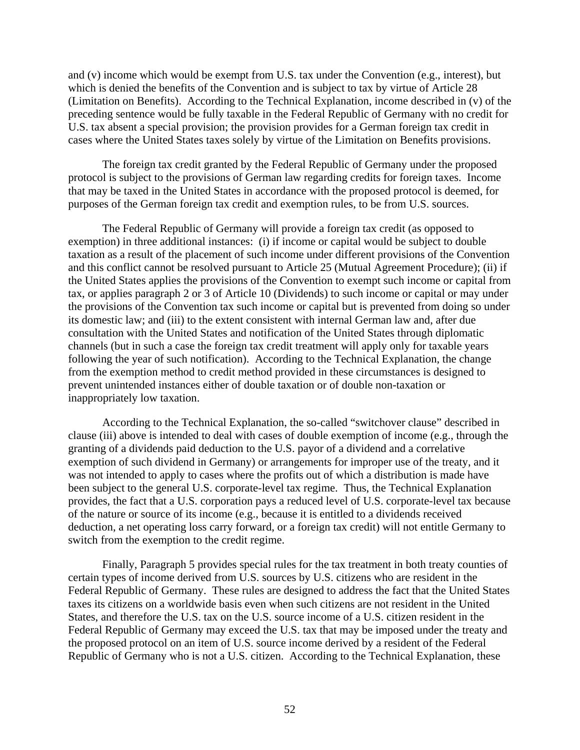and (v) income which would be exempt from U.S. tax under the Convention (e.g., interest), but which is denied the benefits of the Convention and is subject to tax by virtue of Article 28 (Limitation on Benefits). According to the Technical Explanation, income described in (v) of the preceding sentence would be fully taxable in the Federal Republic of Germany with no credit for U.S. tax absent a special provision; the provision provides for a German foreign tax credit in cases where the United States taxes solely by virtue of the Limitation on Benefits provisions.

The foreign tax credit granted by the Federal Republic of Germany under the proposed protocol is subject to the provisions of German law regarding credits for foreign taxes. Income that may be taxed in the United States in accordance with the proposed protocol is deemed, for purposes of the German foreign tax credit and exemption rules, to be from U.S. sources.

The Federal Republic of Germany will provide a foreign tax credit (as opposed to exemption) in three additional instances: (i) if income or capital would be subject to double taxation as a result of the placement of such income under different provisions of the Convention and this conflict cannot be resolved pursuant to Article 25 (Mutual Agreement Procedure); (ii) if the United States applies the provisions of the Convention to exempt such income or capital from tax, or applies paragraph 2 or 3 of Article 10 (Dividends) to such income or capital or may under the provisions of the Convention tax such income or capital but is prevented from doing so under its domestic law; and (iii) to the extent consistent with internal German law and, after due consultation with the United States and notification of the United States through diplomatic channels (but in such a case the foreign tax credit treatment will apply only for taxable years following the year of such notification). According to the Technical Explanation, the change from the exemption method to credit method provided in these circumstances is designed to prevent unintended instances either of double taxation or of double non-taxation or inappropriately low taxation.

According to the Technical Explanation, the so-called "switchover clause" described in clause (iii) above is intended to deal with cases of double exemption of income (e.g., through the granting of a dividends paid deduction to the U.S. payor of a dividend and a correlative exemption of such dividend in Germany) or arrangements for improper use of the treaty, and it was not intended to apply to cases where the profits out of which a distribution is made have been subject to the general U.S. corporate-level tax regime. Thus, the Technical Explanation provides, the fact that a U.S. corporation pays a reduced level of U.S. corporate-level tax because of the nature or source of its income (e.g., because it is entitled to a dividends received deduction, a net operating loss carry forward, or a foreign tax credit) will not entitle Germany to switch from the exemption to the credit regime.

Finally, Paragraph 5 provides special rules for the tax treatment in both treaty counties of certain types of income derived from U.S. sources by U.S. citizens who are resident in the Federal Republic of Germany. These rules are designed to address the fact that the United States taxes its citizens on a worldwide basis even when such citizens are not resident in the United States, and therefore the U.S. tax on the U.S. source income of a U.S. citizen resident in the Federal Republic of Germany may exceed the U.S. tax that may be imposed under the treaty and the proposed protocol on an item of U.S. source income derived by a resident of the Federal Republic of Germany who is not a U.S. citizen. According to the Technical Explanation, these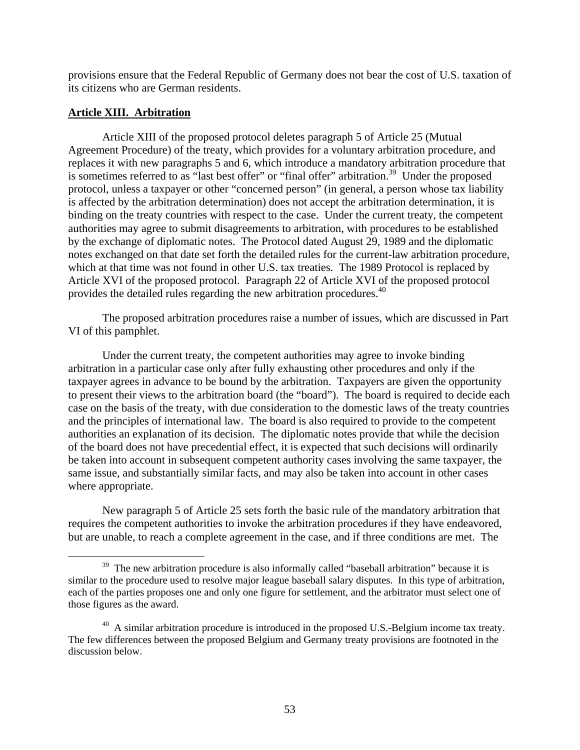provisions ensure that the Federal Republic of Germany does not bear the cost of U.S. taxation of its citizens who are German residents.

# **Article XIII. Arbitration**

Article XIII of the proposed protocol deletes paragraph 5 of Article 25 (Mutual Agreement Procedure) of the treaty, which provides for a voluntary arbitration procedure, and replaces it with new paragraphs 5 and 6, which introduce a mandatory arbitration procedure that is sometimes referred to as "last best offer" or "final offer" arbitration.<sup>39</sup> Under the proposed protocol, unless a taxpayer or other "concerned person" (in general, a person whose tax liability is affected by the arbitration determination) does not accept the arbitration determination, it is binding on the treaty countries with respect to the case. Under the current treaty, the competent authorities may agree to submit disagreements to arbitration, with procedures to be established by the exchange of diplomatic notes. The Protocol dated August 29, 1989 and the diplomatic notes exchanged on that date set forth the detailed rules for the current-law arbitration procedure, which at that time was not found in other U.S. tax treaties. The 1989 Protocol is replaced by Article XVI of the proposed protocol. Paragraph 22 of Article XVI of the proposed protocol provides the detailed rules regarding the new arbitration procedures.<sup>40</sup>

The proposed arbitration procedures raise a number of issues, which are discussed in Part VI of this pamphlet.

Under the current treaty, the competent authorities may agree to invoke binding arbitration in a particular case only after fully exhausting other procedures and only if the taxpayer agrees in advance to be bound by the arbitration. Taxpayers are given the opportunity to present their views to the arbitration board (the "board"). The board is required to decide each case on the basis of the treaty, with due consideration to the domestic laws of the treaty countries and the principles of international law. The board is also required to provide to the competent authorities an explanation of its decision. The diplomatic notes provide that while the decision of the board does not have precedential effect, it is expected that such decisions will ordinarily be taken into account in subsequent competent authority cases involving the same taxpayer, the same issue, and substantially similar facts, and may also be taken into account in other cases where appropriate.

New paragraph 5 of Article 25 sets forth the basic rule of the mandatory arbitration that requires the competent authorities to invoke the arbitration procedures if they have endeavored, but are unable, to reach a complete agreement in the case, and if three conditions are met. The

The new arbitration procedure is also informally called "baseball arbitration" because it is similar to the procedure used to resolve major league baseball salary disputes. In this type of arbitration, each of the parties proposes one and only one figure for settlement, and the arbitrator must select one of those figures as the award.

 $40$  A similar arbitration procedure is introduced in the proposed U.S.-Belgium income tax treaty. The few differences between the proposed Belgium and Germany treaty provisions are footnoted in the discussion below.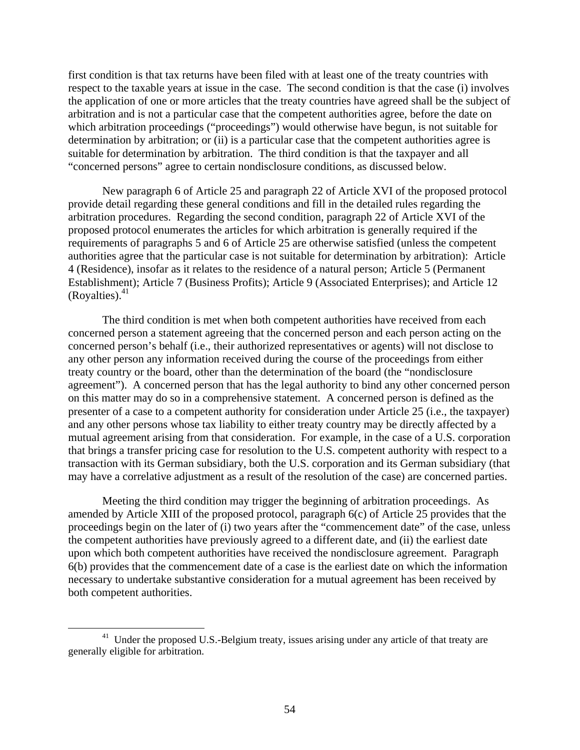first condition is that tax returns have been filed with at least one of the treaty countries with respect to the taxable years at issue in the case. The second condition is that the case (i) involves the application of one or more articles that the treaty countries have agreed shall be the subject of arbitration and is not a particular case that the competent authorities agree, before the date on which arbitration proceedings ("proceedings") would otherwise have begun, is not suitable for determination by arbitration; or (ii) is a particular case that the competent authorities agree is suitable for determination by arbitration. The third condition is that the taxpayer and all "concerned persons" agree to certain nondisclosure conditions, as discussed below.

New paragraph 6 of Article 25 and paragraph 22 of Article XVI of the proposed protocol provide detail regarding these general conditions and fill in the detailed rules regarding the arbitration procedures. Regarding the second condition, paragraph 22 of Article XVI of the proposed protocol enumerates the articles for which arbitration is generally required if the requirements of paragraphs 5 and 6 of Article 25 are otherwise satisfied (unless the competent authorities agree that the particular case is not suitable for determination by arbitration): Article 4 (Residence), insofar as it relates to the residence of a natural person; Article 5 (Permanent Establishment); Article 7 (Business Profits); Article 9 (Associated Enterprises); and Article 12  $(Rovalties).<sup>41</sup>$ 

The third condition is met when both competent authorities have received from each concerned person a statement agreeing that the concerned person and each person acting on the concerned person's behalf (i.e., their authorized representatives or agents) will not disclose to any other person any information received during the course of the proceedings from either treaty country or the board, other than the determination of the board (the "nondisclosure agreement"). A concerned person that has the legal authority to bind any other concerned person on this matter may do so in a comprehensive statement. A concerned person is defined as the presenter of a case to a competent authority for consideration under Article 25 (i.e., the taxpayer) and any other persons whose tax liability to either treaty country may be directly affected by a mutual agreement arising from that consideration. For example, in the case of a U.S. corporation that brings a transfer pricing case for resolution to the U.S. competent authority with respect to a transaction with its German subsidiary, both the U.S. corporation and its German subsidiary (that may have a correlative adjustment as a result of the resolution of the case) are concerned parties.

Meeting the third condition may trigger the beginning of arbitration proceedings. As amended by Article XIII of the proposed protocol, paragraph 6(c) of Article 25 provides that the proceedings begin on the later of (i) two years after the "commencement date" of the case, unless the competent authorities have previously agreed to a different date, and (ii) the earliest date upon which both competent authorities have received the nondisclosure agreement. Paragraph 6(b) provides that the commencement date of a case is the earliest date on which the information necessary to undertake substantive consideration for a mutual agreement has been received by both competent authorities.

<sup>&</sup>lt;sup>41</sup> Under the proposed U.S.-Belgium treaty, issues arising under any article of that treaty are generally eligible for arbitration.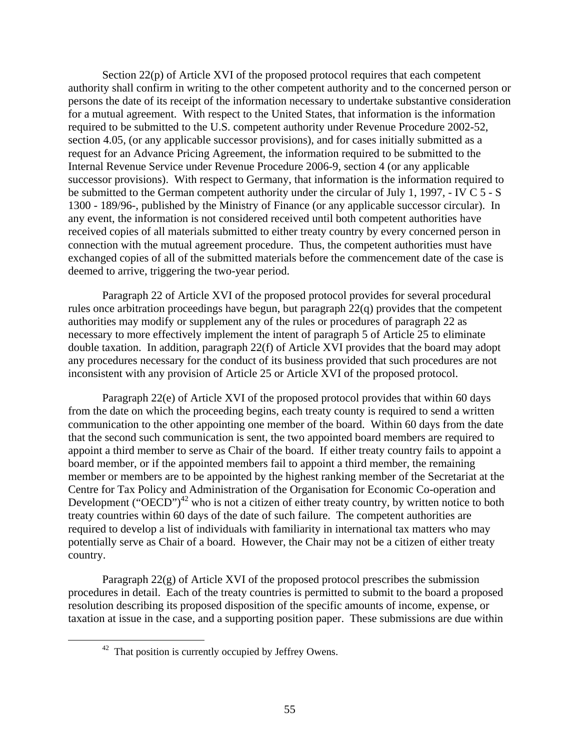Section 22(p) of Article XVI of the proposed protocol requires that each competent authority shall confirm in writing to the other competent authority and to the concerned person or persons the date of its receipt of the information necessary to undertake substantive consideration for a mutual agreement. With respect to the United States, that information is the information required to be submitted to the U.S. competent authority under Revenue Procedure 2002-52, section 4.05, (or any applicable successor provisions), and for cases initially submitted as a request for an Advance Pricing Agreement, the information required to be submitted to the Internal Revenue Service under Revenue Procedure 2006-9, section 4 (or any applicable successor provisions). With respect to Germany, that information is the information required to be submitted to the German competent authority under the circular of July 1, 1997, - IV C 5 - S 1300 - 189/96-, published by the Ministry of Finance (or any applicable successor circular). In any event, the information is not considered received until both competent authorities have received copies of all materials submitted to either treaty country by every concerned person in connection with the mutual agreement procedure. Thus, the competent authorities must have exchanged copies of all of the submitted materials before the commencement date of the case is deemed to arrive, triggering the two-year period.

Paragraph 22 of Article XVI of the proposed protocol provides for several procedural rules once arbitration proceedings have begun, but paragraph 22(q) provides that the competent authorities may modify or supplement any of the rules or procedures of paragraph 22 as necessary to more effectively implement the intent of paragraph 5 of Article 25 to eliminate double taxation. In addition, paragraph 22(f) of Article XVI provides that the board may adopt any procedures necessary for the conduct of its business provided that such procedures are not inconsistent with any provision of Article 25 or Article XVI of the proposed protocol.

Paragraph 22(e) of Article XVI of the proposed protocol provides that within 60 days from the date on which the proceeding begins, each treaty county is required to send a written communication to the other appointing one member of the board. Within 60 days from the date that the second such communication is sent, the two appointed board members are required to appoint a third member to serve as Chair of the board. If either treaty country fails to appoint a board member, or if the appointed members fail to appoint a third member, the remaining member or members are to be appointed by the highest ranking member of the Secretariat at the Centre for Tax Policy and Administration of the Organisation for Economic Co-operation and Development ("OECD") $^{42}$  who is not a citizen of either treaty country, by written notice to both treaty countries within 60 days of the date of such failure. The competent authorities are required to develop a list of individuals with familiarity in international tax matters who may potentially serve as Chair of a board. However, the Chair may not be a citizen of either treaty country.

Paragraph 22(g) of Article XVI of the proposed protocol prescribes the submission procedures in detail. Each of the treaty countries is permitted to submit to the board a proposed resolution describing its proposed disposition of the specific amounts of income, expense, or taxation at issue in the case, and a supporting position paper. These submissions are due within

 $42$  That position is currently occupied by Jeffrey Owens.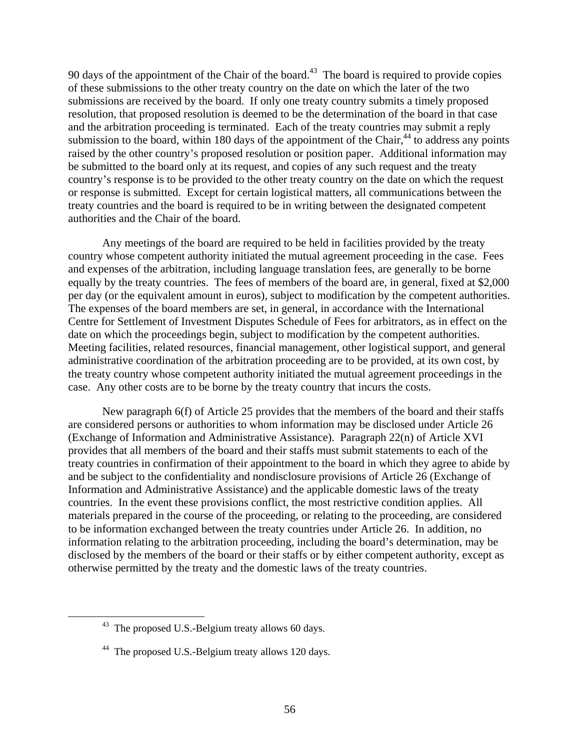90 days of the appointment of the Chair of the board.<sup>43</sup> The board is required to provide copies of these submissions to the other treaty country on the date on which the later of the two submissions are received by the board. If only one treaty country submits a timely proposed resolution, that proposed resolution is deemed to be the determination of the board in that case and the arbitration proceeding is terminated. Each of the treaty countries may submit a reply submission to the board, within 180 days of the appointment of the Chair,<sup>44</sup> to address any points raised by the other country's proposed resolution or position paper. Additional information may be submitted to the board only at its request, and copies of any such request and the treaty country's response is to be provided to the other treaty country on the date on which the request or response is submitted. Except for certain logistical matters, all communications between the treaty countries and the board is required to be in writing between the designated competent authorities and the Chair of the board.

Any meetings of the board are required to be held in facilities provided by the treaty country whose competent authority initiated the mutual agreement proceeding in the case. Fees and expenses of the arbitration, including language translation fees, are generally to be borne equally by the treaty countries. The fees of members of the board are, in general, fixed at \$2,000 per day (or the equivalent amount in euros), subject to modification by the competent authorities. The expenses of the board members are set, in general, in accordance with the International Centre for Settlement of Investment Disputes Schedule of Fees for arbitrators, as in effect on the date on which the proceedings begin, subject to modification by the competent authorities. Meeting facilities, related resources, financial management, other logistical support, and general administrative coordination of the arbitration proceeding are to be provided, at its own cost, by the treaty country whose competent authority initiated the mutual agreement proceedings in the case. Any other costs are to be borne by the treaty country that incurs the costs.

New paragraph 6(f) of Article 25 provides that the members of the board and their staffs are considered persons or authorities to whom information may be disclosed under Article 26 (Exchange of Information and Administrative Assistance). Paragraph 22(n) of Article XVI provides that all members of the board and their staffs must submit statements to each of the treaty countries in confirmation of their appointment to the board in which they agree to abide by and be subject to the confidentiality and nondisclosure provisions of Article 26 (Exchange of Information and Administrative Assistance) and the applicable domestic laws of the treaty countries. In the event these provisions conflict, the most restrictive condition applies. All materials prepared in the course of the proceeding, or relating to the proceeding, are considered to be information exchanged between the treaty countries under Article 26. In addition, no information relating to the arbitration proceeding, including the board's determination, may be disclosed by the members of the board or their staffs or by either competent authority, except as otherwise permitted by the treaty and the domestic laws of the treaty countries.

 $43$  The proposed U.S.-Belgium treaty allows 60 days.

<sup>&</sup>lt;sup>44</sup> The proposed U.S.-Belgium treaty allows 120 days.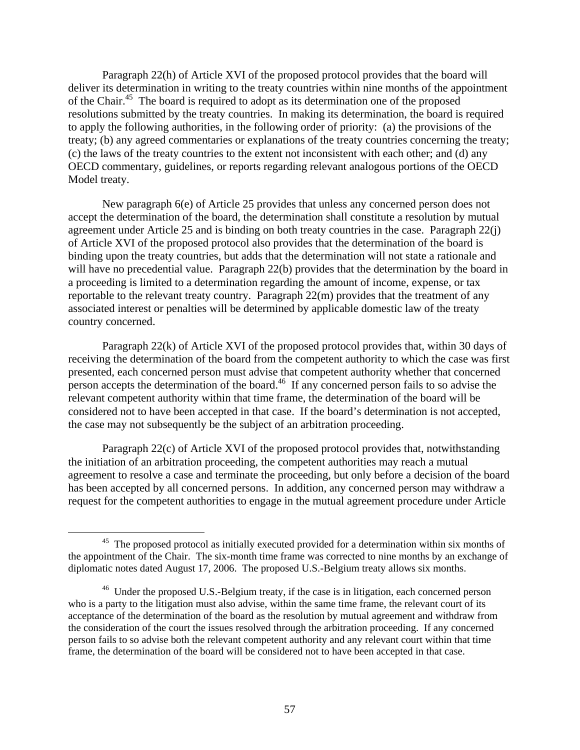Paragraph 22(h) of Article XVI of the proposed protocol provides that the board will deliver its determination in writing to the treaty countries within nine months of the appointment of the Chair.45 The board is required to adopt as its determination one of the proposed resolutions submitted by the treaty countries. In making its determination, the board is required to apply the following authorities, in the following order of priority: (a) the provisions of the treaty; (b) any agreed commentaries or explanations of the treaty countries concerning the treaty; (c) the laws of the treaty countries to the extent not inconsistent with each other; and (d) any OECD commentary, guidelines, or reports regarding relevant analogous portions of the OECD Model treaty.

New paragraph 6(e) of Article 25 provides that unless any concerned person does not accept the determination of the board, the determination shall constitute a resolution by mutual agreement under Article 25 and is binding on both treaty countries in the case. Paragraph 22(j) of Article XVI of the proposed protocol also provides that the determination of the board is binding upon the treaty countries, but adds that the determination will not state a rationale and will have no precedential value. Paragraph 22(b) provides that the determination by the board in a proceeding is limited to a determination regarding the amount of income, expense, or tax reportable to the relevant treaty country. Paragraph 22(m) provides that the treatment of any associated interest or penalties will be determined by applicable domestic law of the treaty country concerned.

Paragraph 22(k) of Article XVI of the proposed protocol provides that, within 30 days of receiving the determination of the board from the competent authority to which the case was first presented, each concerned person must advise that competent authority whether that concerned person accepts the determination of the board.<sup>46</sup> If any concerned person fails to so advise the relevant competent authority within that time frame, the determination of the board will be considered not to have been accepted in that case. If the board's determination is not accepted, the case may not subsequently be the subject of an arbitration proceeding.

Paragraph 22(c) of Article XVI of the proposed protocol provides that, notwithstanding the initiation of an arbitration proceeding, the competent authorities may reach a mutual agreement to resolve a case and terminate the proceeding, but only before a decision of the board has been accepted by all concerned persons. In addition, any concerned person may withdraw a request for the competent authorities to engage in the mutual agreement procedure under Article

<sup>&</sup>lt;sup>45</sup> The proposed protocol as initially executed provided for a determination within six months of the appointment of the Chair. The six-month time frame was corrected to nine months by an exchange of diplomatic notes dated August 17, 2006. The proposed U.S.-Belgium treaty allows six months.

<sup>&</sup>lt;sup>46</sup> Under the proposed U.S.-Belgium treaty, if the case is in litigation, each concerned person who is a party to the litigation must also advise, within the same time frame, the relevant court of its acceptance of the determination of the board as the resolution by mutual agreement and withdraw from the consideration of the court the issues resolved through the arbitration proceeding. If any concerned person fails to so advise both the relevant competent authority and any relevant court within that time frame, the determination of the board will be considered not to have been accepted in that case.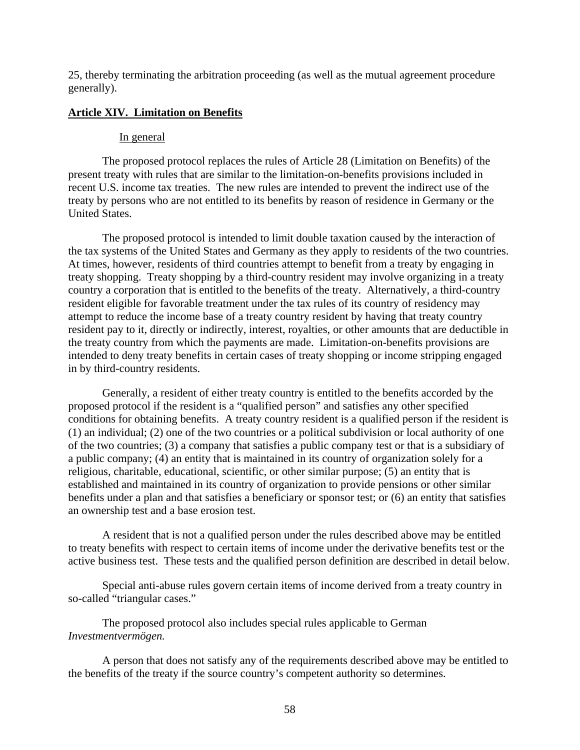25, thereby terminating the arbitration proceeding (as well as the mutual agreement procedure generally).

## **Article XIV. Limitation on Benefits**

## In general

The proposed protocol replaces the rules of Article 28 (Limitation on Benefits) of the present treaty with rules that are similar to the limitation-on-benefits provisions included in recent U.S. income tax treaties. The new rules are intended to prevent the indirect use of the treaty by persons who are not entitled to its benefits by reason of residence in Germany or the United States.

The proposed protocol is intended to limit double taxation caused by the interaction of the tax systems of the United States and Germany as they apply to residents of the two countries. At times, however, residents of third countries attempt to benefit from a treaty by engaging in treaty shopping. Treaty shopping by a third-country resident may involve organizing in a treaty country a corporation that is entitled to the benefits of the treaty. Alternatively, a third-country resident eligible for favorable treatment under the tax rules of its country of residency may attempt to reduce the income base of a treaty country resident by having that treaty country resident pay to it, directly or indirectly, interest, royalties, or other amounts that are deductible in the treaty country from which the payments are made. Limitation-on-benefits provisions are intended to deny treaty benefits in certain cases of treaty shopping or income stripping engaged in by third-country residents.

Generally, a resident of either treaty country is entitled to the benefits accorded by the proposed protocol if the resident is a "qualified person" and satisfies any other specified conditions for obtaining benefits. A treaty country resident is a qualified person if the resident is (1) an individual; (2) one of the two countries or a political subdivision or local authority of one of the two countries; (3) a company that satisfies a public company test or that is a subsidiary of a public company; (4) an entity that is maintained in its country of organization solely for a religious, charitable, educational, scientific, or other similar purpose; (5) an entity that is established and maintained in its country of organization to provide pensions or other similar benefits under a plan and that satisfies a beneficiary or sponsor test; or (6) an entity that satisfies an ownership test and a base erosion test.

A resident that is not a qualified person under the rules described above may be entitled to treaty benefits with respect to certain items of income under the derivative benefits test or the active business test. These tests and the qualified person definition are described in detail below.

Special anti-abuse rules govern certain items of income derived from a treaty country in so-called "triangular cases."

The proposed protocol also includes special rules applicable to German *Investmentvermögen.*

A person that does not satisfy any of the requirements described above may be entitled to the benefits of the treaty if the source country's competent authority so determines.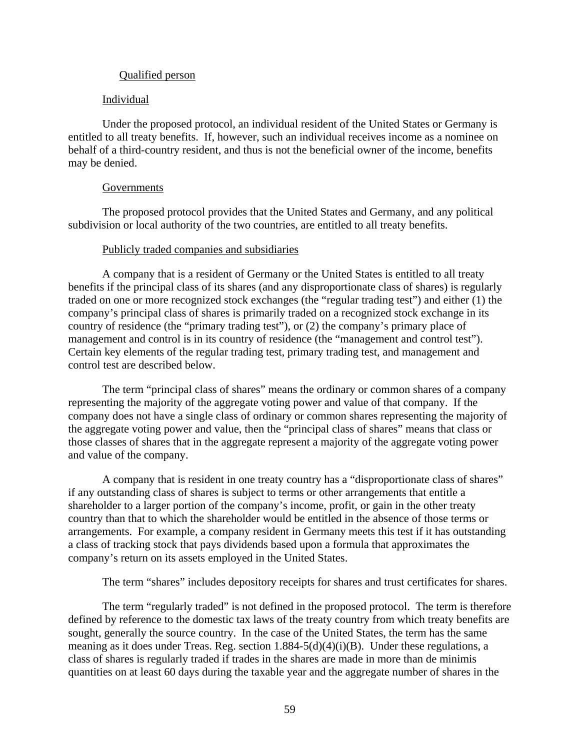### Qualified person

## Individual

Under the proposed protocol, an individual resident of the United States or Germany is entitled to all treaty benefits. If, however, such an individual receives income as a nominee on behalf of a third-country resident, and thus is not the beneficial owner of the income, benefits may be denied.

## Governments

The proposed protocol provides that the United States and Germany, and any political subdivision or local authority of the two countries, are entitled to all treaty benefits.

## Publicly traded companies and subsidiaries

A company that is a resident of Germany or the United States is entitled to all treaty benefits if the principal class of its shares (and any disproportionate class of shares) is regularly traded on one or more recognized stock exchanges (the "regular trading test") and either (1) the company's principal class of shares is primarily traded on a recognized stock exchange in its country of residence (the "primary trading test"), or (2) the company's primary place of management and control is in its country of residence (the "management and control test"). Certain key elements of the regular trading test, primary trading test, and management and control test are described below.

The term "principal class of shares" means the ordinary or common shares of a company representing the majority of the aggregate voting power and value of that company. If the company does not have a single class of ordinary or common shares representing the majority of the aggregate voting power and value, then the "principal class of shares" means that class or those classes of shares that in the aggregate represent a majority of the aggregate voting power and value of the company.

A company that is resident in one treaty country has a "disproportionate class of shares" if any outstanding class of shares is subject to terms or other arrangements that entitle a shareholder to a larger portion of the company's income, profit, or gain in the other treaty country than that to which the shareholder would be entitled in the absence of those terms or arrangements. For example, a company resident in Germany meets this test if it has outstanding a class of tracking stock that pays dividends based upon a formula that approximates the company's return on its assets employed in the United States.

The term "shares" includes depository receipts for shares and trust certificates for shares.

The term "regularly traded" is not defined in the proposed protocol. The term is therefore defined by reference to the domestic tax laws of the treaty country from which treaty benefits are sought, generally the source country. In the case of the United States, the term has the same meaning as it does under Treas. Reg. section 1.884-5(d)(4)(i)(B). Under these regulations, a class of shares is regularly traded if trades in the shares are made in more than de minimis quantities on at least 60 days during the taxable year and the aggregate number of shares in the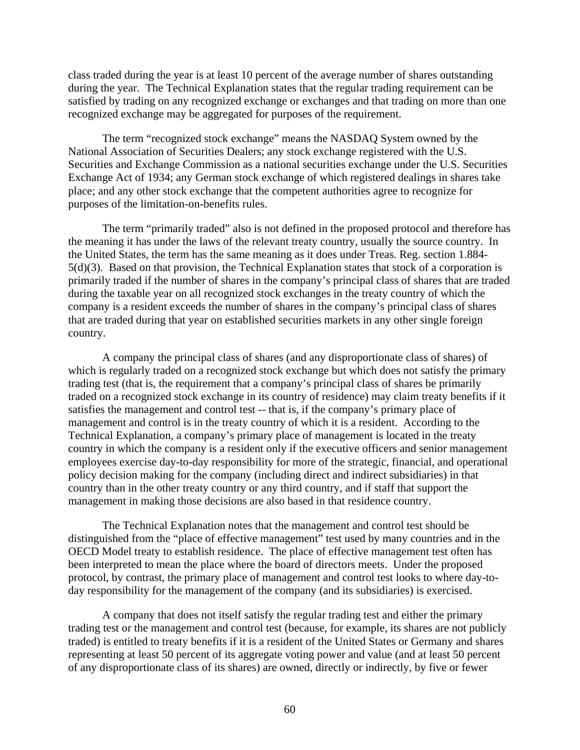class traded during the year is at least 10 percent of the average number of shares outstanding during the year. The Technical Explanation states that the regular trading requirement can be satisfied by trading on any recognized exchange or exchanges and that trading on more than one recognized exchange may be aggregated for purposes of the requirement.

The term "recognized stock exchange" means the NASDAQ System owned by the National Association of Securities Dealers; any stock exchange registered with the U.S. Securities and Exchange Commission as a national securities exchange under the U.S. Securities Exchange Act of 1934; any German stock exchange of which registered dealings in shares take place; and any other stock exchange that the competent authorities agree to recognize for purposes of the limitation-on-benefits rules.

The term "primarily traded" also is not defined in the proposed protocol and therefore has the meaning it has under the laws of the relevant treaty country, usually the source country. In the United States, the term has the same meaning as it does under Treas. Reg. section 1.884- 5(d)(3). Based on that provision, the Technical Explanation states that stock of a corporation is primarily traded if the number of shares in the company's principal class of shares that are traded during the taxable year on all recognized stock exchanges in the treaty country of which the company is a resident exceeds the number of shares in the company's principal class of shares that are traded during that year on established securities markets in any other single foreign country.

A company the principal class of shares (and any disproportionate class of shares) of which is regularly traded on a recognized stock exchange but which does not satisfy the primary trading test (that is, the requirement that a company's principal class of shares be primarily traded on a recognized stock exchange in its country of residence) may claim treaty benefits if it satisfies the management and control test -- that is, if the company's primary place of management and control is in the treaty country of which it is a resident. According to the Technical Explanation, a company's primary place of management is located in the treaty country in which the company is a resident only if the executive officers and senior management employees exercise day-to-day responsibility for more of the strategic, financial, and operational policy decision making for the company (including direct and indirect subsidiaries) in that country than in the other treaty country or any third country, and if staff that support the management in making those decisions are also based in that residence country.

The Technical Explanation notes that the management and control test should be distinguished from the "place of effective management" test used by many countries and in the OECD Model treaty to establish residence. The place of effective management test often has been interpreted to mean the place where the board of directors meets. Under the proposed protocol, by contrast, the primary place of management and control test looks to where day-today responsibility for the management of the company (and its subsidiaries) is exercised.

A company that does not itself satisfy the regular trading test and either the primary trading test or the management and control test (because, for example, its shares are not publicly traded) is entitled to treaty benefits if it is a resident of the United States or Germany and shares representing at least 50 percent of its aggregate voting power and value (and at least 50 percent of any disproportionate class of its shares) are owned, directly or indirectly, by five or fewer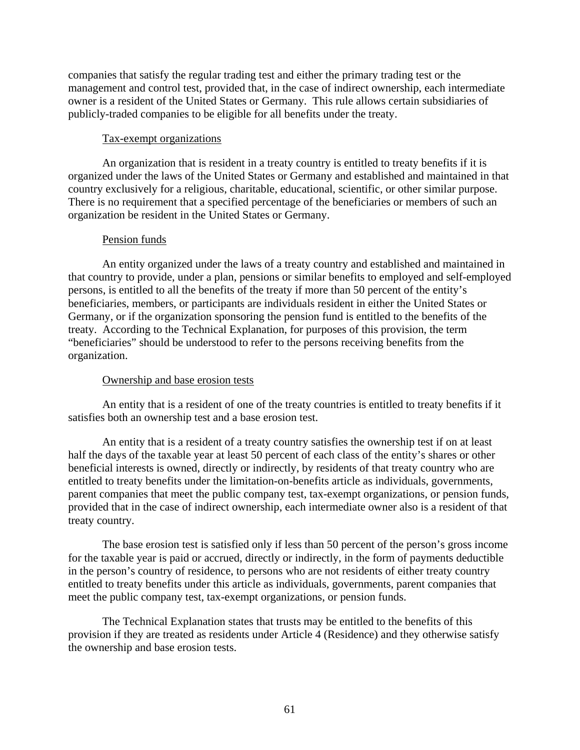companies that satisfy the regular trading test and either the primary trading test or the management and control test, provided that, in the case of indirect ownership, each intermediate owner is a resident of the United States or Germany. This rule allows certain subsidiaries of publicly-traded companies to be eligible for all benefits under the treaty.

## Tax-exempt organizations

An organization that is resident in a treaty country is entitled to treaty benefits if it is organized under the laws of the United States or Germany and established and maintained in that country exclusively for a religious, charitable, educational, scientific, or other similar purpose. There is no requirement that a specified percentage of the beneficiaries or members of such an organization be resident in the United States or Germany.

## Pension funds

An entity organized under the laws of a treaty country and established and maintained in that country to provide, under a plan, pensions or similar benefits to employed and self-employed persons, is entitled to all the benefits of the treaty if more than 50 percent of the entity's beneficiaries, members, or participants are individuals resident in either the United States or Germany, or if the organization sponsoring the pension fund is entitled to the benefits of the treaty. According to the Technical Explanation, for purposes of this provision, the term "beneficiaries" should be understood to refer to the persons receiving benefits from the organization.

## Ownership and base erosion tests

An entity that is a resident of one of the treaty countries is entitled to treaty benefits if it satisfies both an ownership test and a base erosion test.

An entity that is a resident of a treaty country satisfies the ownership test if on at least half the days of the taxable year at least 50 percent of each class of the entity's shares or other beneficial interests is owned, directly or indirectly, by residents of that treaty country who are entitled to treaty benefits under the limitation-on-benefits article as individuals, governments, parent companies that meet the public company test, tax-exempt organizations, or pension funds, provided that in the case of indirect ownership, each intermediate owner also is a resident of that treaty country.

The base erosion test is satisfied only if less than 50 percent of the person's gross income for the taxable year is paid or accrued, directly or indirectly, in the form of payments deductible in the person's country of residence, to persons who are not residents of either treaty country entitled to treaty benefits under this article as individuals, governments, parent companies that meet the public company test, tax-exempt organizations, or pension funds.

The Technical Explanation states that trusts may be entitled to the benefits of this provision if they are treated as residents under Article 4 (Residence) and they otherwise satisfy the ownership and base erosion tests.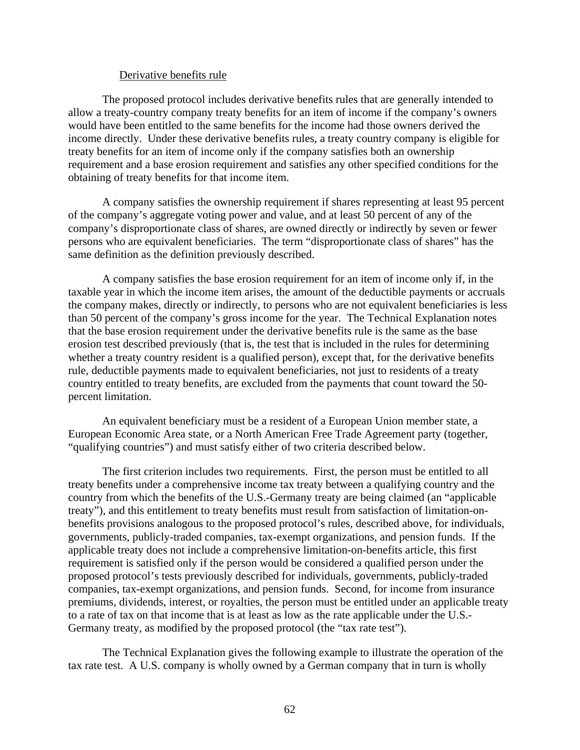### Derivative benefits rule

The proposed protocol includes derivative benefits rules that are generally intended to allow a treaty-country company treaty benefits for an item of income if the company's owners would have been entitled to the same benefits for the income had those owners derived the income directly. Under these derivative benefits rules, a treaty country company is eligible for treaty benefits for an item of income only if the company satisfies both an ownership requirement and a base erosion requirement and satisfies any other specified conditions for the obtaining of treaty benefits for that income item.

A company satisfies the ownership requirement if shares representing at least 95 percent of the company's aggregate voting power and value, and at least 50 percent of any of the company's disproportionate class of shares, are owned directly or indirectly by seven or fewer persons who are equivalent beneficiaries. The term "disproportionate class of shares" has the same definition as the definition previously described.

A company satisfies the base erosion requirement for an item of income only if, in the taxable year in which the income item arises, the amount of the deductible payments or accruals the company makes, directly or indirectly, to persons who are not equivalent beneficiaries is less than 50 percent of the company's gross income for the year. The Technical Explanation notes that the base erosion requirement under the derivative benefits rule is the same as the base erosion test described previously (that is, the test that is included in the rules for determining whether a treaty country resident is a qualified person), except that, for the derivative benefits rule, deductible payments made to equivalent beneficiaries, not just to residents of a treaty country entitled to treaty benefits, are excluded from the payments that count toward the 50 percent limitation.

An equivalent beneficiary must be a resident of a European Union member state, a European Economic Area state, or a North American Free Trade Agreement party (together, "qualifying countries") and must satisfy either of two criteria described below.

The first criterion includes two requirements. First, the person must be entitled to all treaty benefits under a comprehensive income tax treaty between a qualifying country and the country from which the benefits of the U.S.-Germany treaty are being claimed (an "applicable treaty"), and this entitlement to treaty benefits must result from satisfaction of limitation-onbenefits provisions analogous to the proposed protocol's rules, described above, for individuals, governments, publicly-traded companies, tax-exempt organizations, and pension funds. If the applicable treaty does not include a comprehensive limitation-on-benefits article, this first requirement is satisfied only if the person would be considered a qualified person under the proposed protocol's tests previously described for individuals, governments, publicly-traded companies, tax-exempt organizations, and pension funds. Second, for income from insurance premiums, dividends, interest, or royalties, the person must be entitled under an applicable treaty to a rate of tax on that income that is at least as low as the rate applicable under the U.S.- Germany treaty, as modified by the proposed protocol (the "tax rate test").

The Technical Explanation gives the following example to illustrate the operation of the tax rate test. A U.S. company is wholly owned by a German company that in turn is wholly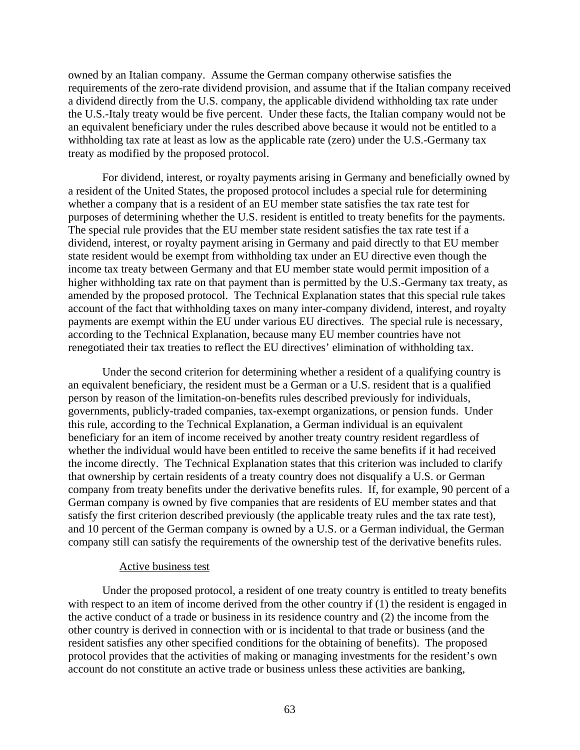owned by an Italian company. Assume the German company otherwise satisfies the requirements of the zero-rate dividend provision, and assume that if the Italian company received a dividend directly from the U.S. company, the applicable dividend withholding tax rate under the U.S.-Italy treaty would be five percent. Under these facts, the Italian company would not be an equivalent beneficiary under the rules described above because it would not be entitled to a withholding tax rate at least as low as the applicable rate (zero) under the U.S.-Germany tax treaty as modified by the proposed protocol.

For dividend, interest, or royalty payments arising in Germany and beneficially owned by a resident of the United States, the proposed protocol includes a special rule for determining whether a company that is a resident of an EU member state satisfies the tax rate test for purposes of determining whether the U.S. resident is entitled to treaty benefits for the payments. The special rule provides that the EU member state resident satisfies the tax rate test if a dividend, interest, or royalty payment arising in Germany and paid directly to that EU member state resident would be exempt from withholding tax under an EU directive even though the income tax treaty between Germany and that EU member state would permit imposition of a higher withholding tax rate on that payment than is permitted by the U.S.-Germany tax treaty, as amended by the proposed protocol. The Technical Explanation states that this special rule takes account of the fact that withholding taxes on many inter-company dividend, interest, and royalty payments are exempt within the EU under various EU directives. The special rule is necessary, according to the Technical Explanation, because many EU member countries have not renegotiated their tax treaties to reflect the EU directives' elimination of withholding tax.

Under the second criterion for determining whether a resident of a qualifying country is an equivalent beneficiary, the resident must be a German or a U.S. resident that is a qualified person by reason of the limitation-on-benefits rules described previously for individuals, governments, publicly-traded companies, tax-exempt organizations, or pension funds. Under this rule, according to the Technical Explanation, a German individual is an equivalent beneficiary for an item of income received by another treaty country resident regardless of whether the individual would have been entitled to receive the same benefits if it had received the income directly. The Technical Explanation states that this criterion was included to clarify that ownership by certain residents of a treaty country does not disqualify a U.S. or German company from treaty benefits under the derivative benefits rules. If, for example, 90 percent of a German company is owned by five companies that are residents of EU member states and that satisfy the first criterion described previously (the applicable treaty rules and the tax rate test), and 10 percent of the German company is owned by a U.S. or a German individual, the German company still can satisfy the requirements of the ownership test of the derivative benefits rules.

#### Active business test

Under the proposed protocol, a resident of one treaty country is entitled to treaty benefits with respect to an item of income derived from the other country if (1) the resident is engaged in the active conduct of a trade or business in its residence country and (2) the income from the other country is derived in connection with or is incidental to that trade or business (and the resident satisfies any other specified conditions for the obtaining of benefits). The proposed protocol provides that the activities of making or managing investments for the resident's own account do not constitute an active trade or business unless these activities are banking,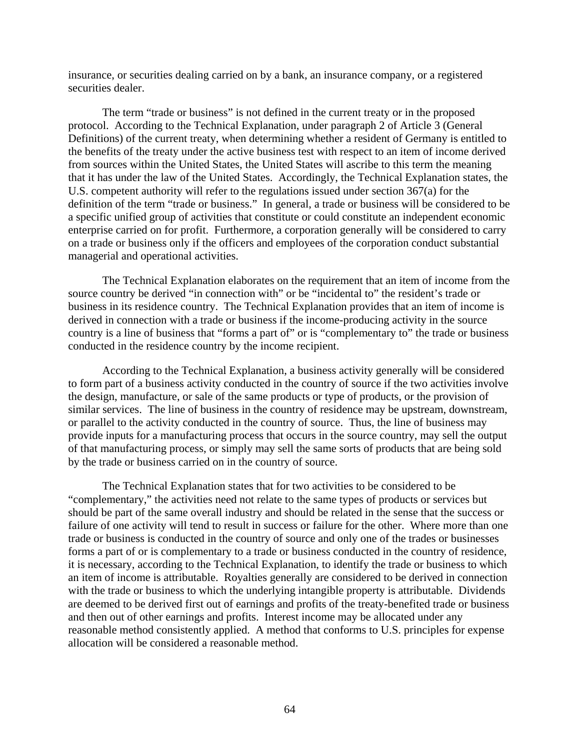insurance, or securities dealing carried on by a bank, an insurance company, or a registered securities dealer.

The term "trade or business" is not defined in the current treaty or in the proposed protocol. According to the Technical Explanation, under paragraph 2 of Article 3 (General Definitions) of the current treaty, when determining whether a resident of Germany is entitled to the benefits of the treaty under the active business test with respect to an item of income derived from sources within the United States, the United States will ascribe to this term the meaning that it has under the law of the United States. Accordingly, the Technical Explanation states, the U.S. competent authority will refer to the regulations issued under section 367(a) for the definition of the term "trade or business." In general, a trade or business will be considered to be a specific unified group of activities that constitute or could constitute an independent economic enterprise carried on for profit. Furthermore, a corporation generally will be considered to carry on a trade or business only if the officers and employees of the corporation conduct substantial managerial and operational activities.

The Technical Explanation elaborates on the requirement that an item of income from the source country be derived "in connection with" or be "incidental to" the resident's trade or business in its residence country. The Technical Explanation provides that an item of income is derived in connection with a trade or business if the income-producing activity in the source country is a line of business that "forms a part of" or is "complementary to" the trade or business conducted in the residence country by the income recipient.

According to the Technical Explanation, a business activity generally will be considered to form part of a business activity conducted in the country of source if the two activities involve the design, manufacture, or sale of the same products or type of products, or the provision of similar services. The line of business in the country of residence may be upstream, downstream, or parallel to the activity conducted in the country of source. Thus, the line of business may provide inputs for a manufacturing process that occurs in the source country, may sell the output of that manufacturing process, or simply may sell the same sorts of products that are being sold by the trade or business carried on in the country of source.

The Technical Explanation states that for two activities to be considered to be "complementary," the activities need not relate to the same types of products or services but should be part of the same overall industry and should be related in the sense that the success or failure of one activity will tend to result in success or failure for the other. Where more than one trade or business is conducted in the country of source and only one of the trades or businesses forms a part of or is complementary to a trade or business conducted in the country of residence, it is necessary, according to the Technical Explanation, to identify the trade or business to which an item of income is attributable. Royalties generally are considered to be derived in connection with the trade or business to which the underlying intangible property is attributable. Dividends are deemed to be derived first out of earnings and profits of the treaty-benefited trade or business and then out of other earnings and profits. Interest income may be allocated under any reasonable method consistently applied. A method that conforms to U.S. principles for expense allocation will be considered a reasonable method.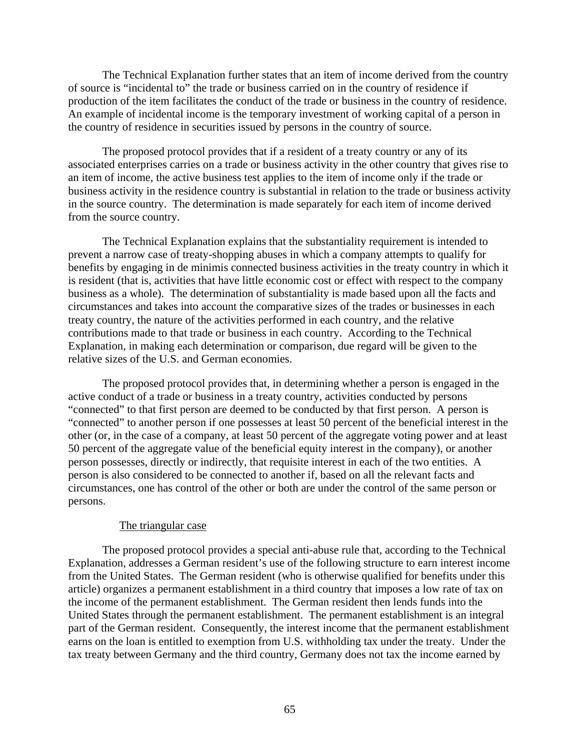The Technical Explanation further states that an item of income derived from the country of source is "incidental to" the trade or business carried on in the country of residence if production of the item facilitates the conduct of the trade or business in the country of residence. An example of incidental income is the temporary investment of working capital of a person in the country of residence in securities issued by persons in the country of source.

The proposed protocol provides that if a resident of a treaty country or any of its associated enterprises carries on a trade or business activity in the other country that gives rise to an item of income, the active business test applies to the item of income only if the trade or business activity in the residence country is substantial in relation to the trade or business activity in the source country. The determination is made separately for each item of income derived from the source country.

The Technical Explanation explains that the substantiality requirement is intended to prevent a narrow case of treaty-shopping abuses in which a company attempts to qualify for benefits by engaging in de minimis connected business activities in the treaty country in which it is resident (that is, activities that have little economic cost or effect with respect to the company business as a whole). The determination of substantiality is made based upon all the facts and circumstances and takes into account the comparative sizes of the trades or businesses in each treaty country, the nature of the activities performed in each country, and the relative contributions made to that trade or business in each country. According to the Technical Explanation, in making each determination or comparison, due regard will be given to the relative sizes of the U.S. and German economies.

The proposed protocol provides that, in determining whether a person is engaged in the active conduct of a trade or business in a treaty country, activities conducted by persons "connected" to that first person are deemed to be conducted by that first person. A person is "connected" to another person if one possesses at least 50 percent of the beneficial interest in the other (or, in the case of a company, at least 50 percent of the aggregate voting power and at least 50 percent of the aggregate value of the beneficial equity interest in the company), or another person possesses, directly or indirectly, that requisite interest in each of the two entities. A person is also considered to be connected to another if, based on all the relevant facts and circumstances, one has control of the other or both are under the control of the same person or persons.

### The triangular case

The proposed protocol provides a special anti-abuse rule that, according to the Technical Explanation, addresses a German resident's use of the following structure to earn interest income from the United States. The German resident (who is otherwise qualified for benefits under this article) organizes a permanent establishment in a third country that imposes a low rate of tax on the income of the permanent establishment. The German resident then lends funds into the United States through the permanent establishment. The permanent establishment is an integral part of the German resident. Consequently, the interest income that the permanent establishment earns on the loan is entitled to exemption from U.S. withholding tax under the treaty. Under the tax treaty between Germany and the third country, Germany does not tax the income earned by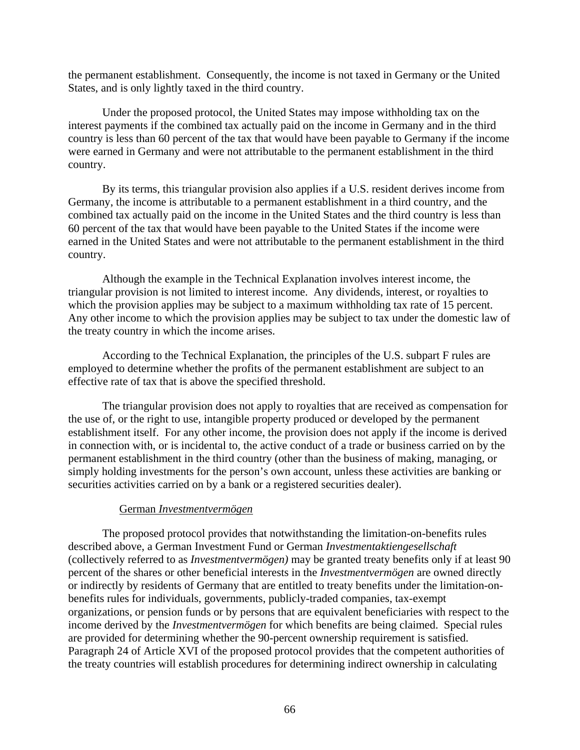the permanent establishment. Consequently, the income is not taxed in Germany or the United States, and is only lightly taxed in the third country.

Under the proposed protocol, the United States may impose withholding tax on the interest payments if the combined tax actually paid on the income in Germany and in the third country is less than 60 percent of the tax that would have been payable to Germany if the income were earned in Germany and were not attributable to the permanent establishment in the third country.

By its terms, this triangular provision also applies if a U.S. resident derives income from Germany, the income is attributable to a permanent establishment in a third country, and the combined tax actually paid on the income in the United States and the third country is less than 60 percent of the tax that would have been payable to the United States if the income were earned in the United States and were not attributable to the permanent establishment in the third country.

Although the example in the Technical Explanation involves interest income, the triangular provision is not limited to interest income. Any dividends, interest, or royalties to which the provision applies may be subject to a maximum withholding tax rate of 15 percent. Any other income to which the provision applies may be subject to tax under the domestic law of the treaty country in which the income arises.

According to the Technical Explanation, the principles of the U.S. subpart F rules are employed to determine whether the profits of the permanent establishment are subject to an effective rate of tax that is above the specified threshold.

The triangular provision does not apply to royalties that are received as compensation for the use of, or the right to use, intangible property produced or developed by the permanent establishment itself. For any other income, the provision does not apply if the income is derived in connection with, or is incidental to, the active conduct of a trade or business carried on by the permanent establishment in the third country (other than the business of making, managing, or simply holding investments for the person's own account, unless these activities are banking or securities activities carried on by a bank or a registered securities dealer).

## German *Investmentvermögen*

The proposed protocol provides that notwithstanding the limitation-on-benefits rules described above, a German Investment Fund or German *Investmentaktiengesellschaft* (collectively referred to as *Investmentvermögen)* may be granted treaty benefits only if at least 90 percent of the shares or other beneficial interests in the *Investmentvermögen* are owned directly or indirectly by residents of Germany that are entitled to treaty benefits under the limitation-onbenefits rules for individuals, governments, publicly-traded companies, tax-exempt organizations, or pension funds or by persons that are equivalent beneficiaries with respect to the income derived by the *Investmentvermögen* for which benefits are being claimed. Special rules are provided for determining whether the 90-percent ownership requirement is satisfied. Paragraph 24 of Article XVI of the proposed protocol provides that the competent authorities of the treaty countries will establish procedures for determining indirect ownership in calculating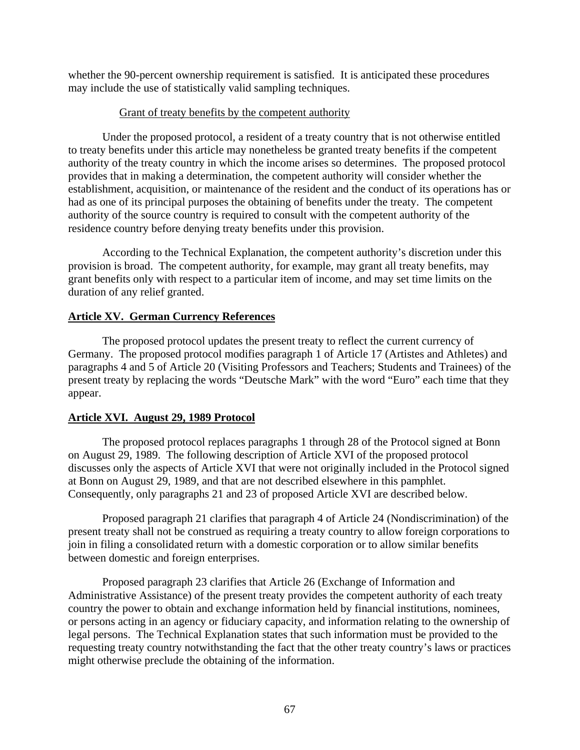whether the 90-percent ownership requirement is satisfied. It is anticipated these procedures may include the use of statistically valid sampling techniques.

# Grant of treaty benefits by the competent authority

Under the proposed protocol, a resident of a treaty country that is not otherwise entitled to treaty benefits under this article may nonetheless be granted treaty benefits if the competent authority of the treaty country in which the income arises so determines. The proposed protocol provides that in making a determination, the competent authority will consider whether the establishment, acquisition, or maintenance of the resident and the conduct of its operations has or had as one of its principal purposes the obtaining of benefits under the treaty. The competent authority of the source country is required to consult with the competent authority of the residence country before denying treaty benefits under this provision.

According to the Technical Explanation, the competent authority's discretion under this provision is broad. The competent authority, for example, may grant all treaty benefits, may grant benefits only with respect to a particular item of income, and may set time limits on the duration of any relief granted.

# **Article XV. German Currency References**

The proposed protocol updates the present treaty to reflect the current currency of Germany. The proposed protocol modifies paragraph 1 of Article 17 (Artistes and Athletes) and paragraphs 4 and 5 of Article 20 (Visiting Professors and Teachers; Students and Trainees) of the present treaty by replacing the words "Deutsche Mark" with the word "Euro" each time that they appear.

# **Article XVI. August 29, 1989 Protocol**

The proposed protocol replaces paragraphs 1 through 28 of the Protocol signed at Bonn on August 29, 1989. The following description of Article XVI of the proposed protocol discusses only the aspects of Article XVI that were not originally included in the Protocol signed at Bonn on August 29, 1989, and that are not described elsewhere in this pamphlet. Consequently, only paragraphs 21 and 23 of proposed Article XVI are described below.

Proposed paragraph 21 clarifies that paragraph 4 of Article 24 (Nondiscrimination) of the present treaty shall not be construed as requiring a treaty country to allow foreign corporations to join in filing a consolidated return with a domestic corporation or to allow similar benefits between domestic and foreign enterprises.

Proposed paragraph 23 clarifies that Article 26 (Exchange of Information and Administrative Assistance) of the present treaty provides the competent authority of each treaty country the power to obtain and exchange information held by financial institutions, nominees, or persons acting in an agency or fiduciary capacity, and information relating to the ownership of legal persons. The Technical Explanation states that such information must be provided to the requesting treaty country notwithstanding the fact that the other treaty country's laws or practices might otherwise preclude the obtaining of the information.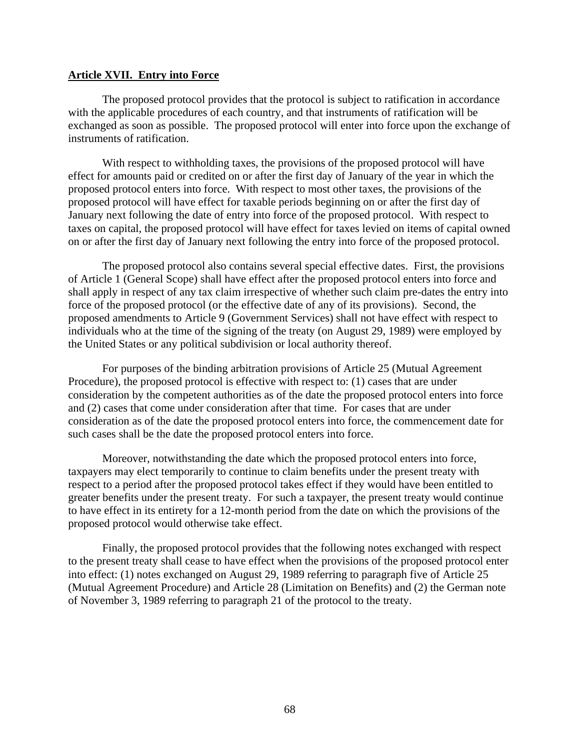## **Article XVII. Entry into Force**

The proposed protocol provides that the protocol is subject to ratification in accordance with the applicable procedures of each country, and that instruments of ratification will be exchanged as soon as possible. The proposed protocol will enter into force upon the exchange of instruments of ratification.

With respect to withholding taxes, the provisions of the proposed protocol will have effect for amounts paid or credited on or after the first day of January of the year in which the proposed protocol enters into force. With respect to most other taxes, the provisions of the proposed protocol will have effect for taxable periods beginning on or after the first day of January next following the date of entry into force of the proposed protocol. With respect to taxes on capital, the proposed protocol will have effect for taxes levied on items of capital owned on or after the first day of January next following the entry into force of the proposed protocol.

The proposed protocol also contains several special effective dates. First, the provisions of Article 1 (General Scope) shall have effect after the proposed protocol enters into force and shall apply in respect of any tax claim irrespective of whether such claim pre-dates the entry into force of the proposed protocol (or the effective date of any of its provisions). Second, the proposed amendments to Article 9 (Government Services) shall not have effect with respect to individuals who at the time of the signing of the treaty (on August 29, 1989) were employed by the United States or any political subdivision or local authority thereof.

For purposes of the binding arbitration provisions of Article 25 (Mutual Agreement Procedure), the proposed protocol is effective with respect to: (1) cases that are under consideration by the competent authorities as of the date the proposed protocol enters into force and (2) cases that come under consideration after that time. For cases that are under consideration as of the date the proposed protocol enters into force, the commencement date for such cases shall be the date the proposed protocol enters into force.

Moreover, notwithstanding the date which the proposed protocol enters into force, taxpayers may elect temporarily to continue to claim benefits under the present treaty with respect to a period after the proposed protocol takes effect if they would have been entitled to greater benefits under the present treaty. For such a taxpayer, the present treaty would continue to have effect in its entirety for a 12-month period from the date on which the provisions of the proposed protocol would otherwise take effect.

Finally, the proposed protocol provides that the following notes exchanged with respect to the present treaty shall cease to have effect when the provisions of the proposed protocol enter into effect: (1) notes exchanged on August 29, 1989 referring to paragraph five of Article 25 (Mutual Agreement Procedure) and Article 28 (Limitation on Benefits) and (2) the German note of November 3, 1989 referring to paragraph 21 of the protocol to the treaty.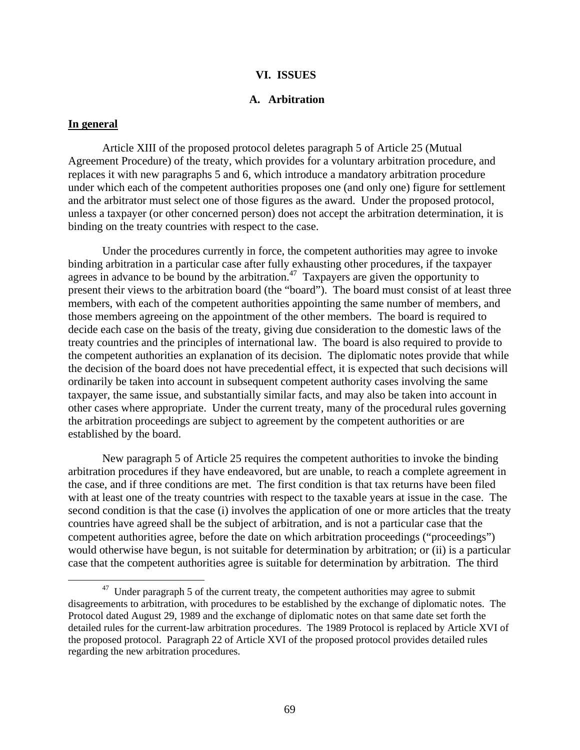#### **VI. ISSUES**

### **A. Arbitration**

### **In general**

Article XIII of the proposed protocol deletes paragraph 5 of Article 25 (Mutual Agreement Procedure) of the treaty, which provides for a voluntary arbitration procedure, and replaces it with new paragraphs 5 and 6, which introduce a mandatory arbitration procedure under which each of the competent authorities proposes one (and only one) figure for settlement and the arbitrator must select one of those figures as the award. Under the proposed protocol, unless a taxpayer (or other concerned person) does not accept the arbitration determination, it is binding on the treaty countries with respect to the case.

Under the procedures currently in force, the competent authorities may agree to invoke binding arbitration in a particular case after fully exhausting other procedures, if the taxpayer agrees in advance to be bound by the arbitration.<sup>47</sup> Taxpayers are given the opportunity to present their views to the arbitration board (the "board"). The board must consist of at least three members, with each of the competent authorities appointing the same number of members, and those members agreeing on the appointment of the other members. The board is required to decide each case on the basis of the treaty, giving due consideration to the domestic laws of the treaty countries and the principles of international law. The board is also required to provide to the competent authorities an explanation of its decision. The diplomatic notes provide that while the decision of the board does not have precedential effect, it is expected that such decisions will ordinarily be taken into account in subsequent competent authority cases involving the same taxpayer, the same issue, and substantially similar facts, and may also be taken into account in other cases where appropriate. Under the current treaty, many of the procedural rules governing the arbitration proceedings are subject to agreement by the competent authorities or are established by the board.

New paragraph 5 of Article 25 requires the competent authorities to invoke the binding arbitration procedures if they have endeavored, but are unable, to reach a complete agreement in the case, and if three conditions are met. The first condition is that tax returns have been filed with at least one of the treaty countries with respect to the taxable years at issue in the case. The second condition is that the case (i) involves the application of one or more articles that the treaty countries have agreed shall be the subject of arbitration, and is not a particular case that the competent authorities agree, before the date on which arbitration proceedings ("proceedings") would otherwise have begun, is not suitable for determination by arbitration; or (ii) is a particular case that the competent authorities agree is suitable for determination by arbitration. The third

 $47$  Under paragraph 5 of the current treaty, the competent authorities may agree to submit disagreements to arbitration, with procedures to be established by the exchange of diplomatic notes. The Protocol dated August 29, 1989 and the exchange of diplomatic notes on that same date set forth the detailed rules for the current-law arbitration procedures. The 1989 Protocol is replaced by Article XVI of the proposed protocol. Paragraph 22 of Article XVI of the proposed protocol provides detailed rules regarding the new arbitration procedures.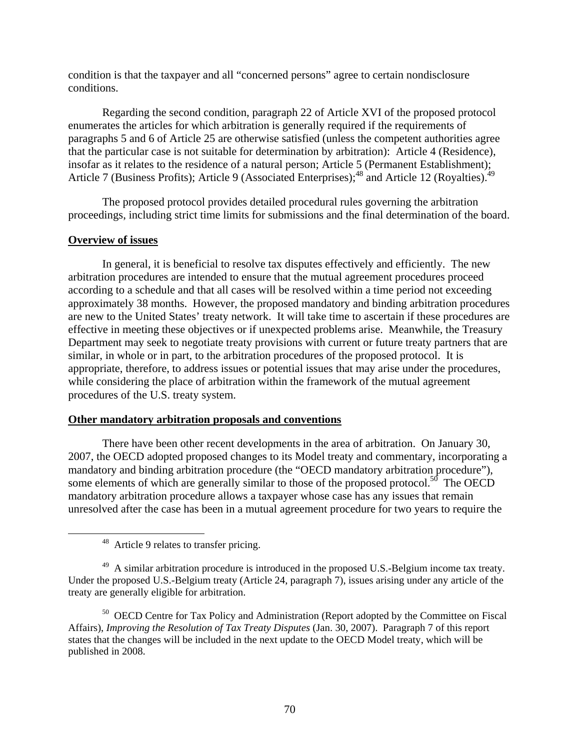condition is that the taxpayer and all "concerned persons" agree to certain nondisclosure conditions.

Regarding the second condition, paragraph 22 of Article XVI of the proposed protocol enumerates the articles for which arbitration is generally required if the requirements of paragraphs 5 and 6 of Article 25 are otherwise satisfied (unless the competent authorities agree that the particular case is not suitable for determination by arbitration): Article 4 (Residence), insofar as it relates to the residence of a natural person; Article 5 (Permanent Establishment);<br> $\frac{1}{48}$  (Permanent Establishment); Article 7 (Business Profits); Article 9 (Associated Enterprises);  $^{48}$  and Article 12 (Royalties).

The proposed protocol provides detailed procedural rules governing the arbitration proceedings, including strict time limits for submissions and the final determination of the board.

#### **Overview of issues**

In general, it is beneficial to resolve tax disputes effectively and efficiently. The new arbitration procedures are intended to ensure that the mutual agreement procedures proceed according to a schedule and that all cases will be resolved within a time period not exceeding approximately 38 months. However, the proposed mandatory and binding arbitration procedures are new to the United States' treaty network. It will take time to ascertain if these procedures are effective in meeting these objectives or if unexpected problems arise. Meanwhile, the Treasury Department may seek to negotiate treaty provisions with current or future treaty partners that are similar, in whole or in part, to the arbitration procedures of the proposed protocol. It is appropriate, therefore, to address issues or potential issues that may arise under the procedures, while considering the place of arbitration within the framework of the mutual agreement procedures of the U.S. treaty system.

#### **Other mandatory arbitration proposals and conventions**

There have been other recent developments in the area of arbitration. On January 30, 2007, the OECD adopted proposed changes to its Model treaty and commentary, incorporating a mandatory and binding arbitration procedure (the "OECD mandatory arbitration procedure"), some elements of which are generally similar to those of the proposed protocol.<sup>50</sup> The OECD mandatory arbitration procedure allows a taxpayer whose case has any issues that remain unresolved after the case has been in a mutual agreement procedure for two years to require the

<sup>&</sup>lt;sup>48</sup> Article 9 relates to transfer pricing.

<sup>&</sup>lt;sup>49</sup> A similar arbitration procedure is introduced in the proposed U.S.-Belgium income tax treaty. Under the proposed U.S.-Belgium treaty (Article 24, paragraph 7), issues arising under any article of the treaty are generally eligible for arbitration.

<sup>50</sup> OECD Centre for Tax Policy and Administration (Report adopted by the Committee on Fiscal Affairs), *Improving the Resolution of Tax Treaty Disputes* (Jan. 30, 2007). Paragraph 7 of this report states that the changes will be included in the next update to the OECD Model treaty, which will be published in 2008.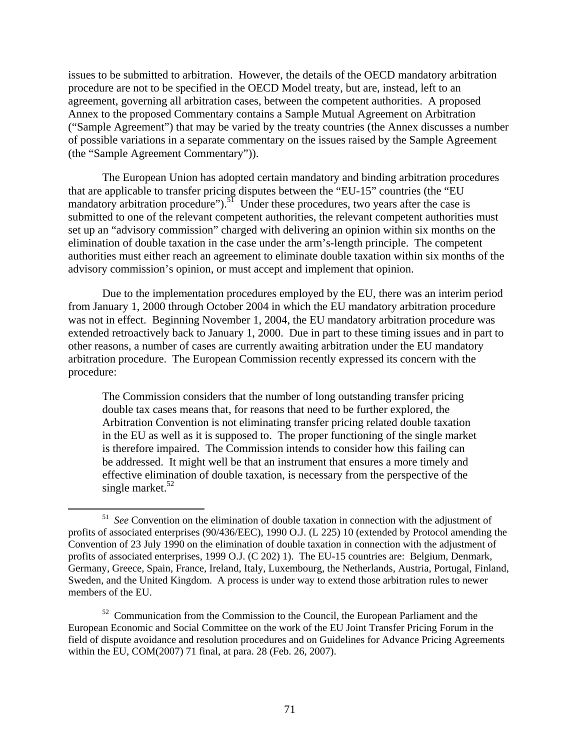issues to be submitted to arbitration. However, the details of the OECD mandatory arbitration procedure are not to be specified in the OECD Model treaty, but are, instead, left to an agreement, governing all arbitration cases, between the competent authorities. A proposed Annex to the proposed Commentary contains a Sample Mutual Agreement on Arbitration ("Sample Agreement") that may be varied by the treaty countries (the Annex discusses a number of possible variations in a separate commentary on the issues raised by the Sample Agreement (the "Sample Agreement Commentary")).

The European Union has adopted certain mandatory and binding arbitration procedures that are applicable to transfer pricing disputes between the "EU-15" countries (the "EU mandatory arbitration procedure").<sup>51</sup> Under these procedures, two years after the case is submitted to one of the relevant competent authorities, the relevant competent authorities must set up an "advisory commission" charged with delivering an opinion within six months on the elimination of double taxation in the case under the arm's-length principle. The competent authorities must either reach an agreement to eliminate double taxation within six months of the advisory commission's opinion, or must accept and implement that opinion.

Due to the implementation procedures employed by the EU, there was an interim period from January 1, 2000 through October 2004 in which the EU mandatory arbitration procedure was not in effect. Beginning November 1, 2004, the EU mandatory arbitration procedure was extended retroactively back to January 1, 2000. Due in part to these timing issues and in part to other reasons, a number of cases are currently awaiting arbitration under the EU mandatory arbitration procedure. The European Commission recently expressed its concern with the procedure:

The Commission considers that the number of long outstanding transfer pricing double tax cases means that, for reasons that need to be further explored, the Arbitration Convention is not eliminating transfer pricing related double taxation in the EU as well as it is supposed to. The proper functioning of the single market is therefore impaired. The Commission intends to consider how this failing can be addressed. It might well be that an instrument that ensures a more timely and effective elimination of double taxation, is necessary from the perspective of the single market. $52$ 

 <sup>51</sup> *See* Convention on the elimination of double taxation in connection with the adjustment of profits of associated enterprises (90/436/EEC), 1990 O.J. (L 225) 10 (extended by Protocol amending the Convention of 23 July 1990 on the elimination of double taxation in connection with the adjustment of profits of associated enterprises, 1999 O.J. (C 202) 1). The EU-15 countries are: Belgium, Denmark, Germany, Greece, Spain, France, Ireland, Italy, Luxembourg, the Netherlands, Austria, Portugal, Finland, Sweden, and the United Kingdom. A process is under way to extend those arbitration rules to newer members of the EU.

<sup>&</sup>lt;sup>52</sup> Communication from the Commission to the Council, the European Parliament and the European Economic and Social Committee on the work of the EU Joint Transfer Pricing Forum in the field of dispute avoidance and resolution procedures and on Guidelines for Advance Pricing Agreements within the EU, COM(2007) 71 final, at para. 28 (Feb. 26, 2007).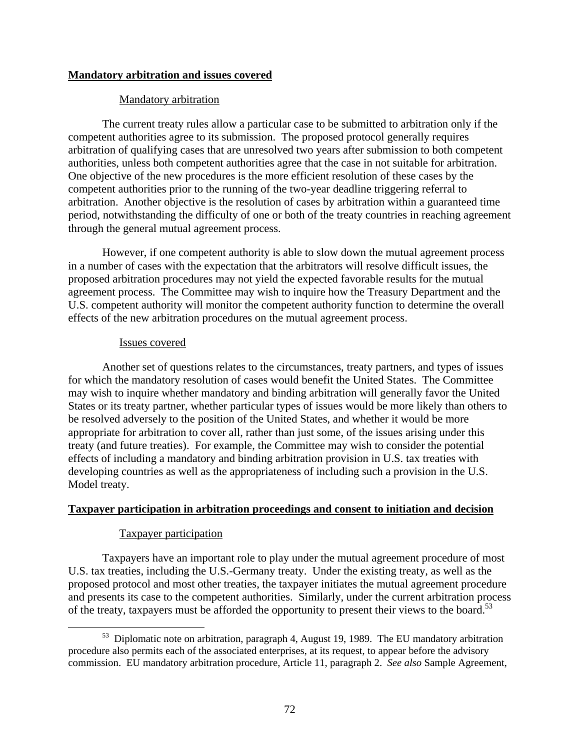## **Mandatory arbitration and issues covered**

### Mandatory arbitration

The current treaty rules allow a particular case to be submitted to arbitration only if the competent authorities agree to its submission. The proposed protocol generally requires arbitration of qualifying cases that are unresolved two years after submission to both competent authorities, unless both competent authorities agree that the case in not suitable for arbitration. One objective of the new procedures is the more efficient resolution of these cases by the competent authorities prior to the running of the two-year deadline triggering referral to arbitration. Another objective is the resolution of cases by arbitration within a guaranteed time period, notwithstanding the difficulty of one or both of the treaty countries in reaching agreement through the general mutual agreement process.

However, if one competent authority is able to slow down the mutual agreement process in a number of cases with the expectation that the arbitrators will resolve difficult issues, the proposed arbitration procedures may not yield the expected favorable results for the mutual agreement process. The Committee may wish to inquire how the Treasury Department and the U.S. competent authority will monitor the competent authority function to determine the overall effects of the new arbitration procedures on the mutual agreement process.

### Issues covered

Another set of questions relates to the circumstances, treaty partners, and types of issues for which the mandatory resolution of cases would benefit the United States. The Committee may wish to inquire whether mandatory and binding arbitration will generally favor the United States or its treaty partner, whether particular types of issues would be more likely than others to be resolved adversely to the position of the United States, and whether it would be more appropriate for arbitration to cover all, rather than just some, of the issues arising under this treaty (and future treaties). For example, the Committee may wish to consider the potential effects of including a mandatory and binding arbitration provision in U.S. tax treaties with developing countries as well as the appropriateness of including such a provision in the U.S. Model treaty.

### **Taxpayer participation in arbitration proceedings and consent to initiation and decision**

## Taxpayer participation

Taxpayers have an important role to play under the mutual agreement procedure of most U.S. tax treaties, including the U.S.-Germany treaty. Under the existing treaty, as well as the proposed protocol and most other treaties, the taxpayer initiates the mutual agreement procedure and presents its case to the competent authorities. Similarly, under the current arbitration process of the treaty, taxpayers must be afforded the opportunity to present their views to the board.<sup>53</sup>

<sup>&</sup>lt;sup>53</sup> Diplomatic note on arbitration, paragraph 4, August 19, 1989. The EU mandatory arbitration procedure also permits each of the associated enterprises, at its request, to appear before the advisory commission. EU mandatory arbitration procedure, Article 11, paragraph 2. *See also* Sample Agreement,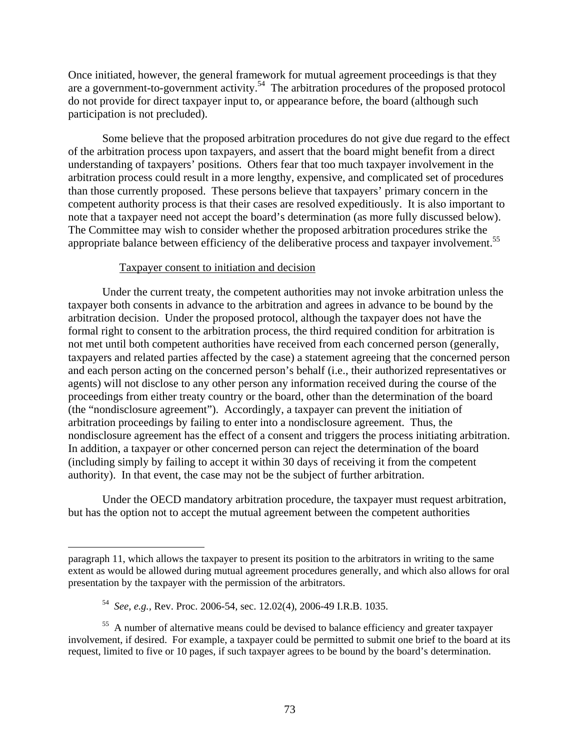Once initiated, however, the general framework for mutual agreement proceedings is that they are a government-to-government activity.<sup>54</sup> The arbitration procedures of the proposed protocol do not provide for direct taxpayer input to, or appearance before, the board (although such participation is not precluded).

Some believe that the proposed arbitration procedures do not give due regard to the effect of the arbitration process upon taxpayers, and assert that the board might benefit from a direct understanding of taxpayers' positions. Others fear that too much taxpayer involvement in the arbitration process could result in a more lengthy, expensive, and complicated set of procedures than those currently proposed. These persons believe that taxpayers' primary concern in the competent authority process is that their cases are resolved expeditiously. It is also important to note that a taxpayer need not accept the board's determination (as more fully discussed below). The Committee may wish to consider whether the proposed arbitration procedures strike the appropriate balance between efficiency of the deliberative process and taxpayer involvement.<sup>55</sup>

### Taxpayer consent to initiation and decision

Under the current treaty, the competent authorities may not invoke arbitration unless the taxpayer both consents in advance to the arbitration and agrees in advance to be bound by the arbitration decision. Under the proposed protocol, although the taxpayer does not have the formal right to consent to the arbitration process, the third required condition for arbitration is not met until both competent authorities have received from each concerned person (generally, taxpayers and related parties affected by the case) a statement agreeing that the concerned person and each person acting on the concerned person's behalf (i.e., their authorized representatives or agents) will not disclose to any other person any information received during the course of the proceedings from either treaty country or the board, other than the determination of the board (the "nondisclosure agreement"). Accordingly, a taxpayer can prevent the initiation of arbitration proceedings by failing to enter into a nondisclosure agreement. Thus, the nondisclosure agreement has the effect of a consent and triggers the process initiating arbitration. In addition, a taxpayer or other concerned person can reject the determination of the board (including simply by failing to accept it within 30 days of receiving it from the competent authority). In that event, the case may not be the subject of further arbitration.

Under the OECD mandatory arbitration procedure, the taxpayer must request arbitration, but has the option not to accept the mutual agreement between the competent authorities

 $\overline{a}$ 

paragraph 11, which allows the taxpayer to present its position to the arbitrators in writing to the same extent as would be allowed during mutual agreement procedures generally, and which also allows for oral presentation by the taxpayer with the permission of the arbitrators.

<sup>54</sup> *See, e.g.,* Rev. Proc. 2006-54, sec. 12.02(4), 2006-49 I.R.B. 1035.

 $55$  A number of alternative means could be devised to balance efficiency and greater taxpayer involvement, if desired. For example, a taxpayer could be permitted to submit one brief to the board at its request, limited to five or 10 pages, if such taxpayer agrees to be bound by the board's determination.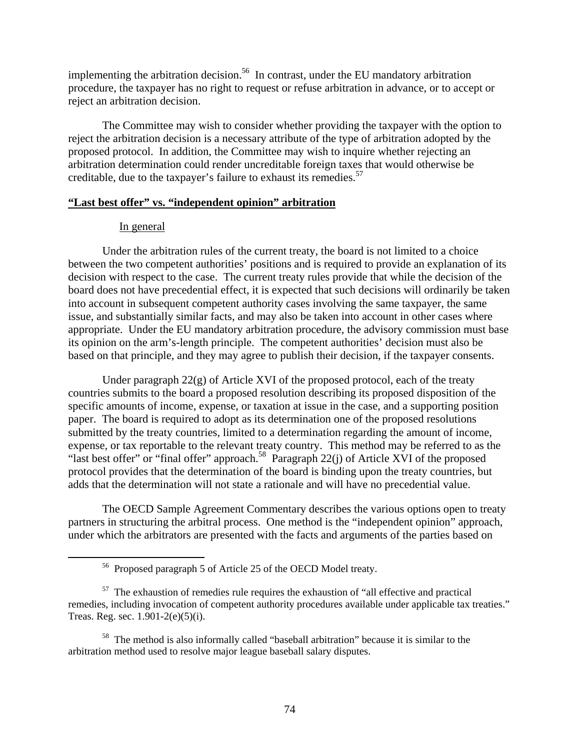implementing the arbitration decision.<sup>56</sup> In contrast, under the EU mandatory arbitration procedure, the taxpayer has no right to request or refuse arbitration in advance, or to accept or reject an arbitration decision.

The Committee may wish to consider whether providing the taxpayer with the option to reject the arbitration decision is a necessary attribute of the type of arbitration adopted by the proposed protocol. In addition, the Committee may wish to inquire whether rejecting an arbitration determination could render uncreditable foreign taxes that would otherwise be creditable, due to the taxpayer's failure to exhaust its remedies.  $57$ 

## **"Last best offer" vs. "independent opinion" arbitration**

## In general

Under the arbitration rules of the current treaty, the board is not limited to a choice between the two competent authorities' positions and is required to provide an explanation of its decision with respect to the case. The current treaty rules provide that while the decision of the board does not have precedential effect, it is expected that such decisions will ordinarily be taken into account in subsequent competent authority cases involving the same taxpayer, the same issue, and substantially similar facts, and may also be taken into account in other cases where appropriate. Under the EU mandatory arbitration procedure, the advisory commission must base its opinion on the arm's-length principle. The competent authorities' decision must also be based on that principle, and they may agree to publish their decision, if the taxpayer consents.

Under paragraph  $22(g)$  of Article XVI of the proposed protocol, each of the treaty countries submits to the board a proposed resolution describing its proposed disposition of the specific amounts of income, expense, or taxation at issue in the case, and a supporting position paper. The board is required to adopt as its determination one of the proposed resolutions submitted by the treaty countries, limited to a determination regarding the amount of income, expense, or tax reportable to the relevant treaty country. This method may be referred to as the "last best offer" or "final offer" approach.<sup>58</sup> Paragraph 22(j) of Article XVI of the proposed protocol provides that the determination of the board is binding upon the treaty countries, but adds that the determination will not state a rationale and will have no precedential value.

The OECD Sample Agreement Commentary describes the various options open to treaty partners in structuring the arbitral process. One method is the "independent opinion" approach, under which the arbitrators are presented with the facts and arguments of the parties based on

 <sup>56</sup> Proposed paragraph 5 of Article 25 of the OECD Model treaty.

 $57$  The exhaustion of remedies rule requires the exhaustion of "all effective and practical remedies, including invocation of competent authority procedures available under applicable tax treaties." Treas. Reg. sec. 1.901-2(e)(5)(i).

<sup>&</sup>lt;sup>58</sup> The method is also informally called "baseball arbitration" because it is similar to the arbitration method used to resolve major league baseball salary disputes.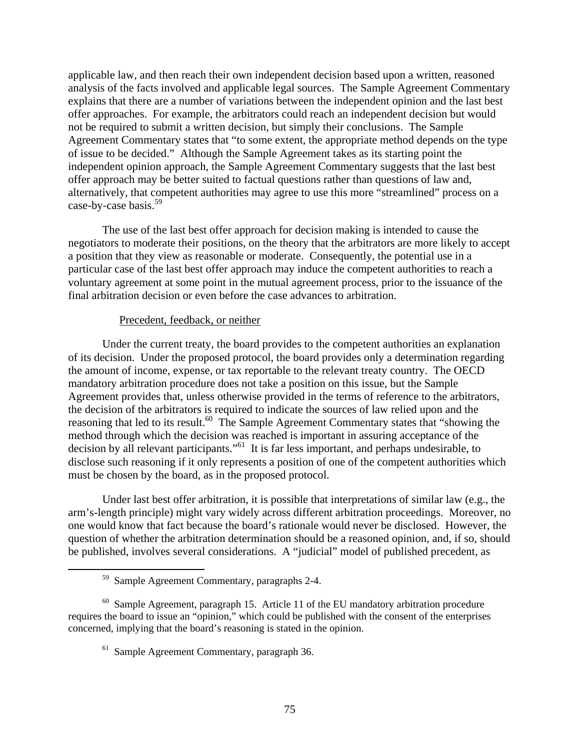applicable law, and then reach their own independent decision based upon a written, reasoned analysis of the facts involved and applicable legal sources. The Sample Agreement Commentary explains that there are a number of variations between the independent opinion and the last best offer approaches. For example, the arbitrators could reach an independent decision but would not be required to submit a written decision, but simply their conclusions. The Sample Agreement Commentary states that "to some extent, the appropriate method depends on the type of issue to be decided." Although the Sample Agreement takes as its starting point the independent opinion approach, the Sample Agreement Commentary suggests that the last best offer approach may be better suited to factual questions rather than questions of law and, alternatively, that competent authorities may agree to use this more "streamlined" process on a case-by-case basis.<sup>59</sup>

The use of the last best offer approach for decision making is intended to cause the negotiators to moderate their positions, on the theory that the arbitrators are more likely to accept a position that they view as reasonable or moderate. Consequently, the potential use in a particular case of the last best offer approach may induce the competent authorities to reach a voluntary agreement at some point in the mutual agreement process, prior to the issuance of the final arbitration decision or even before the case advances to arbitration.

#### Precedent, feedback, or neither

Under the current treaty, the board provides to the competent authorities an explanation of its decision. Under the proposed protocol, the board provides only a determination regarding the amount of income, expense, or tax reportable to the relevant treaty country. The OECD mandatory arbitration procedure does not take a position on this issue, but the Sample Agreement provides that, unless otherwise provided in the terms of reference to the arbitrators, the decision of the arbitrators is required to indicate the sources of law relied upon and the reasoning that led to its result.<sup>60</sup> The Sample Agreement Commentary states that "showing the method through which the decision was reached is important in assuring acceptance of the decision by all relevant participants."<sup>61</sup> It is far less important, and perhaps undesirable, to disclose such reasoning if it only represents a position of one of the competent authorities which must be chosen by the board, as in the proposed protocol.

Under last best offer arbitration, it is possible that interpretations of similar law (e.g., the arm's-length principle) might vary widely across different arbitration proceedings. Moreover, no one would know that fact because the board's rationale would never be disclosed. However, the question of whether the arbitration determination should be a reasoned opinion, and, if so, should be published, involves several considerations. A "judicial" model of published precedent, as

 <sup>59</sup> Sample Agreement Commentary, paragraphs 2-4.

 $60$  Sample Agreement, paragraph 15. Article 11 of the EU mandatory arbitration procedure requires the board to issue an "opinion," which could be published with the consent of the enterprises concerned, implying that the board's reasoning is stated in the opinion.

<sup>&</sup>lt;sup>61</sup> Sample Agreement Commentary, paragraph 36.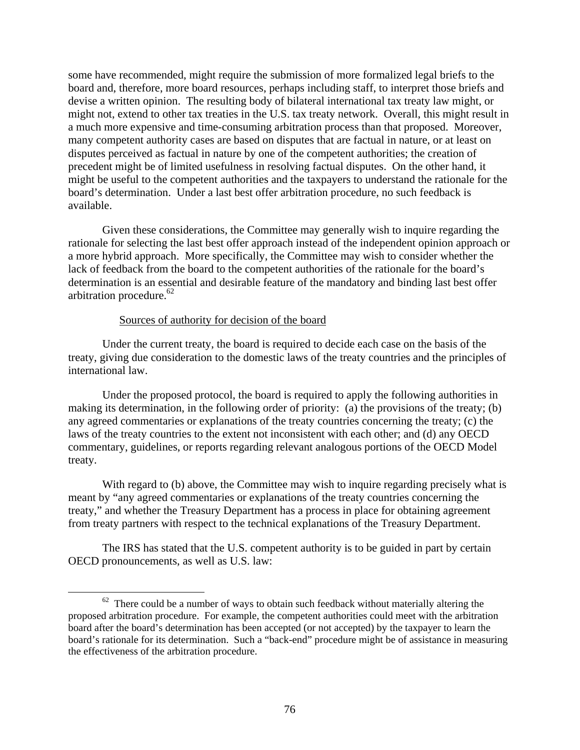some have recommended, might require the submission of more formalized legal briefs to the board and, therefore, more board resources, perhaps including staff, to interpret those briefs and devise a written opinion. The resulting body of bilateral international tax treaty law might, or might not, extend to other tax treaties in the U.S. tax treaty network. Overall, this might result in a much more expensive and time-consuming arbitration process than that proposed. Moreover, many competent authority cases are based on disputes that are factual in nature, or at least on disputes perceived as factual in nature by one of the competent authorities; the creation of precedent might be of limited usefulness in resolving factual disputes. On the other hand, it might be useful to the competent authorities and the taxpayers to understand the rationale for the board's determination. Under a last best offer arbitration procedure, no such feedback is available.

Given these considerations, the Committee may generally wish to inquire regarding the rationale for selecting the last best offer approach instead of the independent opinion approach or a more hybrid approach. More specifically, the Committee may wish to consider whether the lack of feedback from the board to the competent authorities of the rationale for the board's determination is an essential and desirable feature of the mandatory and binding last best offer arbitration procedure. $62$ 

#### Sources of authority for decision of the board

Under the current treaty, the board is required to decide each case on the basis of the treaty, giving due consideration to the domestic laws of the treaty countries and the principles of international law.

Under the proposed protocol, the board is required to apply the following authorities in making its determination, in the following order of priority: (a) the provisions of the treaty; (b) any agreed commentaries or explanations of the treaty countries concerning the treaty; (c) the laws of the treaty countries to the extent not inconsistent with each other; and (d) any OECD commentary, guidelines, or reports regarding relevant analogous portions of the OECD Model treaty.

With regard to (b) above, the Committee may wish to inquire regarding precisely what is meant by "any agreed commentaries or explanations of the treaty countries concerning the treaty," and whether the Treasury Department has a process in place for obtaining agreement from treaty partners with respect to the technical explanations of the Treasury Department.

The IRS has stated that the U.S. competent authority is to be guided in part by certain OECD pronouncements, as well as U.S. law:

 $62$  There could be a number of ways to obtain such feedback without materially altering the proposed arbitration procedure. For example, the competent authorities could meet with the arbitration board after the board's determination has been accepted (or not accepted) by the taxpayer to learn the board's rationale for its determination. Such a "back-end" procedure might be of assistance in measuring the effectiveness of the arbitration procedure.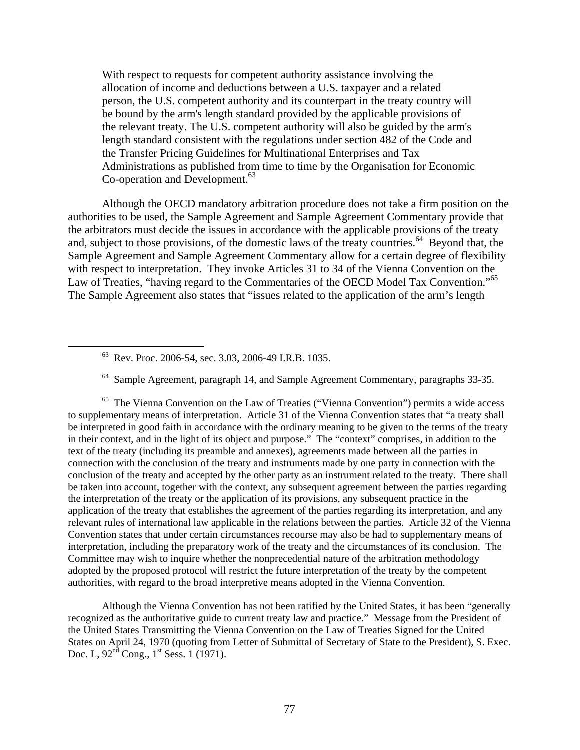With respect to requests for competent authority assistance involving the allocation of income and deductions between a U.S. taxpayer and a related person, the U.S. competent authority and its counterpart in the treaty country will be bound by the arm's length standard provided by the applicable provisions of the relevant treaty. The U.S. competent authority will also be guided by the arm's length standard consistent with the regulations under section 482 of the Code and the Transfer Pricing Guidelines for Multinational Enterprises and Tax Administrations as published from time to time by the Organisation for Economic Co-operation and Development.<sup>63</sup>

Although the OECD mandatory arbitration procedure does not take a firm position on the authorities to be used, the Sample Agreement and Sample Agreement Commentary provide that the arbitrators must decide the issues in accordance with the applicable provisions of the treaty and, subject to those provisions, of the domestic laws of the treaty countries.<sup>64</sup> Beyond that, the Sample Agreement and Sample Agreement Commentary allow for a certain degree of flexibility with respect to interpretation. They invoke Articles 31 to 34 of the Vienna Convention on the Law of Treaties, "having regard to the Commentaries of the OECD Model Tax Convention."65 The Sample Agreement also states that "issues related to the application of the arm's length

63 Rev. Proc. 2006-54, sec. 3.03, 2006-49 I.R.B. 1035.

<sup>64</sup> Sample Agreement, paragraph 14, and Sample Agreement Commentary, paragraphs 33-35.

<sup>65</sup> The Vienna Convention on the Law of Treaties ("Vienna Convention") permits a wide access to supplementary means of interpretation. Article 31 of the Vienna Convention states that "a treaty shall be interpreted in good faith in accordance with the ordinary meaning to be given to the terms of the treaty in their context, and in the light of its object and purpose." The "context" comprises, in addition to the text of the treaty (including its preamble and annexes), agreements made between all the parties in connection with the conclusion of the treaty and instruments made by one party in connection with the conclusion of the treaty and accepted by the other party as an instrument related to the treaty. There shall be taken into account, together with the context, any subsequent agreement between the parties regarding the interpretation of the treaty or the application of its provisions, any subsequent practice in the application of the treaty that establishes the agreement of the parties regarding its interpretation, and any relevant rules of international law applicable in the relations between the parties. Article 32 of the Vienna Convention states that under certain circumstances recourse may also be had to supplementary means of interpretation, including the preparatory work of the treaty and the circumstances of its conclusion. The Committee may wish to inquire whether the nonprecedential nature of the arbitration methodology adopted by the proposed protocol will restrict the future interpretation of the treaty by the competent authorities, with regard to the broad interpretive means adopted in the Vienna Convention.

Although the Vienna Convention has not been ratified by the United States, it has been "generally recognized as the authoritative guide to current treaty law and practice." Message from the President of the United States Transmitting the Vienna Convention on the Law of Treaties Signed for the United States on April 24, 1970 (quoting from Letter of Submittal of Secretary of State to the President), S. Exec. Doc. L,  $92^{nd}$  Cong.,  $1^{st}$  Sess. 1 (1971).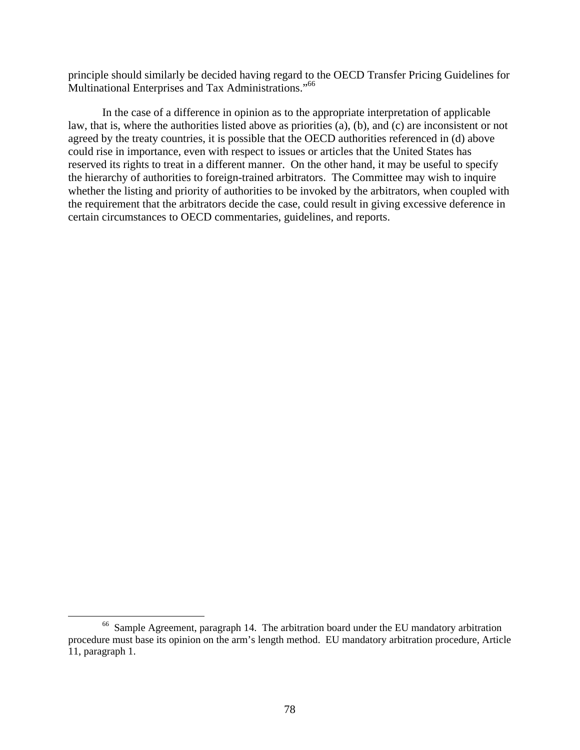principle should similarly be decided having regard to the OECD Transfer Pricing Guidelines for Multinational Enterprises and Tax Administrations."66

In the case of a difference in opinion as to the appropriate interpretation of applicable law, that is, where the authorities listed above as priorities (a), (b), and (c) are inconsistent or not agreed by the treaty countries, it is possible that the OECD authorities referenced in (d) above could rise in importance, even with respect to issues or articles that the United States has reserved its rights to treat in a different manner. On the other hand, it may be useful to specify the hierarchy of authorities to foreign-trained arbitrators. The Committee may wish to inquire whether the listing and priority of authorities to be invoked by the arbitrators, when coupled with the requirement that the arbitrators decide the case, could result in giving excessive deference in certain circumstances to OECD commentaries, guidelines, and reports.

<sup>&</sup>lt;sup>66</sup> Sample Agreement, paragraph 14. The arbitration board under the EU mandatory arbitration procedure must base its opinion on the arm's length method. EU mandatory arbitration procedure, Article 11, paragraph 1.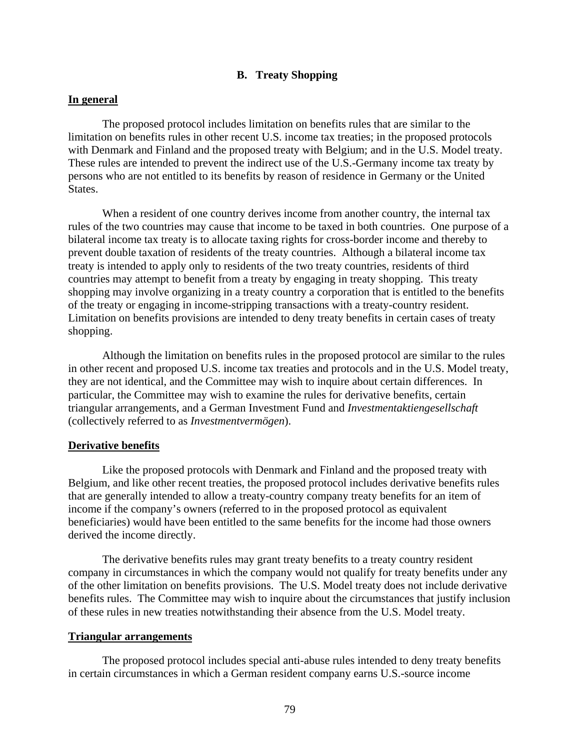### **B. Treaty Shopping**

### **In general**

The proposed protocol includes limitation on benefits rules that are similar to the limitation on benefits rules in other recent U.S. income tax treaties; in the proposed protocols with Denmark and Finland and the proposed treaty with Belgium; and in the U.S. Model treaty. These rules are intended to prevent the indirect use of the U.S.-Germany income tax treaty by persons who are not entitled to its benefits by reason of residence in Germany or the United States.

When a resident of one country derives income from another country, the internal tax rules of the two countries may cause that income to be taxed in both countries. One purpose of a bilateral income tax treaty is to allocate taxing rights for cross-border income and thereby to prevent double taxation of residents of the treaty countries. Although a bilateral income tax treaty is intended to apply only to residents of the two treaty countries, residents of third countries may attempt to benefit from a treaty by engaging in treaty shopping. This treaty shopping may involve organizing in a treaty country a corporation that is entitled to the benefits of the treaty or engaging in income-stripping transactions with a treaty-country resident. Limitation on benefits provisions are intended to deny treaty benefits in certain cases of treaty shopping.

Although the limitation on benefits rules in the proposed protocol are similar to the rules in other recent and proposed U.S. income tax treaties and protocols and in the U.S. Model treaty, they are not identical, and the Committee may wish to inquire about certain differences. In particular, the Committee may wish to examine the rules for derivative benefits, certain triangular arrangements, and a German Investment Fund and *Investmentaktiengesellschaft*  (collectively referred to as *Investmentvermögen*).

#### **Derivative benefits**

Like the proposed protocols with Denmark and Finland and the proposed treaty with Belgium, and like other recent treaties, the proposed protocol includes derivative benefits rules that are generally intended to allow a treaty-country company treaty benefits for an item of income if the company's owners (referred to in the proposed protocol as equivalent beneficiaries) would have been entitled to the same benefits for the income had those owners derived the income directly.

The derivative benefits rules may grant treaty benefits to a treaty country resident company in circumstances in which the company would not qualify for treaty benefits under any of the other limitation on benefits provisions. The U.S. Model treaty does not include derivative benefits rules. The Committee may wish to inquire about the circumstances that justify inclusion of these rules in new treaties notwithstanding their absence from the U.S. Model treaty.

#### **Triangular arrangements**

The proposed protocol includes special anti-abuse rules intended to deny treaty benefits in certain circumstances in which a German resident company earns U.S.-source income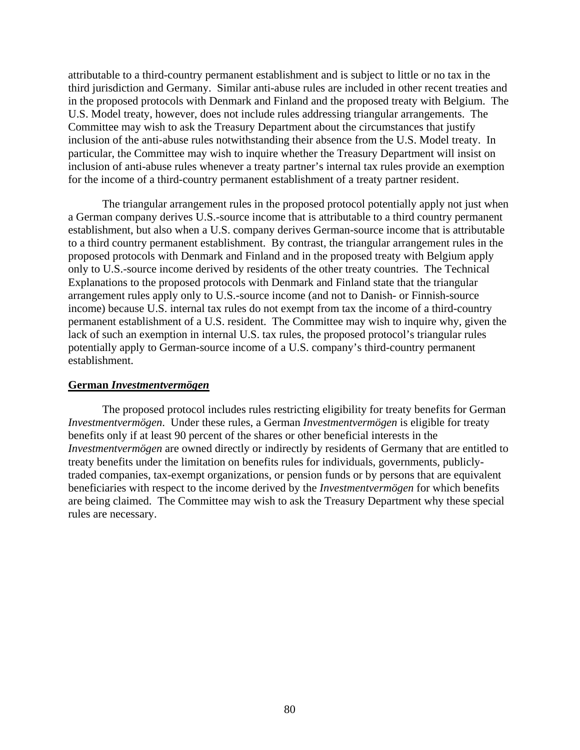attributable to a third-country permanent establishment and is subject to little or no tax in the third jurisdiction and Germany. Similar anti-abuse rules are included in other recent treaties and in the proposed protocols with Denmark and Finland and the proposed treaty with Belgium. The U.S. Model treaty, however, does not include rules addressing triangular arrangements. The Committee may wish to ask the Treasury Department about the circumstances that justify inclusion of the anti-abuse rules notwithstanding their absence from the U.S. Model treaty. In particular, the Committee may wish to inquire whether the Treasury Department will insist on inclusion of anti-abuse rules whenever a treaty partner's internal tax rules provide an exemption for the income of a third-country permanent establishment of a treaty partner resident.

The triangular arrangement rules in the proposed protocol potentially apply not just when a German company derives U.S.-source income that is attributable to a third country permanent establishment, but also when a U.S. company derives German-source income that is attributable to a third country permanent establishment. By contrast, the triangular arrangement rules in the proposed protocols with Denmark and Finland and in the proposed treaty with Belgium apply only to U.S.-source income derived by residents of the other treaty countries. The Technical Explanations to the proposed protocols with Denmark and Finland state that the triangular arrangement rules apply only to U.S.-source income (and not to Danish- or Finnish-source income) because U.S. internal tax rules do not exempt from tax the income of a third-country permanent establishment of a U.S. resident. The Committee may wish to inquire why, given the lack of such an exemption in internal U.S. tax rules, the proposed protocol's triangular rules potentially apply to German-source income of a U.S. company's third-country permanent establishment.

### **German** *Investmentvermögen*

The proposed protocol includes rules restricting eligibility for treaty benefits for German *Investmentvermögen*. Under these rules, a German *Investmentvermögen* is eligible for treaty benefits only if at least 90 percent of the shares or other beneficial interests in the *Investmentvermögen* are owned directly or indirectly by residents of Germany that are entitled to treaty benefits under the limitation on benefits rules for individuals, governments, publiclytraded companies, tax-exempt organizations, or pension funds or by persons that are equivalent beneficiaries with respect to the income derived by the *Investmentvermögen* for which benefits are being claimed. The Committee may wish to ask the Treasury Department why these special rules are necessary.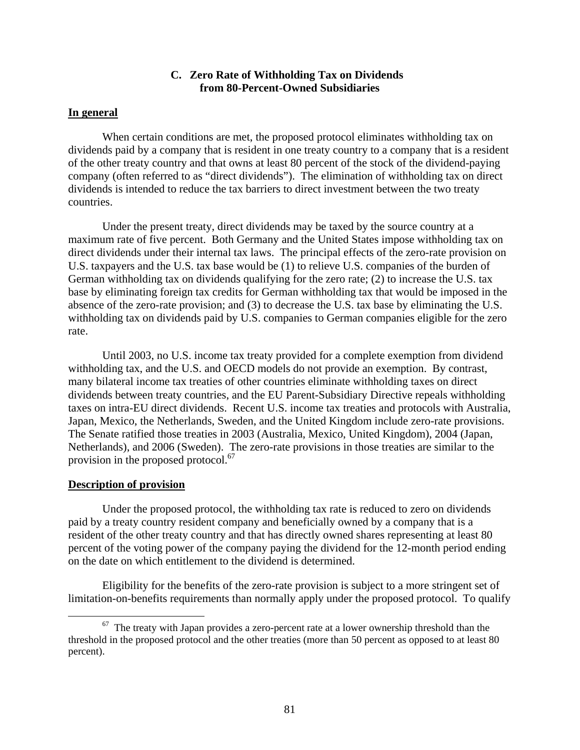## **C. Zero Rate of Withholding Tax on Dividends from 80-Percent-Owned Subsidiaries**

## **In general**

When certain conditions are met, the proposed protocol eliminates withholding tax on dividends paid by a company that is resident in one treaty country to a company that is a resident of the other treaty country and that owns at least 80 percent of the stock of the dividend-paying company (often referred to as "direct dividends"). The elimination of withholding tax on direct dividends is intended to reduce the tax barriers to direct investment between the two treaty countries.

Under the present treaty, direct dividends may be taxed by the source country at a maximum rate of five percent. Both Germany and the United States impose withholding tax on direct dividends under their internal tax laws. The principal effects of the zero-rate provision on U.S. taxpayers and the U.S. tax base would be (1) to relieve U.S. companies of the burden of German withholding tax on dividends qualifying for the zero rate; (2) to increase the U.S. tax base by eliminating foreign tax credits for German withholding tax that would be imposed in the absence of the zero-rate provision; and (3) to decrease the U.S. tax base by eliminating the U.S. withholding tax on dividends paid by U.S. companies to German companies eligible for the zero rate.

Until 2003, no U.S. income tax treaty provided for a complete exemption from dividend withholding tax, and the U.S. and OECD models do not provide an exemption. By contrast, many bilateral income tax treaties of other countries eliminate withholding taxes on direct dividends between treaty countries, and the EU Parent-Subsidiary Directive repeals withholding taxes on intra-EU direct dividends. Recent U.S. income tax treaties and protocols with Australia, Japan, Mexico, the Netherlands, Sweden, and the United Kingdom include zero-rate provisions. The Senate ratified those treaties in 2003 (Australia, Mexico, United Kingdom), 2004 (Japan, Netherlands), and 2006 (Sweden). The zero-rate provisions in those treaties are similar to the provision in the proposed protocol.<sup>67</sup>

## **Description of provision**

Under the proposed protocol, the withholding tax rate is reduced to zero on dividends paid by a treaty country resident company and beneficially owned by a company that is a resident of the other treaty country and that has directly owned shares representing at least 80 percent of the voting power of the company paying the dividend for the 12-month period ending on the date on which entitlement to the dividend is determined.

Eligibility for the benefits of the zero-rate provision is subject to a more stringent set of limitation-on-benefits requirements than normally apply under the proposed protocol. To qualify

 $67$  The treaty with Japan provides a zero-percent rate at a lower ownership threshold than the threshold in the proposed protocol and the other treaties (more than 50 percent as opposed to at least 80 percent).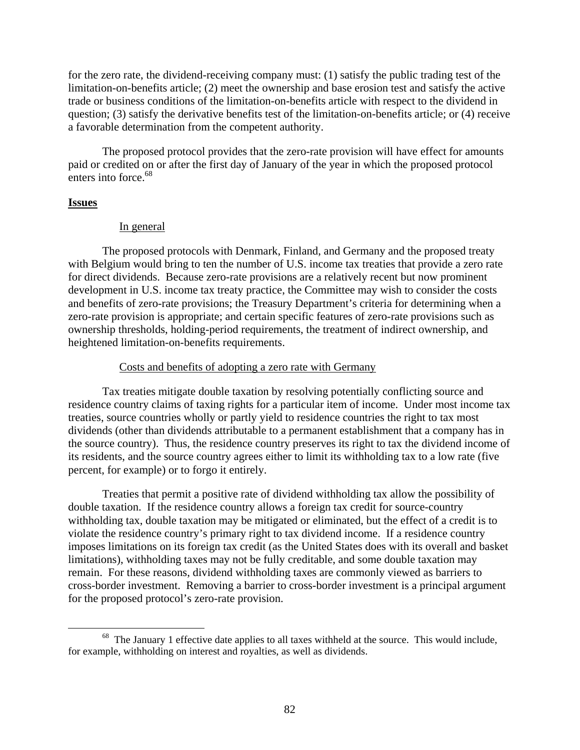for the zero rate, the dividend-receiving company must: (1) satisfy the public trading test of the limitation-on-benefits article; (2) meet the ownership and base erosion test and satisfy the active trade or business conditions of the limitation-on-benefits article with respect to the dividend in question; (3) satisfy the derivative benefits test of the limitation-on-benefits article; or (4) receive a favorable determination from the competent authority.

The proposed protocol provides that the zero-rate provision will have effect for amounts paid or credited on or after the first day of January of the year in which the proposed protocol enters into force.<sup>68</sup>

## **Issues**

# In general

The proposed protocols with Denmark, Finland, and Germany and the proposed treaty with Belgium would bring to ten the number of U.S. income tax treaties that provide a zero rate for direct dividends. Because zero-rate provisions are a relatively recent but now prominent development in U.S. income tax treaty practice, the Committee may wish to consider the costs and benefits of zero-rate provisions; the Treasury Department's criteria for determining when a zero-rate provision is appropriate; and certain specific features of zero-rate provisions such as ownership thresholds, holding-period requirements, the treatment of indirect ownership, and heightened limitation-on-benefits requirements.

# Costs and benefits of adopting a zero rate with Germany

Tax treaties mitigate double taxation by resolving potentially conflicting source and residence country claims of taxing rights for a particular item of income. Under most income tax treaties, source countries wholly or partly yield to residence countries the right to tax most dividends (other than dividends attributable to a permanent establishment that a company has in the source country). Thus, the residence country preserves its right to tax the dividend income of its residents, and the source country agrees either to limit its withholding tax to a low rate (five percent, for example) or to forgo it entirely.

Treaties that permit a positive rate of dividend withholding tax allow the possibility of double taxation. If the residence country allows a foreign tax credit for source-country withholding tax, double taxation may be mitigated or eliminated, but the effect of a credit is to violate the residence country's primary right to tax dividend income. If a residence country imposes limitations on its foreign tax credit (as the United States does with its overall and basket limitations), withholding taxes may not be fully creditable, and some double taxation may remain. For these reasons, dividend withholding taxes are commonly viewed as barriers to cross-border investment. Removing a barrier to cross-border investment is a principal argument for the proposed protocol's zero-rate provision.

 $68$  The January 1 effective date applies to all taxes withheld at the source. This would include, for example, withholding on interest and royalties, as well as dividends.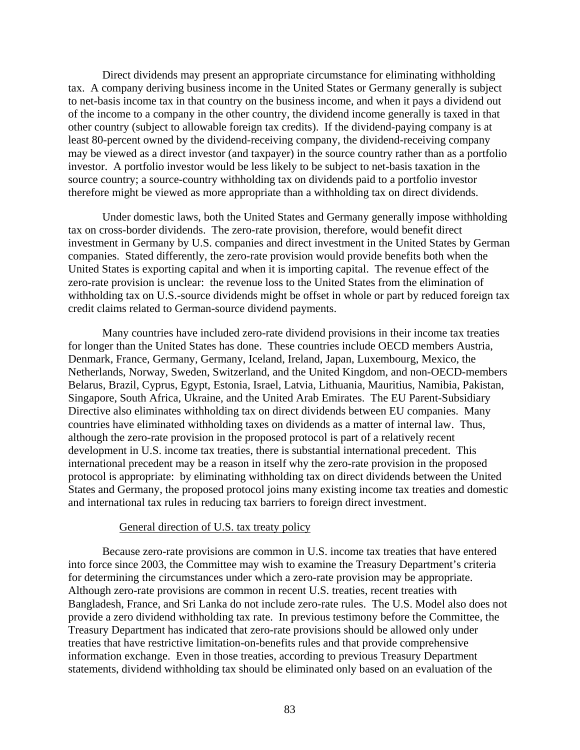Direct dividends may present an appropriate circumstance for eliminating withholding tax. A company deriving business income in the United States or Germany generally is subject to net-basis income tax in that country on the business income, and when it pays a dividend out of the income to a company in the other country, the dividend income generally is taxed in that other country (subject to allowable foreign tax credits). If the dividend-paying company is at least 80-percent owned by the dividend-receiving company, the dividend-receiving company may be viewed as a direct investor (and taxpayer) in the source country rather than as a portfolio investor. A portfolio investor would be less likely to be subject to net-basis taxation in the source country; a source-country withholding tax on dividends paid to a portfolio investor therefore might be viewed as more appropriate than a withholding tax on direct dividends.

Under domestic laws, both the United States and Germany generally impose withholding tax on cross-border dividends. The zero-rate provision, therefore, would benefit direct investment in Germany by U.S. companies and direct investment in the United States by German companies. Stated differently, the zero-rate provision would provide benefits both when the United States is exporting capital and when it is importing capital. The revenue effect of the zero-rate provision is unclear: the revenue loss to the United States from the elimination of withholding tax on U.S.-source dividends might be offset in whole or part by reduced foreign tax credit claims related to German-source dividend payments.

Many countries have included zero-rate dividend provisions in their income tax treaties for longer than the United States has done. These countries include OECD members Austria, Denmark, France, Germany, Germany, Iceland, Ireland, Japan, Luxembourg, Mexico, the Netherlands, Norway, Sweden, Switzerland, and the United Kingdom, and non-OECD-members Belarus, Brazil, Cyprus, Egypt, Estonia, Israel, Latvia, Lithuania, Mauritius, Namibia, Pakistan, Singapore, South Africa, Ukraine, and the United Arab Emirates. The EU Parent-Subsidiary Directive also eliminates withholding tax on direct dividends between EU companies. Many countries have eliminated withholding taxes on dividends as a matter of internal law. Thus, although the zero-rate provision in the proposed protocol is part of a relatively recent development in U.S. income tax treaties, there is substantial international precedent. This international precedent may be a reason in itself why the zero-rate provision in the proposed protocol is appropriate: by eliminating withholding tax on direct dividends between the United States and Germany, the proposed protocol joins many existing income tax treaties and domestic and international tax rules in reducing tax barriers to foreign direct investment.

#### General direction of U.S. tax treaty policy

Because zero-rate provisions are common in U.S. income tax treaties that have entered into force since 2003, the Committee may wish to examine the Treasury Department's criteria for determining the circumstances under which a zero-rate provision may be appropriate. Although zero-rate provisions are common in recent U.S. treaties, recent treaties with Bangladesh, France, and Sri Lanka do not include zero-rate rules. The U.S. Model also does not provide a zero dividend withholding tax rate. In previous testimony before the Committee, the Treasury Department has indicated that zero-rate provisions should be allowed only under treaties that have restrictive limitation-on-benefits rules and that provide comprehensive information exchange. Even in those treaties, according to previous Treasury Department statements, dividend withholding tax should be eliminated only based on an evaluation of the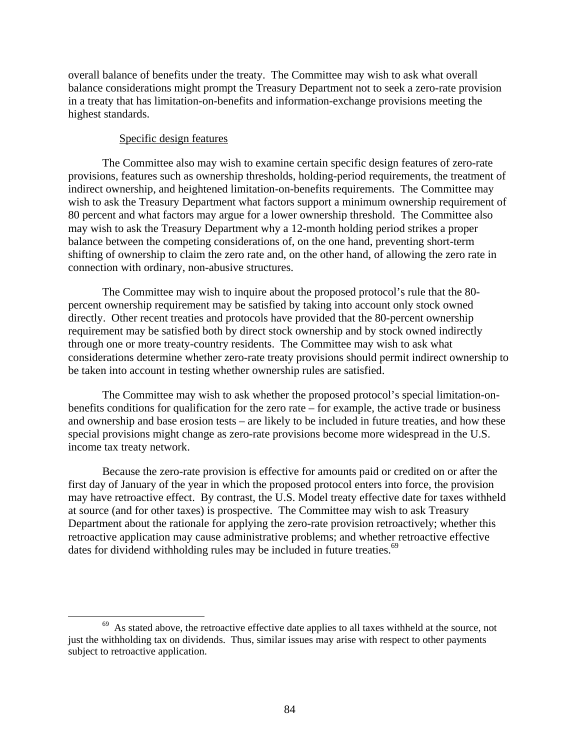overall balance of benefits under the treaty. The Committee may wish to ask what overall balance considerations might prompt the Treasury Department not to seek a zero-rate provision in a treaty that has limitation-on-benefits and information-exchange provisions meeting the highest standards.

## Specific design features

The Committee also may wish to examine certain specific design features of zero-rate provisions, features such as ownership thresholds, holding-period requirements, the treatment of indirect ownership, and heightened limitation-on-benefits requirements. The Committee may wish to ask the Treasury Department what factors support a minimum ownership requirement of 80 percent and what factors may argue for a lower ownership threshold. The Committee also may wish to ask the Treasury Department why a 12-month holding period strikes a proper balance between the competing considerations of, on the one hand, preventing short-term shifting of ownership to claim the zero rate and, on the other hand, of allowing the zero rate in connection with ordinary, non-abusive structures.

The Committee may wish to inquire about the proposed protocol's rule that the 80 percent ownership requirement may be satisfied by taking into account only stock owned directly. Other recent treaties and protocols have provided that the 80-percent ownership requirement may be satisfied both by direct stock ownership and by stock owned indirectly through one or more treaty-country residents. The Committee may wish to ask what considerations determine whether zero-rate treaty provisions should permit indirect ownership to be taken into account in testing whether ownership rules are satisfied.

The Committee may wish to ask whether the proposed protocol's special limitation-onbenefits conditions for qualification for the zero rate – for example, the active trade or business and ownership and base erosion tests – are likely to be included in future treaties, and how these special provisions might change as zero-rate provisions become more widespread in the U.S. income tax treaty network.

Because the zero-rate provision is effective for amounts paid or credited on or after the first day of January of the year in which the proposed protocol enters into force, the provision may have retroactive effect. By contrast, the U.S. Model treaty effective date for taxes withheld at source (and for other taxes) is prospective. The Committee may wish to ask Treasury Department about the rationale for applying the zero-rate provision retroactively; whether this retroactive application may cause administrative problems; and whether retroactive effective dates for dividend withholding rules may be included in future treaties.<sup>69</sup>

<sup>&</sup>lt;sup>69</sup> As stated above, the retroactive effective date applies to all taxes withheld at the source, not just the withholding tax on dividends. Thus, similar issues may arise with respect to other payments subject to retroactive application.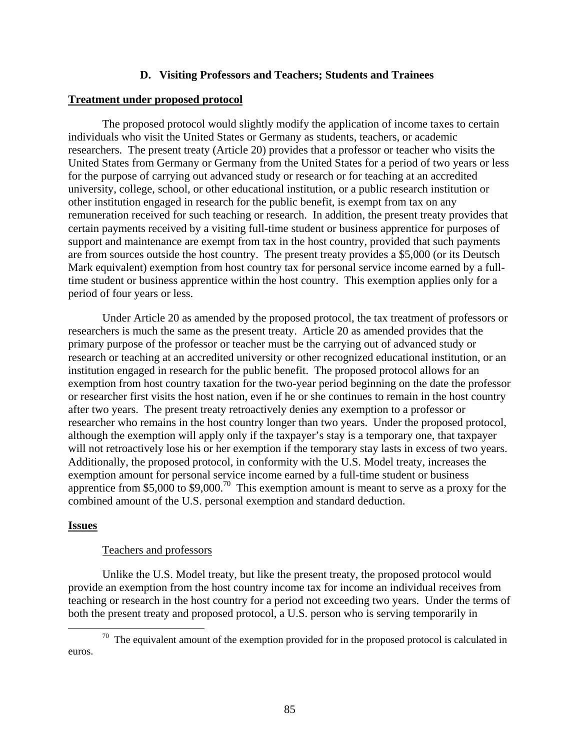## **D. Visiting Professors and Teachers; Students and Trainees**

### **Treatment under proposed protocol**

The proposed protocol would slightly modify the application of income taxes to certain individuals who visit the United States or Germany as students, teachers, or academic researchers. The present treaty (Article 20) provides that a professor or teacher who visits the United States from Germany or Germany from the United States for a period of two years or less for the purpose of carrying out advanced study or research or for teaching at an accredited university, college, school, or other educational institution, or a public research institution or other institution engaged in research for the public benefit, is exempt from tax on any remuneration received for such teaching or research. In addition, the present treaty provides that certain payments received by a visiting full-time student or business apprentice for purposes of support and maintenance are exempt from tax in the host country, provided that such payments are from sources outside the host country. The present treaty provides a \$5,000 (or its Deutsch Mark equivalent) exemption from host country tax for personal service income earned by a fulltime student or business apprentice within the host country. This exemption applies only for a period of four years or less.

Under Article 20 as amended by the proposed protocol, the tax treatment of professors or researchers is much the same as the present treaty. Article 20 as amended provides that the primary purpose of the professor or teacher must be the carrying out of advanced study or research or teaching at an accredited university or other recognized educational institution, or an institution engaged in research for the public benefit. The proposed protocol allows for an exemption from host country taxation for the two-year period beginning on the date the professor or researcher first visits the host nation, even if he or she continues to remain in the host country after two years. The present treaty retroactively denies any exemption to a professor or researcher who remains in the host country longer than two years. Under the proposed protocol, although the exemption will apply only if the taxpayer's stay is a temporary one, that taxpayer will not retroactively lose his or her exemption if the temporary stay lasts in excess of two years. Additionally, the proposed protocol, in conformity with the U.S. Model treaty, increases the exemption amount for personal service income earned by a full-time student or business apprentice from \$5,000 to \$9,000.<sup>70</sup> This exemption amount is meant to serve as a proxy for the combined amount of the U.S. personal exemption and standard deduction.

### **Issues**

### Teachers and professors

Unlike the U.S. Model treaty, but like the present treaty, the proposed protocol would provide an exemption from the host country income tax for income an individual receives from teaching or research in the host country for a period not exceeding two years. Under the terms of both the present treaty and proposed protocol, a U.S. person who is serving temporarily in

 $70$  The equivalent amount of the exemption provided for in the proposed protocol is calculated in euros.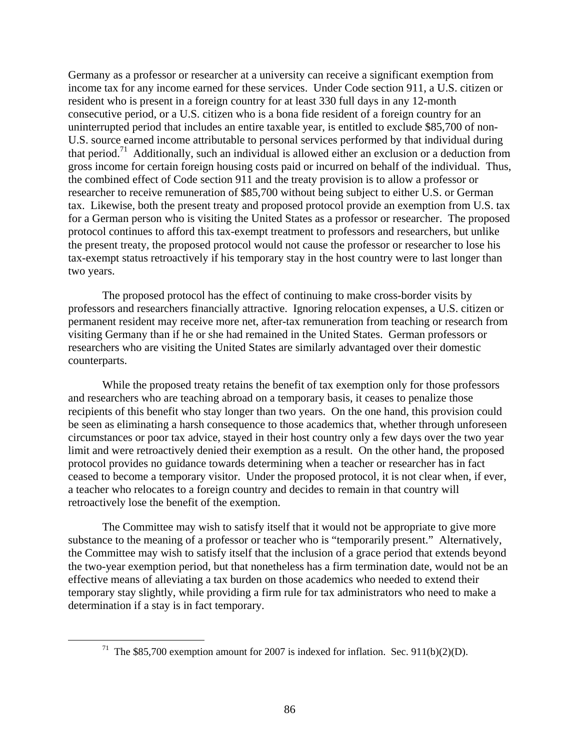Germany as a professor or researcher at a university can receive a significant exemption from income tax for any income earned for these services. Under Code section 911, a U.S. citizen or resident who is present in a foreign country for at least 330 full days in any 12-month consecutive period, or a U.S. citizen who is a bona fide resident of a foreign country for an uninterrupted period that includes an entire taxable year, is entitled to exclude \$85,700 of non-U.S. source earned income attributable to personal services performed by that individual during that period.71 Additionally, such an individual is allowed either an exclusion or a deduction from gross income for certain foreign housing costs paid or incurred on behalf of the individual. Thus, the combined effect of Code section 911 and the treaty provision is to allow a professor or researcher to receive remuneration of \$85,700 without being subject to either U.S. or German tax. Likewise, both the present treaty and proposed protocol provide an exemption from U.S. tax for a German person who is visiting the United States as a professor or researcher. The proposed protocol continues to afford this tax-exempt treatment to professors and researchers, but unlike the present treaty, the proposed protocol would not cause the professor or researcher to lose his tax-exempt status retroactively if his temporary stay in the host country were to last longer than two years.

The proposed protocol has the effect of continuing to make cross-border visits by professors and researchers financially attractive. Ignoring relocation expenses, a U.S. citizen or permanent resident may receive more net, after-tax remuneration from teaching or research from visiting Germany than if he or she had remained in the United States. German professors or researchers who are visiting the United States are similarly advantaged over their domestic counterparts.

While the proposed treaty retains the benefit of tax exemption only for those professors and researchers who are teaching abroad on a temporary basis, it ceases to penalize those recipients of this benefit who stay longer than two years. On the one hand, this provision could be seen as eliminating a harsh consequence to those academics that, whether through unforeseen circumstances or poor tax advice, stayed in their host country only a few days over the two year limit and were retroactively denied their exemption as a result. On the other hand, the proposed protocol provides no guidance towards determining when a teacher or researcher has in fact ceased to become a temporary visitor. Under the proposed protocol, it is not clear when, if ever, a teacher who relocates to a foreign country and decides to remain in that country will retroactively lose the benefit of the exemption.

The Committee may wish to satisfy itself that it would not be appropriate to give more substance to the meaning of a professor or teacher who is "temporarily present." Alternatively, the Committee may wish to satisfy itself that the inclusion of a grace period that extends beyond the two-year exemption period, but that nonetheless has a firm termination date, would not be an effective means of alleviating a tax burden on those academics who needed to extend their temporary stay slightly, while providing a firm rule for tax administrators who need to make a determination if a stay is in fact temporary.

<sup>&</sup>lt;sup>71</sup> The \$85,700 exemption amount for 2007 is indexed for inflation. Sec. 911(b)(2)(D).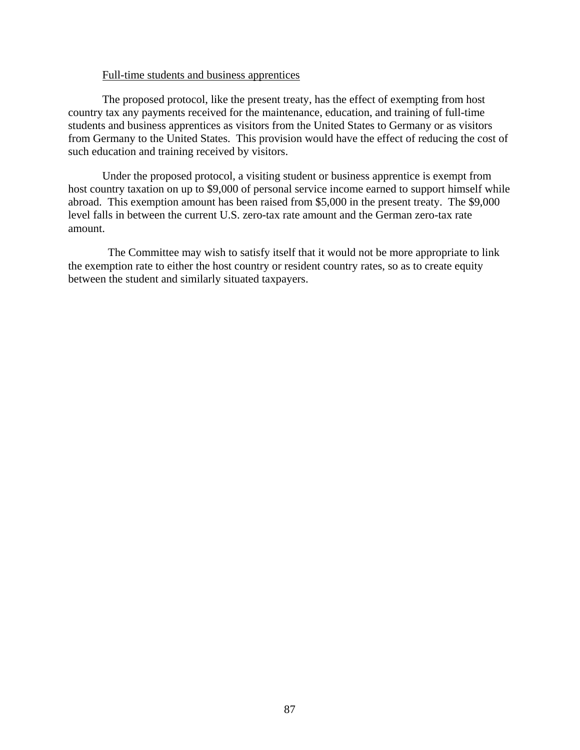### Full-time students and business apprentices

The proposed protocol, like the present treaty, has the effect of exempting from host country tax any payments received for the maintenance, education, and training of full-time students and business apprentices as visitors from the United States to Germany or as visitors from Germany to the United States. This provision would have the effect of reducing the cost of such education and training received by visitors.

Under the proposed protocol, a visiting student or business apprentice is exempt from host country taxation on up to \$9,000 of personal service income earned to support himself while abroad. This exemption amount has been raised from \$5,000 in the present treaty. The \$9,000 level falls in between the current U.S. zero-tax rate amount and the German zero-tax rate amount.

 The Committee may wish to satisfy itself that it would not be more appropriate to link the exemption rate to either the host country or resident country rates, so as to create equity between the student and similarly situated taxpayers.